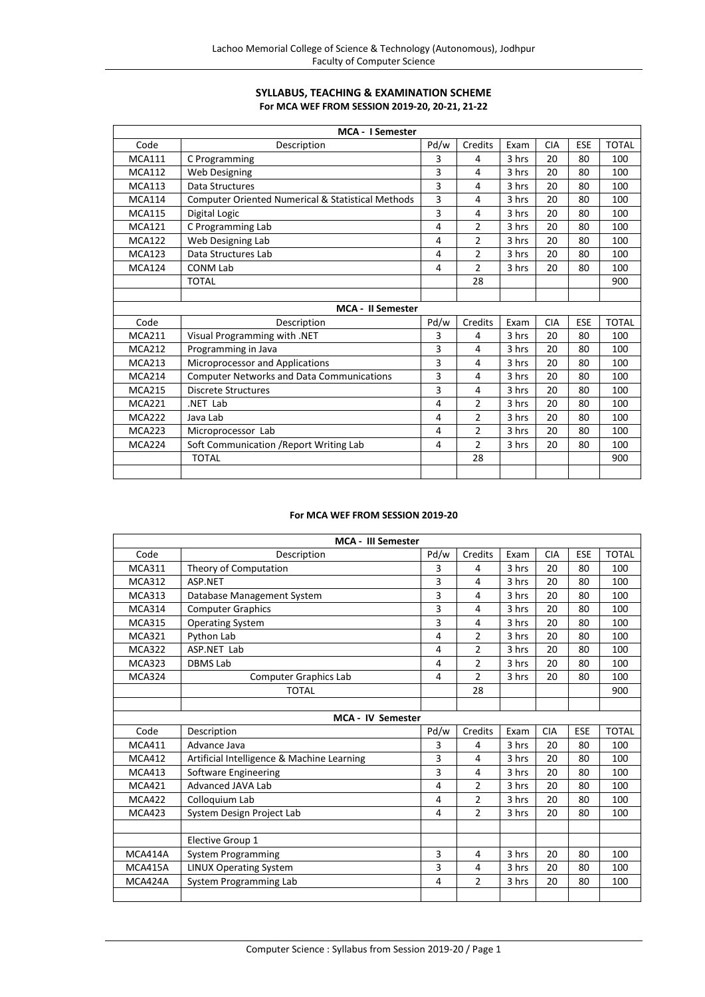# **SYLLABUS, TEACHING & EXAMINATION SCHEME For MCA WEF FROM SESSION 2019-20, 20-21, 21-22**

|               | <b>MCA - I Semester</b>                                      |      |                |       |            |            |              |
|---------------|--------------------------------------------------------------|------|----------------|-------|------------|------------|--------------|
| Code          | Description                                                  | Pd/w | Credits        | Exam  | <b>CIA</b> | <b>ESE</b> | <b>TOTAL</b> |
| <b>MCA111</b> | C Programming                                                | 3    | 4              | 3 hrs | 20         | 80         | 100          |
| <b>MCA112</b> | Web Designing                                                | 3    | 4              | 3 hrs | 20         | 80         | 100          |
| <b>MCA113</b> | Data Structures                                              | 3    | 4              | 3 hrs | 20         | 80         | 100          |
| <b>MCA114</b> | <b>Computer Oriented Numerical &amp; Statistical Methods</b> | 3    | 4              | 3 hrs | 20         | 80         | 100          |
| <b>MCA115</b> | Digital Logic                                                | 3    | 4              | 3 hrs | 20         | 80         | 100          |
| <b>MCA121</b> | C Programming Lab                                            | 4    | $\overline{2}$ | 3 hrs | 20         | 80         | 100          |
| <b>MCA122</b> | Web Designing Lab                                            | 4    | $\overline{2}$ | 3 hrs | 20         | 80         | 100          |
| <b>MCA123</b> | Data Structures Lab                                          | 4    | $\overline{2}$ | 3 hrs | 20         | 80         | 100          |
| <b>MCA124</b> | CONM Lab                                                     | 4    | $\overline{2}$ | 3 hrs | 20         | 80         | 100          |
|               | <b>TOTAL</b>                                                 |      | 28             |       |            |            | 900          |
|               |                                                              |      |                |       |            |            |              |
|               | <b>MCA - II Semester</b>                                     |      |                |       |            |            |              |
| Code          | Description                                                  | Pd/w | Credits        | Exam  | <b>CIA</b> | <b>ESE</b> | <b>TOTAL</b> |
| <b>MCA211</b> | Visual Programming with .NET                                 | 3    | 4              | 3 hrs | 20         | 80         | 100          |
| <b>MCA212</b> | Programming in Java                                          | 3    | 4              | 3 hrs | 20         | 80         | 100          |
| <b>MCA213</b> | Microprocessor and Applications                              | 3    | 4              | 3 hrs | 20         | 80         | 100          |
| <b>MCA214</b> | <b>Computer Networks and Data Communications</b>             | 3    | 4              | 3 hrs | 20         | 80         | 100          |
| <b>MCA215</b> | Discrete Structures                                          | 3    | 4              | 3 hrs | 20         | 80         | 100          |
| <b>MCA221</b> | NET Lab.                                                     | 4    | $\overline{2}$ | 3 hrs | 20         | 80         | 100          |
| <b>MCA222</b> | Java Lab                                                     | 4    | $\overline{2}$ | 3 hrs | 20         | 80         | 100          |
| <b>MCA223</b> | Microprocessor Lab                                           | 4    | $\overline{2}$ | 3 hrs | 20         | 80         | 100          |
| MCA224        | Soft Communication / Report Writing Lab                      | 4    | $\mathcal{P}$  | 3 hrs | 20         | 80         | 100          |
|               | <b>TOTAL</b>                                                 |      | 28             |       |            |            | 900          |
|               |                                                              |      |                |       |            |            |              |

## **For MCA WEF FROM SESSION 2019-20**

|               | <b>MCA - III Semester</b>                  |      |                |       |            |            |              |
|---------------|--------------------------------------------|------|----------------|-------|------------|------------|--------------|
| Code          | Description                                | Pd/w | Credits        | Exam  | <b>CIA</b> | <b>ESE</b> | <b>TOTAL</b> |
| <b>MCA311</b> | Theory of Computation                      | 3    | 4              | 3 hrs | 20         | 80         | 100          |
| <b>MCA312</b> | ASP.NET                                    | 3    | $\overline{4}$ | 3 hrs | 20         | 80         | 100          |
| <b>MCA313</b> | Database Management System                 | 3    | $\overline{4}$ | 3 hrs | 20         | 80         | 100          |
| <b>MCA314</b> | <b>Computer Graphics</b>                   | 3    | 4              | 3 hrs | 20         | 80         | 100          |
| <b>MCA315</b> | <b>Operating System</b>                    | 3    | $\overline{4}$ | 3 hrs | 20         | 80         | 100          |
| <b>MCA321</b> | Python Lab                                 | 4    | $\overline{2}$ | 3 hrs | 20         | 80         | 100          |
| <b>MCA322</b> | ASP.NET Lab                                | 4    | $\overline{2}$ | 3 hrs | 20         | 80         | 100          |
| <b>MCA323</b> | <b>DBMS Lab</b>                            | 4    | $\overline{2}$ | 3 hrs | 20         | 80         | 100          |
| <b>MCA324</b> | <b>Computer Graphics Lab</b>               | 4    | $\overline{2}$ | 3 hrs | 20         | 80         | 100          |
|               | <b>TOTAL</b>                               |      | 28             |       |            |            | 900          |
|               |                                            |      |                |       |            |            |              |
|               | <b>MCA - IV Semester</b>                   |      |                |       |            |            |              |
| Code          | Description                                | Pd/w | Credits        | Exam  | <b>CIA</b> | <b>ESE</b> | <b>TOTAL</b> |
| <b>MCA411</b> | Advance Java                               | 3    | $\overline{4}$ | 3 hrs | 20         | 80         | 100          |
| <b>MCA412</b> | Artificial Intelligence & Machine Learning | 3    | 4              | 3 hrs | 20         | 80         | 100          |
| <b>MCA413</b> | Software Engineering                       | 3    | 4              | 3 hrs | 20         | 80         | 100          |
| <b>MCA421</b> | Advanced JAVA Lab                          | 4    | $\overline{2}$ | 3 hrs | 20         | 80         | 100          |
| <b>MCA422</b> | Colloquium Lab                             | 4    | $\overline{2}$ | 3 hrs | 20         | 80         | 100          |
| <b>MCA423</b> | System Design Project Lab                  | 4    | $\mathfrak{p}$ | 3 hrs | 20         | 80         | 100          |
|               |                                            |      |                |       |            |            |              |
|               | Elective Group 1                           |      |                |       |            |            |              |
| MCA414A       | <b>System Programming</b>                  | 3    | $\overline{a}$ | 3 hrs | 20         | 80         | 100          |
| MCA415A       | <b>LINUX Operating System</b>              | 3    | $\overline{4}$ | 3 hrs | 20         | 80         | 100          |
| MCA424A       | System Programming Lab                     | 4    | $\overline{2}$ | 3 hrs | 20         | 80         | 100          |
|               |                                            |      |                |       |            |            |              |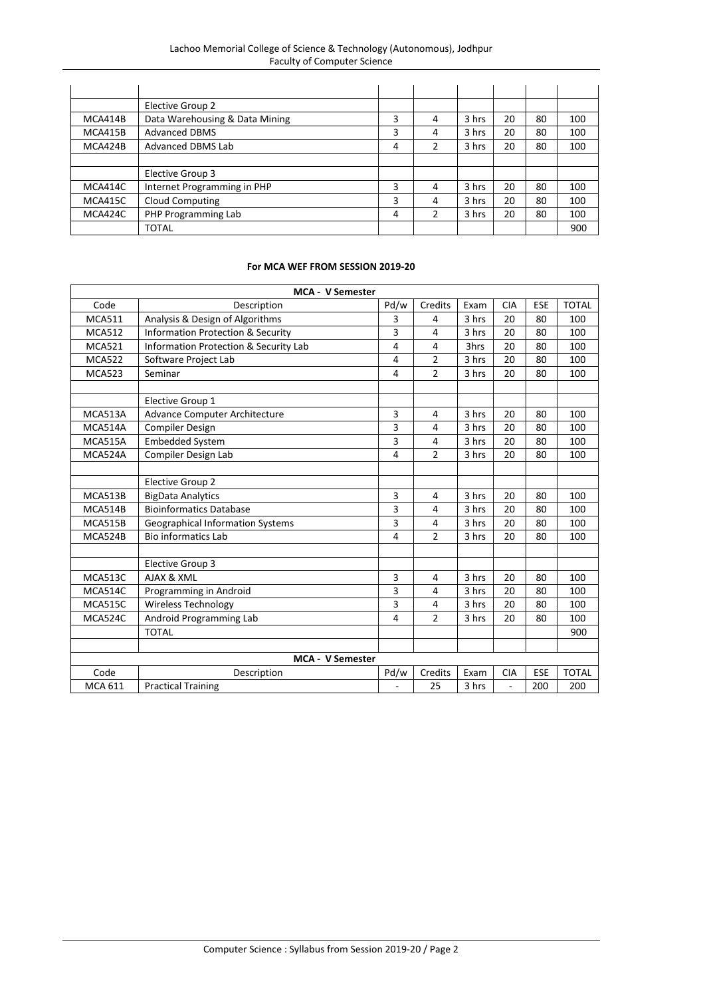| Lachoo Memorial College of Science & Technology (Autonomous), Jodhpur |
|-----------------------------------------------------------------------|
| <b>Faculty of Computer Science</b>                                    |

|         | Elective Group 2               |   |               |       |    |    |     |
|---------|--------------------------------|---|---------------|-------|----|----|-----|
| MCA414B | Data Warehousing & Data Mining | 3 | 4             | 3 hrs | 20 | 80 | 100 |
| MCA415B | <b>Advanced DBMS</b>           | 3 | 4             | 3 hrs | 20 | 80 | 100 |
| MCA424B | Advanced DBMS Lab              | 4 | 2             | 3 hrs | 20 | 80 | 100 |
|         |                                |   |               |       |    |    |     |
|         | Elective Group 3               |   |               |       |    |    |     |
| MCA414C | Internet Programming in PHP    | 3 | 4             | 3 hrs | 20 | 80 | 100 |
| MCA415C | Cloud Computing                | 3 | 4             | 3 hrs | 20 | 80 | 100 |
| MCA424C | PHP Programming Lab            | 4 | $\mathcal{P}$ | 3 hrs | 20 | 80 | 100 |
|         | <b>TOTAL</b>                   |   |               |       |    |    | 900 |

# **For MCA WEF FROM SESSION 2019-20**

|                | <b>MCA - V Semester</b>                      |                |                |       |            |            |              |
|----------------|----------------------------------------------|----------------|----------------|-------|------------|------------|--------------|
| Code           | Description                                  | Pd/w           | Credits        | Exam  | <b>CIA</b> | <b>ESE</b> | <b>TOTAL</b> |
| <b>MCA511</b>  | Analysis & Design of Algorithms              | 3              | 4              | 3 hrs | 20         | 80         | 100          |
| <b>MCA512</b>  | <b>Information Protection &amp; Security</b> | 3              | 4              | 3 hrs | 20         | 80         | 100          |
| <b>MCA521</b>  | Information Protection & Security Lab        | 4              | 4              | 3hrs  | 20         | 80         | 100          |
| <b>MCA522</b>  | Software Project Lab                         | $\overline{4}$ | $\overline{2}$ | 3 hrs | 20         | 80         | 100          |
| <b>MCA523</b>  | Seminar                                      | 4              | $\overline{2}$ | 3 hrs | 20         | 80         | 100          |
|                |                                              |                |                |       |            |            |              |
|                | Elective Group 1                             |                |                |       |            |            |              |
| MCA513A        | Advance Computer Architecture                | 3              | 4              | 3 hrs | 20         | 80         | 100          |
| MCA514A        | <b>Compiler Design</b>                       | 3              | 4              | 3 hrs | 20         | 80         | 100          |
| MCA515A        | <b>Embedded System</b>                       | 3              | 4              | 3 hrs | 20         | 80         | 100          |
| MCA524A        | Compiler Design Lab                          | 4              | $\overline{2}$ | 3 hrs | 20         | 80         | 100          |
|                |                                              |                |                |       |            |            |              |
|                | Elective Group 2                             |                |                |       |            |            |              |
| MCA513B        | <b>BigData Analytics</b>                     | 3              | 4              | 3 hrs | 20         | 80         | 100          |
| MCA514B        | <b>Bioinformatics Database</b>               | 3              | 4              | 3 hrs | 20         | 80         | 100          |
| MCA515B        | Geographical Information Systems             | 3              | 4              | 3 hrs | 20         | 80         | 100          |
| MCA524B        | <b>Bio informatics Lab</b>                   | 4              | $\overline{2}$ | 3 hrs | 20         | 80         | 100          |
|                |                                              |                |                |       |            |            |              |
|                | Elective Group 3                             |                |                |       |            |            |              |
| MCA513C        | <b>AJAX &amp; XML</b>                        | 3              | 4              | 3 hrs | 20         | 80         | 100          |
| MCA514C        | Programming in Android                       | 3              | 4              | 3 hrs | 20         | 80         | 100          |
| MCA515C        | <b>Wireless Technology</b>                   | 3              | 4              | 3 hrs | 20         | 80         | 100          |
| MCA524C        | Android Programming Lab                      | 4              | $\overline{2}$ | 3 hrs | 20         | 80         | 100          |
|                | <b>TOTAL</b>                                 |                |                |       |            |            | 900          |
|                |                                              |                |                |       |            |            |              |
|                | MCA - V Semester                             |                |                |       |            |            |              |
| Code           | Description                                  | Pd/w           | Credits        | Exam  | <b>CIA</b> | <b>ESE</b> | <b>TOTAL</b> |
| <b>MCA 611</b> | <b>Practical Training</b>                    |                | 25             | 3 hrs | ÷,         | 200        | 200          |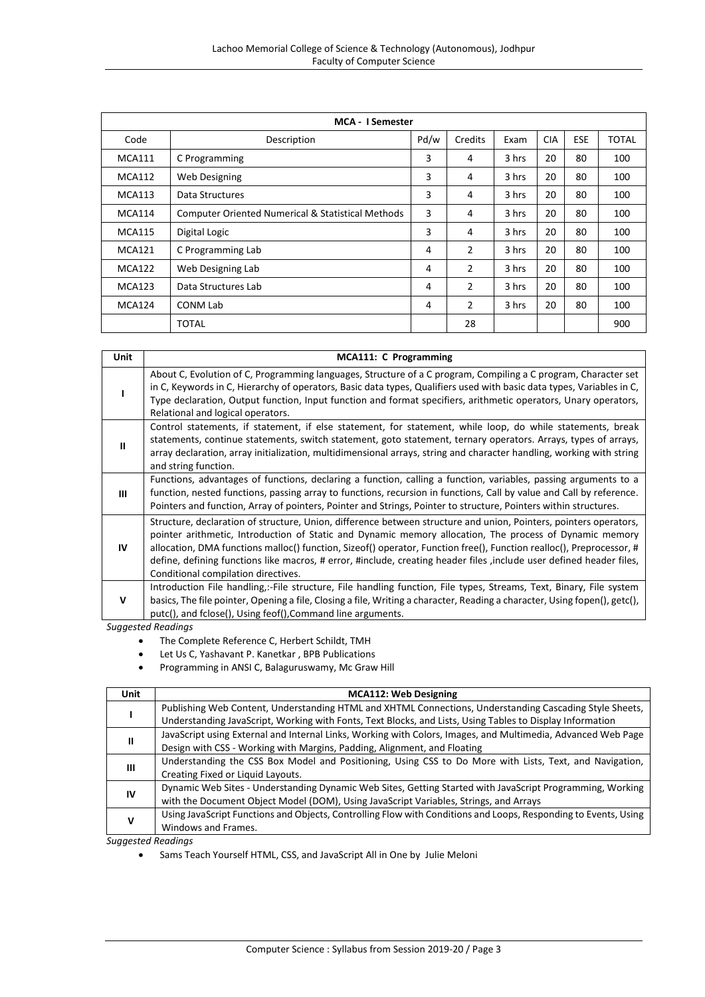|               | <b>MCA - I Semester</b>                                      |      |                |       |            |            |              |
|---------------|--------------------------------------------------------------|------|----------------|-------|------------|------------|--------------|
| Code          | Description                                                  | Pd/w | Credits        | Exam  | <b>CIA</b> | <b>ESE</b> | <b>TOTAL</b> |
| <b>MCA111</b> | C Programming                                                | 3    | 4              | 3 hrs | 20         | 80         | 100          |
| <b>MCA112</b> | Web Designing                                                | 3    | 4              | 3 hrs | 20         | 80         | 100          |
| <b>MCA113</b> | Data Structures                                              | 3    | 4              | 3 hrs | 20         | 80         | 100          |
| <b>MCA114</b> | <b>Computer Oriented Numerical &amp; Statistical Methods</b> | 3    | 4              | 3 hrs | 20         | 80         | 100          |
| <b>MCA115</b> | Digital Logic                                                | 3    | 4              | 3 hrs | 20         | 80         | 100          |
| <b>MCA121</b> | C Programming Lab                                            | 4    | 2              | 3 hrs | 20         | 80         | 100          |
| <b>MCA122</b> | Web Designing Lab                                            | 4    | $\overline{2}$ | 3 hrs | 20         | 80         | 100          |
| <b>MCA123</b> | Data Structures Lab                                          | 4    | $\overline{2}$ | 3 hrs | 20         | 80         | 100          |
| MCA124        | <b>CONM Lab</b>                                              | 4    | $\overline{2}$ | 3 hrs | 20         | 80         | 100          |
|               | <b>TOTAL</b>                                                 |      | 28             |       |            |            | 900          |

| <b>Unit</b> | MCA111: C Programming                                                                                                                                                                                                                                                                                                                                                                                                                                                                                               |
|-------------|---------------------------------------------------------------------------------------------------------------------------------------------------------------------------------------------------------------------------------------------------------------------------------------------------------------------------------------------------------------------------------------------------------------------------------------------------------------------------------------------------------------------|
|             | About C, Evolution of C, Programming languages, Structure of a C program, Compiling a C program, Character set<br>in C, Keywords in C, Hierarchy of operators, Basic data types, Qualifiers used with basic data types, Variables in C,<br>Type declaration, Output function, Input function and format specifiers, arithmetic operators, Unary operators,<br>Relational and logical operators.                                                                                                                     |
| ш           | Control statements, if statement, if else statement, for statement, while loop, do while statements, break<br>statements, continue statements, switch statement, goto statement, ternary operators. Arrays, types of arrays,<br>array declaration, array initialization, multidimensional arrays, string and character handling, working with string<br>and string function.                                                                                                                                        |
| Ш           | Functions, advantages of functions, declaring a function, calling a function, variables, passing arguments to a<br>function, nested functions, passing array to functions, recursion in functions, Call by value and Call by reference.<br>Pointers and function, Array of pointers, Pointer and Strings, Pointer to structure, Pointers within structures.                                                                                                                                                         |
| IV          | Structure, declaration of structure, Union, difference between structure and union, Pointers, pointers operators,<br>pointer arithmetic, Introduction of Static and Dynamic memory allocation, The process of Dynamic memory<br>allocation, DMA functions malloc() function, Sizeof() operator, Function free(), Function realloc(), Preprocessor, #<br>define, defining functions like macros, # error, #include, creating header files, include user defined header files,<br>Conditional compilation directives. |
| v           | Introduction File handling,:-File structure, File handling function, File types, Streams, Text, Binary, File system<br>basics, The file pointer, Opening a file, Closing a file, Writing a character, Reading a character, Using fopen(), getc(),<br>putc(), and fclose(), Using feof(), Command line arguments.                                                                                                                                                                                                    |

- The Complete Reference C, Herbert Schildt, TMH
- Let Us C, Yashavant P. Kanetkar , BPB Publications
- Programming in ANSI C, Balaguruswamy, Mc Graw Hill

| Unit           | <b>MCA112: Web Designing</b>                                                                                                                                                                                         |
|----------------|----------------------------------------------------------------------------------------------------------------------------------------------------------------------------------------------------------------------|
|                | Publishing Web Content, Understanding HTML and XHTML Connections, Understanding Cascading Style Sheets,<br>Understanding JavaScript, Working with Fonts, Text Blocks, and Lists, Using Tables to Display Information |
| Ш              | JavaScript using External and Internal Links, Working with Colors, Images, and Multimedia, Advanced Web Page<br>Design with CSS - Working with Margins, Padding, Alignment, and Floating                             |
| $\mathbf{III}$ | Understanding the CSS Box Model and Positioning, Using CSS to Do More with Lists, Text, and Navigation,<br>Creating Fixed or Liquid Layouts.                                                                         |
| IV             | Dynamic Web Sites - Understanding Dynamic Web Sites, Getting Started with JavaScript Programming, Working<br>with the Document Object Model (DOM), Using JavaScript Variables, Strings, and Arrays                   |
| v              | Using JavaScript Functions and Objects, Controlling Flow with Conditions and Loops, Responding to Events, Using<br>Windows and Frames.                                                                               |

*Suggested Readings*

Sams Teach Yourself HTML, CSS, and JavaScript All in One by [Julie Meloni](http://www.barnesandnoble.com/c/julie-meloni)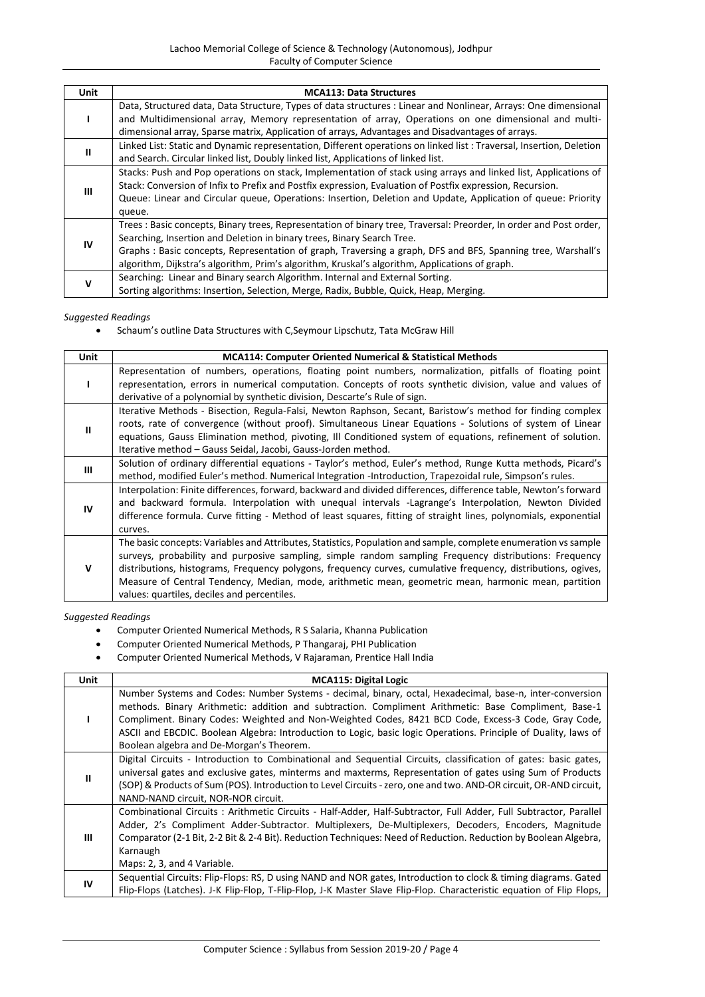| <b>Unit</b> | <b>MCA113: Data Structures</b>                                                                                                                                                                                                                                                                                                                                                                               |
|-------------|--------------------------------------------------------------------------------------------------------------------------------------------------------------------------------------------------------------------------------------------------------------------------------------------------------------------------------------------------------------------------------------------------------------|
|             | Data, Structured data, Data Structure, Types of data structures : Linear and Nonlinear, Arrays: One dimensional<br>and Multidimensional array, Memory representation of array, Operations on one dimensional and multi-<br>dimensional array, Sparse matrix, Application of arrays, Advantages and Disadvantages of arrays.                                                                                  |
| Ш           | Linked List: Static and Dynamic representation, Different operations on linked list: Traversal, Insertion, Deletion<br>and Search. Circular linked list, Doubly linked list, Applications of linked list.                                                                                                                                                                                                    |
| Ш           | Stacks: Push and Pop operations on stack, Implementation of stack using arrays and linked list, Applications of<br>Stack: Conversion of Infix to Prefix and Postfix expression, Evaluation of Postfix expression, Recursion.<br>Queue: Linear and Circular queue, Operations: Insertion, Deletion and Update, Application of queue: Priority<br>queue.                                                       |
| IV          | Trees: Basic concepts, Binary trees, Representation of binary tree, Traversal: Preorder, In order and Post order,<br>Searching, Insertion and Deletion in binary trees, Binary Search Tree.<br>Graphs: Basic concepts, Representation of graph, Traversing a graph, DFS and BFS, Spanning tree, Warshall's<br>algorithm, Dijkstra's algorithm, Prim's algorithm, Kruskal's algorithm, Applications of graph. |
| v           | Searching: Linear and Binary search Algorithm. Internal and External Sorting.<br>Sorting algorithms: Insertion, Selection, Merge, Radix, Bubble, Quick, Heap, Merging.                                                                                                                                                                                                                                       |

Schaum's outline Data Structures with C,Seymour Lipschutz, Tata McGraw Hill

| Unit | <b>MCA114: Computer Oriented Numerical &amp; Statistical Methods</b>                                                                                                                                                                                                                                                                                                                                                                                                                              |
|------|---------------------------------------------------------------------------------------------------------------------------------------------------------------------------------------------------------------------------------------------------------------------------------------------------------------------------------------------------------------------------------------------------------------------------------------------------------------------------------------------------|
|      | Representation of numbers, operations, floating point numbers, normalization, pitfalls of floating point<br>representation, errors in numerical computation. Concepts of roots synthetic division, value and values of<br>derivative of a polynomial by synthetic division, Descarte's Rule of sign.                                                                                                                                                                                              |
| Ш    | Iterative Methods - Bisection, Regula-Falsi, Newton Raphson, Secant, Baristow's method for finding complex<br>roots, rate of convergence (without proof). Simultaneous Linear Equations - Solutions of system of Linear<br>equations, Gauss Elimination method, pivoting, Ill Conditioned system of equations, refinement of solution.<br>Iterative method - Gauss Seidal, Jacobi, Gauss-Jorden method.                                                                                           |
| Ш    | Solution of ordinary differential equations - Taylor's method, Euler's method, Runge Kutta methods, Picard's<br>method, modified Euler's method. Numerical Integration -Introduction, Trapezoidal rule, Simpson's rules.                                                                                                                                                                                                                                                                          |
| IV   | Interpolation: Finite differences, forward, backward and divided differences, difference table, Newton's forward<br>and backward formula. Interpolation with unequal intervals -Lagrange's Interpolation, Newton Divided<br>difference formula. Curve fitting - Method of least squares, fitting of straight lines, polynomials, exponential<br>curves.                                                                                                                                           |
| v    | The basic concepts: Variables and Attributes, Statistics, Population and sample, complete enumeration vs sample<br>surveys, probability and purposive sampling, simple random sampling Frequency distributions: Frequency<br>distributions, histograms, Frequency polygons, frequency curves, cumulative frequency, distributions, ogives,<br>Measure of Central Tendency, Median, mode, arithmetic mean, geometric mean, harmonic mean, partition<br>values: quartiles, deciles and percentiles. |

- Computer Oriented Numerical Methods, R S Salaria, Khanna Publication
- Computer Oriented Numerical Methods, P Thangaraj, PHI Publication
- Computer Oriented Numerical Methods, V Rajaraman, Prentice Hall India

| Unit | <b>MCA115: Digital Logic</b>                                                                                                                                                                                                                                                                                                                                                                                                                                                           |
|------|----------------------------------------------------------------------------------------------------------------------------------------------------------------------------------------------------------------------------------------------------------------------------------------------------------------------------------------------------------------------------------------------------------------------------------------------------------------------------------------|
|      | Number Systems and Codes: Number Systems - decimal, binary, octal, Hexadecimal, base-n, inter-conversion<br>methods. Binary Arithmetic: addition and subtraction. Compliment Arithmetic: Base Compliment, Base-1<br>Compliment. Binary Codes: Weighted and Non-Weighted Codes, 8421 BCD Code, Excess-3 Code, Gray Code,<br>ASCII and EBCDIC. Boolean Algebra: Introduction to Logic, basic logic Operations. Principle of Duality, laws of<br>Boolean algebra and De-Morgan's Theorem. |
| Ш    | Digital Circuits - Introduction to Combinational and Sequential Circuits, classification of gates: basic gates,<br>universal gates and exclusive gates, minterms and maxterms, Representation of gates using Sum of Products<br>(SOP) & Products of Sum (POS). Introduction to Level Circuits - zero, one and two. AND-OR circuit, OR-AND circuit,<br>NAND-NAND circuit, NOR-NOR circuit.                                                                                              |
| Ш    | Combinational Circuits : Arithmetic Circuits - Half-Adder, Half-Subtractor, Full Adder, Full Subtractor, Parallel<br>Adder, 2's Compliment Adder-Subtractor. Multiplexers, De-Multiplexers, Decoders, Encoders, Magnitude<br>Comparator (2-1 Bit, 2-2 Bit & 2-4 Bit). Reduction Techniques: Need of Reduction. Reduction by Boolean Algebra,<br>Karnaugh<br>Maps: 2, 3, and 4 Variable.                                                                                                |
| IV   | Sequential Circuits: Flip-Flops: RS, D using NAND and NOR gates, Introduction to clock & timing diagrams. Gated<br>Flip-Flops (Latches). J-K Flip-Flop, T-Flip-Flop, J-K Master Slave Flip-Flop. Characteristic equation of Flip Flops,                                                                                                                                                                                                                                                |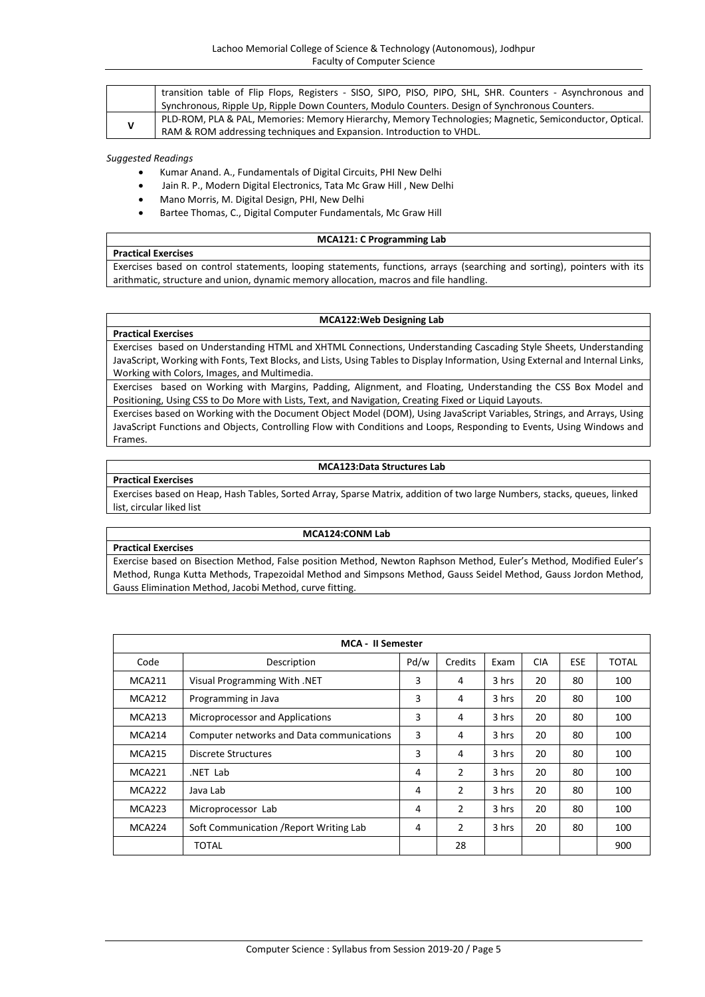| transition table of Flip Flops, Registers - SISO, SIPO, PISO, PIPO, SHL, SHR. Counters - Asynchronous and |
|-----------------------------------------------------------------------------------------------------------|
| Synchronous, Ripple Up, Ripple Down Counters, Modulo Counters. Design of Synchronous Counters.            |
| PLD-ROM, PLA & PAL, Memories: Memory Hierarchy, Memory Technologies; Magnetic, Semiconductor, Optical.    |
| RAM & ROM addressing techniques and Expansion. Introduction to VHDL.                                      |

- Kumar Anand. A., Fundamentals of Digital Circuits, PHI New Delhi
- Jain R. P., Modern Digital Electronics, Tata Mc Graw Hill , New Delhi
- Mano Morris, M. Digital Design, PHI, New Delhi
- Bartee Thomas, C., Digital Computer Fundamentals, Mc Graw Hill

## **MCA121: C Programming Lab**

**Practical Exercises** Exercises based on control statements, looping statements, functions, arrays (searching and sorting), pointers with its arithmatic, structure and union, dynamic memory allocation, macros and file handling.

#### **MCA122:Web Designing Lab**

Exercises based on Understanding HTML and XHTML Connections, Understanding Cascading Style Sheets, Understanding JavaScript, Working with Fonts, Text Blocks, and Lists, Using Tables to Display Information, Using External and Internal Links, Working with Colors, Images, and Multimedia.

Exercises based on Working with Margins, Padding, Alignment, and Floating, Understanding the CSS Box Model and Positioning, Using CSS to Do More with Lists, Text, and Navigation, Creating Fixed or Liquid Layouts.

Exercises based on Working with the Document Object Model (DOM), Using JavaScript Variables, Strings, and Arrays, Using JavaScript Functions and Objects, Controlling Flow with Conditions and Loops, Responding to Events, Using Windows and Frames.

#### **MCA123:Data Structures Lab**

#### **Practical Exercises**

**Practical Exercises**

Exercises based on Heap, Hash Tables, Sorted Array, Sparse Matrix, addition of two large Numbers, stacks, queues, linked list, circular liked list

#### **MCA124:CONM Lab**

#### **Practical Exercises**

Exercise based on Bisection Method, False position Method, Newton Raphson Method, Euler's Method, Modified Euler's Method, Runga Kutta Methods, Trapezoidal Method and Simpsons Method, Gauss Seidel Method, Gauss Jordon Method, Gauss Elimination Method, Jacobi Method, curve fitting.

| <b>MCA - II Semester</b> |                                           |      |                |       |            |            |              |
|--------------------------|-------------------------------------------|------|----------------|-------|------------|------------|--------------|
| Code                     | Description                               | Pd/w | Credits        | Exam  | <b>CIA</b> | <b>ESE</b> | <b>TOTAL</b> |
| <b>MCA211</b>            | Visual Programming With .NET              | 3    | 4              | 3 hrs | 20         | 80         | 100          |
| <b>MCA212</b>            | Programming in Java                       | 3    | 4              | 3 hrs | 20         | 80         | 100          |
| <b>MCA213</b>            | Microprocessor and Applications           | 3    | 4              | 3 hrs | 20         | 80         | 100          |
| MCA214                   | Computer networks and Data communications | 3    | 4              | 3 hrs | 20         | 80         | 100          |
| <b>MCA215</b>            | <b>Discrete Structures</b>                | 3    | 4              | 3 hrs | 20         | 80         | 100          |
| <b>MCA221</b>            | .NET Lab                                  | 4    | $\overline{2}$ | 3 hrs | 20         | 80         | 100          |
| MCA222                   | Java Lab                                  | 4    | 2              | 3 hrs | 20         | 80         | 100          |
| <b>MCA223</b>            | Microprocessor Lab                        | 4    | 2              | 3 hrs | 20         | 80         | 100          |
| MCA224                   | Soft Communication / Report Writing Lab   | 4    | $\overline{2}$ | 3 hrs | 20         | 80         | 100          |
|                          | TOTAL                                     |      | 28             |       |            |            | 900          |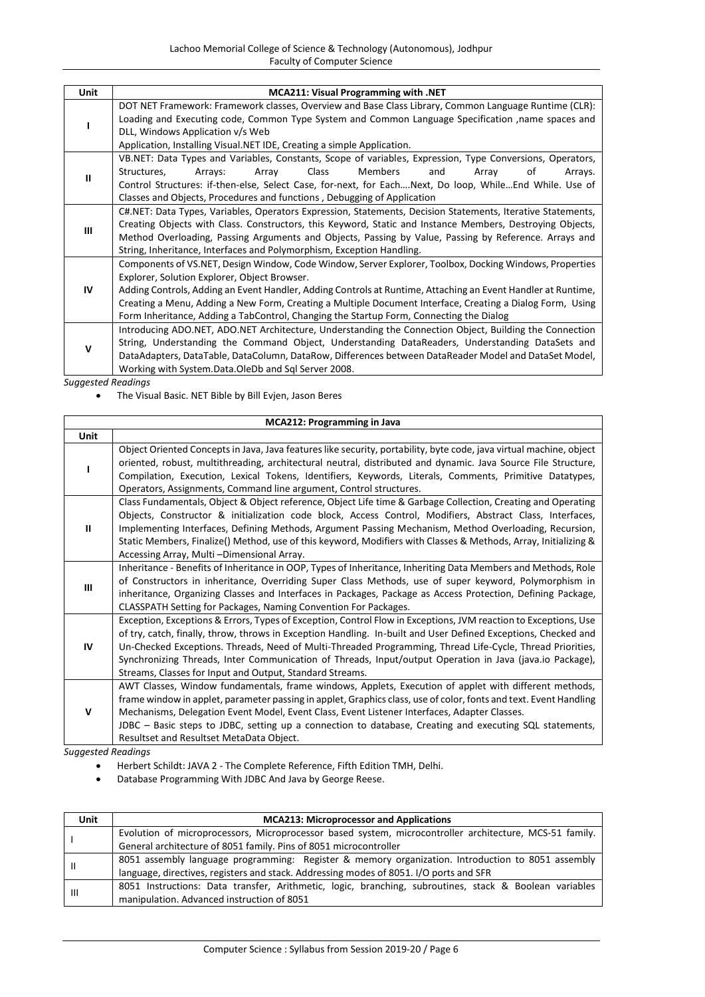| <b>Unit</b> | MCA211: Visual Programming with .NET                                                                                                                                                                                                                                                                                                                                                                                                                                            |  |  |  |
|-------------|---------------------------------------------------------------------------------------------------------------------------------------------------------------------------------------------------------------------------------------------------------------------------------------------------------------------------------------------------------------------------------------------------------------------------------------------------------------------------------|--|--|--|
|             | DOT NET Framework: Framework classes, Overview and Base Class Library, Common Language Runtime (CLR):<br>Loading and Executing code, Common Type System and Common Language Specification ,name spaces and<br>DLL, Windows Application v/s Web                                                                                                                                                                                                                                  |  |  |  |
|             | Application, Installing Visual.NET IDE, Creating a simple Application.                                                                                                                                                                                                                                                                                                                                                                                                          |  |  |  |
| Ш           | VB.NET: Data Types and Variables, Constants, Scope of variables, Expression, Type Conversions, Operators,<br>Class<br><b>Members</b><br>Structures,<br>of<br>Arrays:<br>Array<br>and<br>Arrays.<br>Array<br>Control Structures: if-then-else, Select Case, for-next, for EachNext, Do loop, WhileEnd While. Use of<br>Classes and Objects, Procedures and functions, Debugging of Application                                                                                   |  |  |  |
| Ш           | C#.NET: Data Types, Variables, Operators Expression, Statements, Decision Statements, Iterative Statements,<br>Creating Objects with Class. Constructors, this Keyword, Static and Instance Members, Destroying Objects,<br>Method Overloading, Passing Arguments and Objects, Passing by Value, Passing by Reference. Arrays and<br>String, Inheritance, Interfaces and Polymorphism, Exception Handling.                                                                      |  |  |  |
| IV          | Components of VS.NET, Design Window, Code Window, Server Explorer, Toolbox, Docking Windows, Properties<br>Explorer, Solution Explorer, Object Browser.<br>Adding Controls, Adding an Event Handler, Adding Controls at Runtime, Attaching an Event Handler at Runtime,<br>Creating a Menu, Adding a New Form, Creating a Multiple Document Interface, Creating a Dialog Form, Using<br>Form Inheritance, Adding a TabControl, Changing the Startup Form, Connecting the Dialog |  |  |  |
| v           | Introducing ADO.NET, ADO.NET Architecture, Understanding the Connection Object, Building the Connection<br>String, Understanding the Command Object, Understanding DataReaders, Understanding DataSets and<br>DataAdapters, DataTable, DataColumn, DataRow, Differences between DataReader Model and DataSet Model,<br>Working with System.Data.OleDb and Sql Server 2008.                                                                                                      |  |  |  |

The Visual Basic. NET Bible by Bill Evjen, Jason Beres

| MCA212: Programming in Java |                                                                                                                                                                                                                                                                                                                                                                                                                                                                                                                        |  |
|-----------------------------|------------------------------------------------------------------------------------------------------------------------------------------------------------------------------------------------------------------------------------------------------------------------------------------------------------------------------------------------------------------------------------------------------------------------------------------------------------------------------------------------------------------------|--|
| <b>Unit</b>                 |                                                                                                                                                                                                                                                                                                                                                                                                                                                                                                                        |  |
|                             | Object Oriented Concepts in Java, Java features like security, portability, byte code, java virtual machine, object<br>oriented, robust, multithreading, architectural neutral, distributed and dynamic. Java Source File Structure,<br>Compilation, Execution, Lexical Tokens, Identifiers, Keywords, Literals, Comments, Primitive Datatypes,<br>Operators, Assignments, Command line argument, Control structures.                                                                                                  |  |
| Ш                           | Class Fundamentals, Object & Object reference, Object Life time & Garbage Collection, Creating and Operating<br>Objects, Constructor & initialization code block, Access Control, Modifiers, Abstract Class, Interfaces,<br>Implementing Interfaces, Defining Methods, Argument Passing Mechanism, Method Overloading, Recursion,<br>Static Members, Finalize() Method, use of this keyword, Modifiers with Classes & Methods, Array, Initializing &<br>Accessing Array, Multi-Dimensional Array.                      |  |
| Ш                           | Inheritance - Benefits of Inheritance in OOP, Types of Inheritance, Inheriting Data Members and Methods, Role<br>of Constructors in inheritance, Overriding Super Class Methods, use of super keyword, Polymorphism in<br>inheritance, Organizing Classes and Interfaces in Packages, Package as Access Protection, Defining Package,<br>CLASSPATH Setting for Packages, Naming Convention For Packages.                                                                                                               |  |
| IV                          | Exception, Exceptions & Errors, Types of Exception, Control Flow in Exceptions, JVM reaction to Exceptions, Use<br>of try, catch, finally, throw, throws in Exception Handling. In-built and User Defined Exceptions, Checked and<br>Un-Checked Exceptions. Threads, Need of Multi-Threaded Programming, Thread Life-Cycle, Thread Priorities,<br>Synchronizing Threads, Inter Communication of Threads, Input/output Operation in Java (java.io Package),<br>Streams, Classes for Input and Output, Standard Streams. |  |
| $\mathbf v$                 | AWT Classes, Window fundamentals, frame windows, Applets, Execution of applet with different methods,<br>frame window in applet, parameter passing in applet, Graphics class, use of color, fonts and text. Event Handling<br>Mechanisms, Delegation Event Model, Event Class, Event Listener Interfaces, Adapter Classes.<br>JDBC - Basic steps to JDBC, setting up a connection to database, Creating and executing SQL statements,<br>Resultset and Resultset MetaData Object.                                      |  |
| <b>Suggested Readings</b>   |                                                                                                                                                                                                                                                                                                                                                                                                                                                                                                                        |  |

- Herbert Schildt: JAVA 2 The Complete Reference, Fifth Edition TMH, Delhi.
- Database Programming With JDBC And Java by [George Reese.](http://www.amazon.in/s/ref=dp_byline_sr_book_1?ie=UTF8&field-author=George+Reese&search-alias=stripbooks)

| Unit | <b>MCA213: Microprocessor and Applications</b>                                                          |
|------|---------------------------------------------------------------------------------------------------------|
|      | Evolution of microprocessors, Microprocessor based system, microcontroller architecture, MCS-51 family. |
|      | General architecture of 8051 family. Pins of 8051 microcontroller                                       |
|      | 8051 assembly language programming: Register & memory organization. Introduction to 8051 assembly       |
|      | language, directives, registers and stack. Addressing modes of 8051. I/O ports and SFR                  |
| Ш    | 8051 Instructions: Data transfer, Arithmetic, logic, branching, subroutines, stack & Boolean variables  |
|      | manipulation. Advanced instruction of 8051                                                              |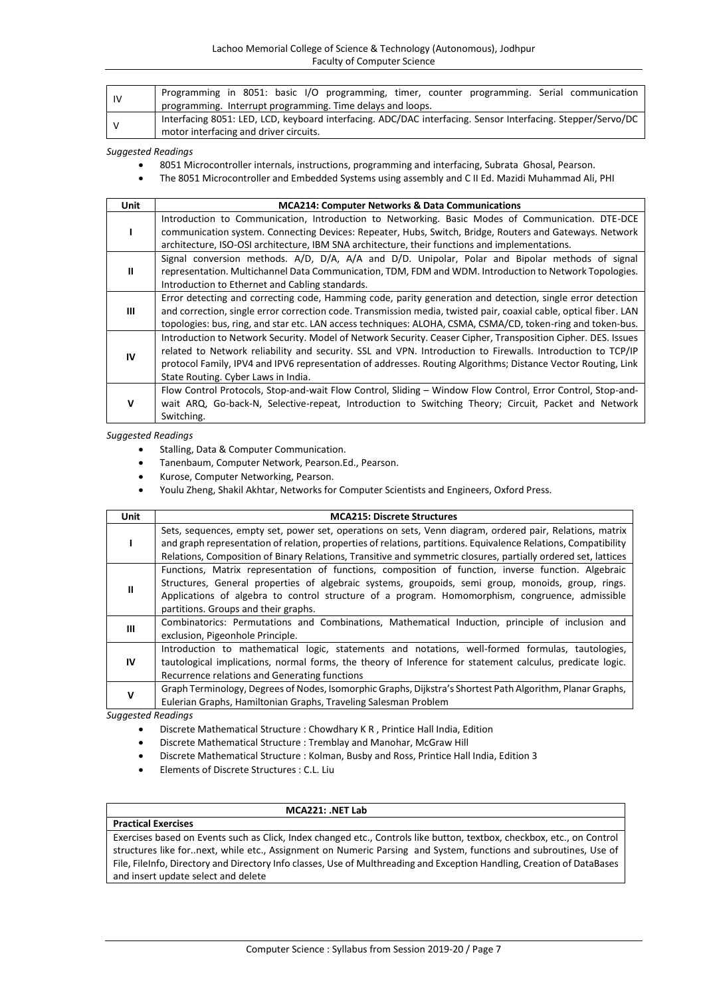| IV            | Programming in 8051: basic I/O programming, timer, counter programming. Serial communication                |
|---------------|-------------------------------------------------------------------------------------------------------------|
|               | programming. Interrupt programming. Time delays and loops.                                                  |
| $\mathcal{U}$ | Interfacing 8051: LED, LCD, keyboard interfacing. ADC/DAC interfacing. Sensor Interfacing. Stepper/Servo/DC |
|               | motor interfacing and driver circuits.                                                                      |

- 8051 Microcontroller internals, instructions, programming and interfacing, Subrata Ghosal, Pearson.
- The 8051 Microcontroller and Embedded Systems using assembly and C II Ed. Mazidi Muhammad Ali, PHI

| Unit | <b>MCA214: Computer Networks &amp; Data Communications</b>                                                                                                                                                                                                                                                                                                                           |
|------|--------------------------------------------------------------------------------------------------------------------------------------------------------------------------------------------------------------------------------------------------------------------------------------------------------------------------------------------------------------------------------------|
|      | Introduction to Communication, Introduction to Networking. Basic Modes of Communication. DTE-DCE<br>communication system. Connecting Devices: Repeater, Hubs, Switch, Bridge, Routers and Gateways. Network                                                                                                                                                                          |
|      | architecture, ISO-OSI architecture, IBM SNA architecture, their functions and implementations.                                                                                                                                                                                                                                                                                       |
| Ш    | Signal conversion methods. A/D, D/A, A/A and D/D. Unipolar, Polar and Bipolar methods of signal<br>representation. Multichannel Data Communication, TDM, FDM and WDM. Introduction to Network Topologies.<br>Introduction to Ethernet and Cabling standards.                                                                                                                         |
| Ш    | Error detecting and correcting code, Hamming code, parity generation and detection, single error detection<br>and correction, single error correction code. Transmission media, twisted pair, coaxial cable, optical fiber. LAN<br>topologies: bus, ring, and star etc. LAN access techniques: ALOHA, CSMA, CSMA/CD, token-ring and token-bus.                                       |
| IV   | Introduction to Network Security. Model of Network Security. Ceaser Cipher, Transposition Cipher. DES. Issues<br>related to Network reliability and security. SSL and VPN. Introduction to Firewalls. Introduction to TCP/IP<br>protocol Family, IPV4 and IPV6 representation of addresses. Routing Algorithms; Distance Vector Routing, Link<br>State Routing. Cyber Laws in India. |
| v    | Flow Control Protocols, Stop-and-wait Flow Control, Sliding - Window Flow Control, Error Control, Stop-and-<br>wait ARQ, Go-back-N, Selective-repeat, Introduction to Switching Theory; Circuit, Packet and Network<br>Switching.                                                                                                                                                    |

*Suggested Readings*

- Stalling, Data & Computer Communication.
- Tanenbaum, Computer Network, Pearson.Ed., Pearson.
- Kurose, Computer Networking, Pearson.
- Youlu Zheng, Shakil Akhtar, Networks for Computer Scientists and Engineers, Oxford Press.

| Unit | <b>MCA215: Discrete Structures</b>                                                                                                                                                                                                                                                                                                                   |
|------|------------------------------------------------------------------------------------------------------------------------------------------------------------------------------------------------------------------------------------------------------------------------------------------------------------------------------------------------------|
|      | Sets, sequences, empty set, power set, operations on sets, Venn diagram, ordered pair, Relations, matrix<br>and graph representation of relation, properties of relations, partitions. Equivalence Relations, Compatibility<br>Relations, Composition of Binary Relations, Transitive and symmetric closures, partially ordered set, lattices        |
| Ш    | Functions, Matrix representation of functions, composition of function, inverse function. Algebraic<br>Structures, General properties of algebraic systems, groupoids, semi group, monoids, group, rings.<br>Applications of algebra to control structure of a program. Homomorphism, congruence, admissible<br>partitions. Groups and their graphs. |
| Ш    | Combinatorics: Permutations and Combinations, Mathematical Induction, principle of inclusion and<br>exclusion, Pigeonhole Principle.                                                                                                                                                                                                                 |
| IV   | Introduction to mathematical logic, statements and notations, well-formed formulas, tautologies,<br>tautological implications, normal forms, the theory of Inference for statement calculus, predicate logic.<br>Recurrence relations and Generating functions                                                                                       |
| v    | Graph Terminology, Degrees of Nodes, Isomorphic Graphs, Dijkstra's Shortest Path Algorithm, Planar Graphs,<br>Eulerian Graphs, Hamiltonian Graphs, Traveling Salesman Problem                                                                                                                                                                        |

*Suggested Readings*

**Practical Exercises**

- Discrete Mathematical Structure : Chowdhary K R , Printice Hall India, Edition
- Discrete Mathematical Structure : Tremblay and Manohar, McGraw Hill
- Discrete Mathematical Structure : Kolman, Busby and Ross, Printice Hall India, Edition 3
- Elements of Discrete Structures : C.L. Liu

## **MCA221: .NET Lab**

Exercises based on Events such as Click, Index changed etc., Controls like button, textbox, checkbox, etc., on Control structures like for..next, while etc., Assignment on Numeric Parsing and System, functions and subroutines, Use of File, FileInfo, Directory and Directory Info classes, Use of Multhreading and Exception Handling, Creation of DataBases and insert update select and delete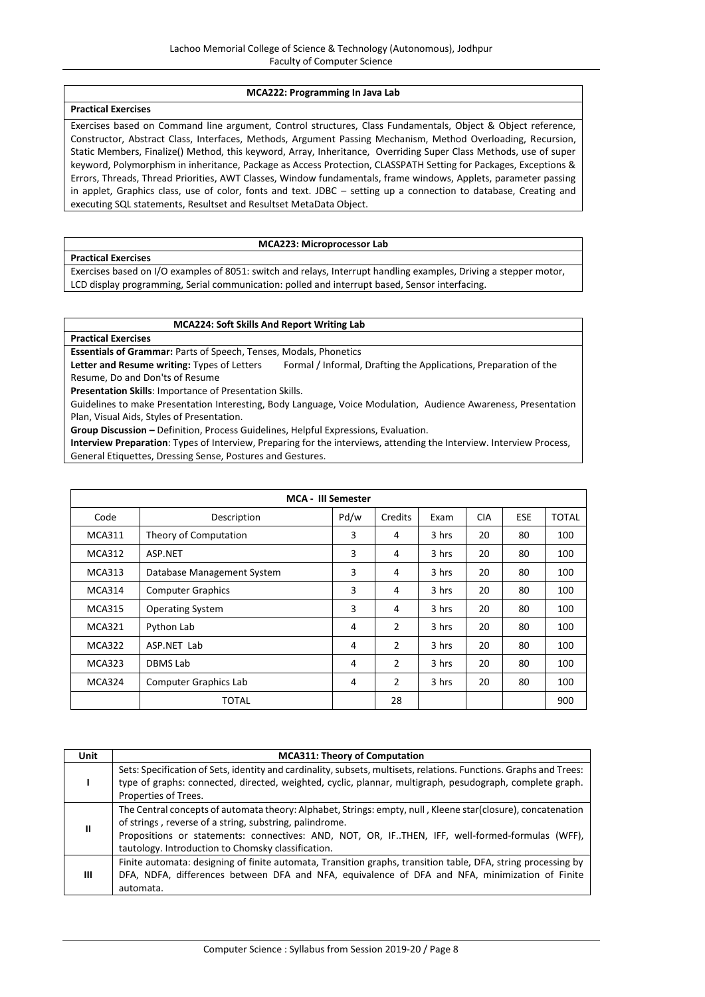#### **MCA222: Programming In Java Lab**

## **Practical Exercises**

Exercises based on Command line argument, Control structures, Class Fundamentals, Object & Object reference, Constructor, Abstract Class, Interfaces, Methods, Argument Passing Mechanism, Method Overloading, Recursion, Static Members, Finalize() Method, this keyword, Array, Inheritance, Overriding Super Class Methods, use of super keyword, Polymorphism in inheritance, Package as Access Protection, CLASSPATH Setting for Packages, Exceptions & Errors, Threads, Thread Priorities, AWT Classes, Window fundamentals, frame windows, Applets, parameter passing in applet, Graphics class, use of color, fonts and text. JDBC – setting up a connection to database, Creating and executing SQL statements, Resultset and Resultset MetaData Object.

#### **MCA223: Microprocessor Lab**

**Practical Exercises**

Exercises based on I/O examples of 8051: switch and relays, Interrupt handling examples, Driving a stepper motor, LCD display programming, Serial communication: polled and interrupt based, Sensor interfacing.

#### **MCA224: Soft Skills And Report Writing Lab**

**Practical Exercises**

**Essentials of Grammar:** Parts of Speech, Tenses, Modals, Phonetics

Letter and Resume writing: Types of Letters Formal / Informal, Drafting the Applications, Preparation of the Resume, Do and Don'ts of Resume

**Presentation Skills**: Importance of Presentation Skills.

Guidelines to make Presentation Interesting, Body Language, Voice Modulation, Audience Awareness, Presentation Plan, Visual Aids, Styles of Presentation.

**Group Discussion –** Definition, Process Guidelines, Helpful Expressions, Evaluation.

**Interview Preparation**: Types of Interview, Preparing for the interviews, attending the Interview. Interview Process, General Etiquettes, Dressing Sense, Postures and Gestures.

| <b>MCA - III Semester</b> |                              |      |                |       |            |            |       |
|---------------------------|------------------------------|------|----------------|-------|------------|------------|-------|
| Code                      | Description                  | Pd/w | Credits        | Exam  | <b>CIA</b> | <b>ESE</b> | TOTAL |
| <b>MCA311</b>             | Theory of Computation        | 3    | 4              | 3 hrs | 20         | 80         | 100   |
| <b>MCA312</b>             | ASP.NET                      | 3    | 4              | 3 hrs | 20         | 80         | 100   |
| MCA313                    | Database Management System   | 3    | 4              | 3 hrs | 20         | 80         | 100   |
| <b>MCA314</b>             | <b>Computer Graphics</b>     | 3    | 4              | 3 hrs | 20         | 80         | 100   |
| <b>MCA315</b>             | <b>Operating System</b>      | 3    | 4              | 3 hrs | 20         | 80         | 100   |
| <b>MCA321</b>             | Python Lab                   | 4    | 2              | 3 hrs | 20         | 80         | 100   |
| MCA322                    | ASP.NET Lab                  | 4    | $\overline{2}$ | 3 hrs | 20         | 80         | 100   |
| MCA323                    | <b>DBMS Lab</b>              | 4    | $\overline{2}$ | 3 hrs | 20         | 80         | 100   |
| MCA324                    | <b>Computer Graphics Lab</b> | 4    | 2              | 3 hrs | 20         | 80         | 100   |
|                           | TOTAL                        |      | 28             |       |            |            | 900   |

| <b>Unit</b> | <b>MCA311: Theory of Computation</b>                                                                                                                                                                                                                                                                                             |
|-------------|----------------------------------------------------------------------------------------------------------------------------------------------------------------------------------------------------------------------------------------------------------------------------------------------------------------------------------|
|             | Sets: Specification of Sets, identity and cardinality, subsets, multisets, relations. Functions. Graphs and Trees:<br>type of graphs: connected, directed, weighted, cyclic, plannar, multigraph, pesudograph, complete graph.<br>Properties of Trees.                                                                           |
| Ш           | The Central concepts of automata theory: Alphabet, Strings: empty, null, Kleene star(closure), concatenation<br>of strings, reverse of a string, substring, palindrome.<br>Propositions or statements: connectives: AND, NOT, OR, IFTHEN, IFF, well-formed-formulas (WFF),<br>tautology. Introduction to Chomsky classification. |
| Ш           | Finite automata: designing of finite automata, Transition graphs, transition table, DFA, string processing by<br>DFA, NDFA, differences between DFA and NFA, equivalence of DFA and NFA, minimization of Finite<br>automata.                                                                                                     |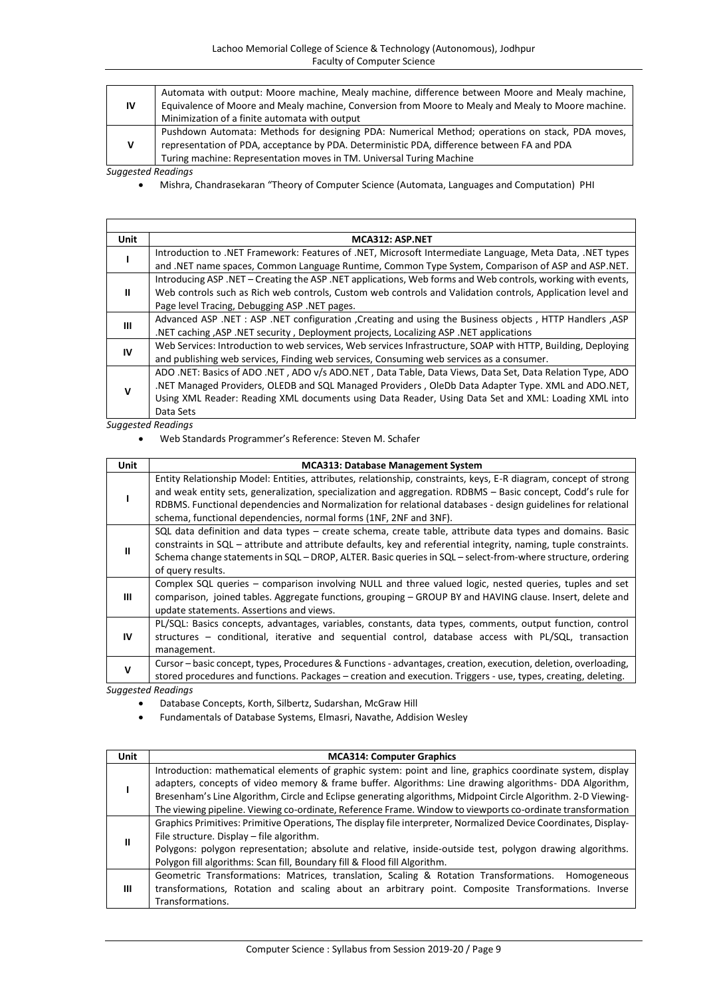|    | Automata with output: Moore machine, Mealy machine, difference between Moore and Mealy machine,    |
|----|----------------------------------------------------------------------------------------------------|
| IV | Equivalence of Moore and Mealy machine, Conversion from Moore to Mealy and Mealy to Moore machine. |
|    | Minimization of a finite automata with output                                                      |
|    | Pushdown Automata: Methods for designing PDA: Numerical Method; operations on stack, PDA moves,    |
| v  | representation of PDA, acceptance by PDA. Deterministic PDA, difference between FA and PDA         |
|    | Turing machine: Representation moves in TM. Universal Turing Machine                               |

Mishra, Chandrasekaran "Theory of Computer Science (Automata, Languages and Computation) PHI

| <b>Unit</b> | MCA312: ASP.NET                                                                                              |
|-------------|--------------------------------------------------------------------------------------------------------------|
|             | Introduction to .NET Framework: Features of .NET, Microsoft Intermediate Language, Meta Data, .NET types     |
|             | and .NET name spaces, Common Language Runtime, Common Type System, Comparison of ASP and ASP.NET.            |
|             | Introducing ASP .NET - Creating the ASP .NET applications, Web forms and Web controls, working with events,  |
| Ш           | Web controls such as Rich web controls, Custom web controls and Validation controls, Application level and   |
|             | Page level Tracing, Debugging ASP .NET pages.                                                                |
|             | Advanced ASP .NET : ASP .NET configuration , Creating and using the Business objects , HTTP Handlers , ASP   |
| Ш           | .NET caching ,ASP .NET security , Deployment projects, Localizing ASP .NET applications                      |
| <b>IV</b>   | Web Services: Introduction to web services, Web services Infrastructure, SOAP with HTTP, Building, Deploying |
|             | and publishing web services, Finding web services, Consuming web services as a consumer.                     |
|             | ADO .NET: Basics of ADO .NET, ADO v/s ADO.NET, Data Table, Data Views, Data Set, Data Relation Type, ADO     |
| v           | NET Managed Providers, OLEDB and SQL Managed Providers, OleDb Data Adapter Type. XML and ADO.NET.            |
|             | Using XML Reader: Reading XML documents using Data Reader, Using Data Set and XML: Loading XML into          |
|             | Data Sets                                                                                                    |

*Suggested Readings*

Web Standards Programmer's Reference: Steven M. Schafer

| Unit      | MCA313: Database Management System                                                                                                                                                                                                                                                                                                                                                                                    |
|-----------|-----------------------------------------------------------------------------------------------------------------------------------------------------------------------------------------------------------------------------------------------------------------------------------------------------------------------------------------------------------------------------------------------------------------------|
|           | Entity Relationship Model: Entities, attributes, relationship, constraints, keys, E-R diagram, concept of strong<br>and weak entity sets, generalization, specialization and aggregation. RDBMS - Basic concept, Codd's rule for<br>RDBMS. Functional dependencies and Normalization for relational databases - design guidelines for relational<br>schema, functional dependencies, normal forms (1NF, 2NF and 3NF). |
| Ш         | SQL data definition and data types – create schema, create table, attribute data types and domains. Basic<br>constraints in SQL - attribute and attribute defaults, key and referential integrity, naming, tuple constraints.<br>Schema change statements in SQL - DROP, ALTER. Basic queries in SQL - select-from-where structure, ordering<br>of query results.                                                     |
| Ш         | Complex SQL queries – comparison involving NULL and three valued logic, nested queries, tuples and set<br>comparison, joined tables. Aggregate functions, grouping – GROUP BY and HAVING clause. Insert, delete and<br>update statements. Assertions and views.                                                                                                                                                       |
| <b>IV</b> | PL/SQL: Basics concepts, advantages, variables, constants, data types, comments, output function, control<br>structures – conditional, iterative and sequential control, database access with PL/SQL, transaction<br>management.                                                                                                                                                                                      |
| v         | Cursor – basic concept, types, Procedures & Functions - advantages, creation, execution, deletion, overloading,<br>stored procedures and functions. Packages – creation and execution. Triggers - use, types, creating, deleting.<br>Sugaected Readings                                                                                                                                                               |

- Database Concepts, Korth, Silbertz, Sudarshan, McGraw Hill
- Fundamentals of Database Systems, Elmasri, Navathe, Addision Wesley

| Unit         | <b>MCA314: Computer Graphics</b>                                                                                 |
|--------------|------------------------------------------------------------------------------------------------------------------|
|              | Introduction: mathematical elements of graphic system: point and line, graphics coordinate system, display       |
|              | adapters, concepts of video memory & frame buffer. Algorithms: Line drawing algorithms- DDA Algorithm,           |
|              | Bresenham's Line Algorithm, Circle and Eclipse generating algorithms, Midpoint Circle Algorithm. 2-D Viewing-    |
|              | The viewing pipeline. Viewing co-ordinate, Reference Frame. Window to viewports co-ordinate transformation       |
| $\mathbf{I}$ | Graphics Primitives: Primitive Operations, The display file interpreter, Normalized Device Coordinates, Display- |
|              | File structure. Display – file algorithm.                                                                        |
|              | Polygons: polygon representation; absolute and relative, inside-outside test, polygon drawing algorithms.        |
|              | Polygon fill algorithms: Scan fill, Boundary fill & Flood fill Algorithm.                                        |
| Ш            | Geometric Transformations: Matrices, translation, Scaling & Rotation Transformations.<br>Homogeneous             |
|              | transformations, Rotation and scaling about an arbitrary point. Composite Transformations. Inverse               |
|              | Transformations.                                                                                                 |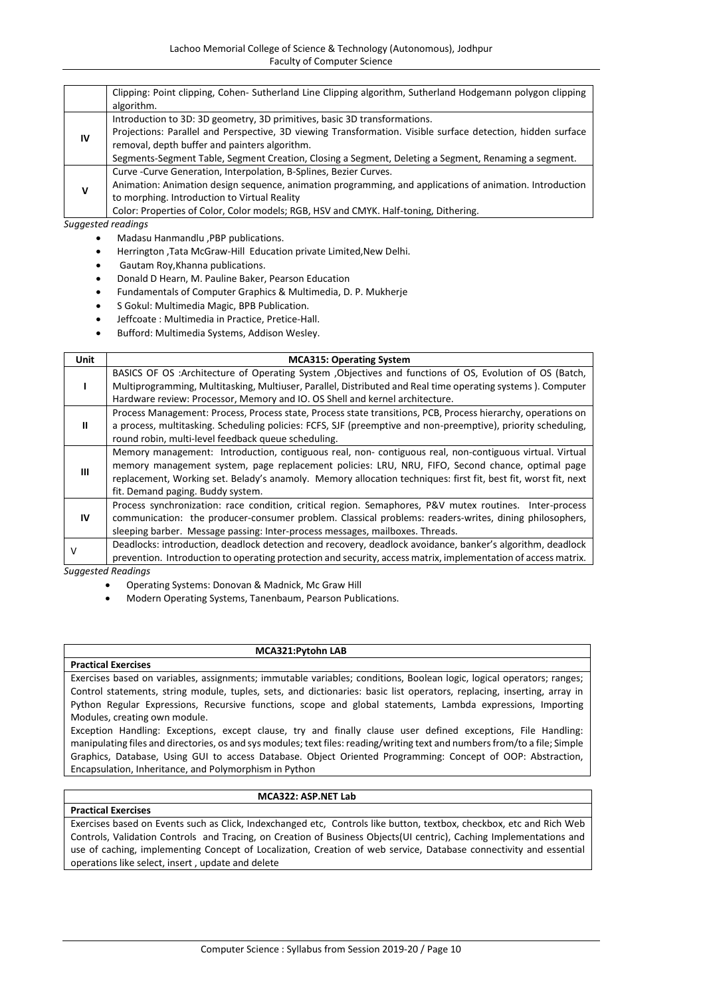|    | Clipping: Point clipping, Cohen- Sutherland Line Clipping algorithm, Sutherland Hodgemann polygon clipping<br>algorithm. |
|----|--------------------------------------------------------------------------------------------------------------------------|
|    | Introduction to 3D: 3D geometry, 3D primitives, basic 3D transformations.                                                |
|    | Projections: Parallel and Perspective, 3D viewing Transformation. Visible surface detection, hidden surface              |
| 1V | removal, depth buffer and painters algorithm.                                                                            |
|    | Segments-Segment Table, Segment Creation, Closing a Segment, Deleting a Segment, Renaming a segment.                     |
| v  | Curve - Curve Generation, Interpolation, B-Splines, Bezier Curves.                                                       |
|    | Animation: Animation design sequence, animation programming, and applications of animation. Introduction                 |
|    | to morphing. Introduction to Virtual Reality                                                                             |
|    | Color: Properties of Color, Color models; RGB, HSV and CMYK. Half-toning, Dithering.                                     |

- Madasu Hanmandlu ,PBP publications.
- Herrington ,Tata McGraw-Hill Education private Limited,New Delhi.
- Gautam Roy,Khanna publications.
- Donald D Hearn, M. Pauline Baker, Pearson Education
- Fundamentals of Computer Graphics & Multimedia, D. P. Mukherje
- S Gokul: Multimedia Magic, BPB Publication.
- Jeffcoate : Multimedia in Practice, Pretice-Hall.
- Bufford: Multimedia Systems, Addison Wesley.

| <b>Unit</b> | <b>MCA315: Operating System</b>                                                                                                                                                                                                                                                                                                                                    |
|-------------|--------------------------------------------------------------------------------------------------------------------------------------------------------------------------------------------------------------------------------------------------------------------------------------------------------------------------------------------------------------------|
|             | BASICS OF OS :Architecture of Operating System ,Objectives and functions of OS, Evolution of OS (Batch,<br>Multiprogramming, Multitasking, Multiuser, Parallel, Distributed and Real time operating systems). Computer<br>Hardware review: Processor, Memory and IO. OS Shell and kernel architecture.                                                             |
| ш           | Process Management: Process, Process state, Process state transitions, PCB, Process hierarchy, operations on<br>a process, multitasking. Scheduling policies: FCFS, SJF (preemptive and non-preemptive), priority scheduling,<br>round robin, multi-level feedback queue scheduling.                                                                               |
| Ш           | Memory management: Introduction, contiguous real, non- contiguous real, non-contiguous virtual. Virtual<br>memory management system, page replacement policies: LRU, NRU, FIFO, Second chance, optimal page<br>replacement, Working set. Belady's anamoly. Memory allocation techniques: first fit, best fit, worst fit, next<br>fit. Demand paging. Buddy system. |
| IV.         | Process synchronization: race condition, critical region. Semaphores, P&V mutex routines. Inter-process<br>communication: the producer-consumer problem. Classical problems: readers-writes, dining philosophers,<br>sleeping barber. Message passing: Inter-process messages, mailboxes. Threads.                                                                 |
| v           | Deadlocks: introduction, deadlock detection and recovery, deadlock avoidance, banker's algorithm, deadlock<br>prevention. Introduction to operating protection and security, access matrix, implementation of access matrix.                                                                                                                                       |
|             | Suaaested Readinas                                                                                                                                                                                                                                                                                                                                                 |

*Suggested Readings*

**Practical Exercises**

**Practical Exercises**

- Operating Systems: Donovan & Madnick, Mc Graw Hill
- Modern Operating Systems, Tanenbaum, Pearson Publications.

#### **MCA321:Pytohn LAB**

Exercises based on variables, assignments; immutable variables; conditions, Boolean logic, logical operators; ranges; Control statements, string module, tuples, sets, and dictionaries: basic list operators, replacing, inserting, array in Python Regular Expressions, Recursive functions, scope and global statements, Lambda expressions, Importing Modules, creating own module.

Exception Handling: Exceptions, except clause, try and finally clause user defined exceptions, File Handling: manipulating files and directories, os and sys modules; text files: reading/writing text and numbers from/to a file; Simple Graphics, Database, Using GUI to access Database. Object Oriented Programming: Concept of OOP: Abstraction, Encapsulation, Inheritance, and Polymorphism in Python

# **MCA322: ASP.NET Lab**

Exercises based on Events such as Click, Indexchanged etc, Controls like button, textbox, checkbox, etc and Rich Web Controls, Validation Controls and Tracing, on Creation of Business Objects(UI centric), Caching Implementations and use of caching, implementing Concept of Localization, Creation of web service, Database connectivity and essential operations like select, insert , update and delete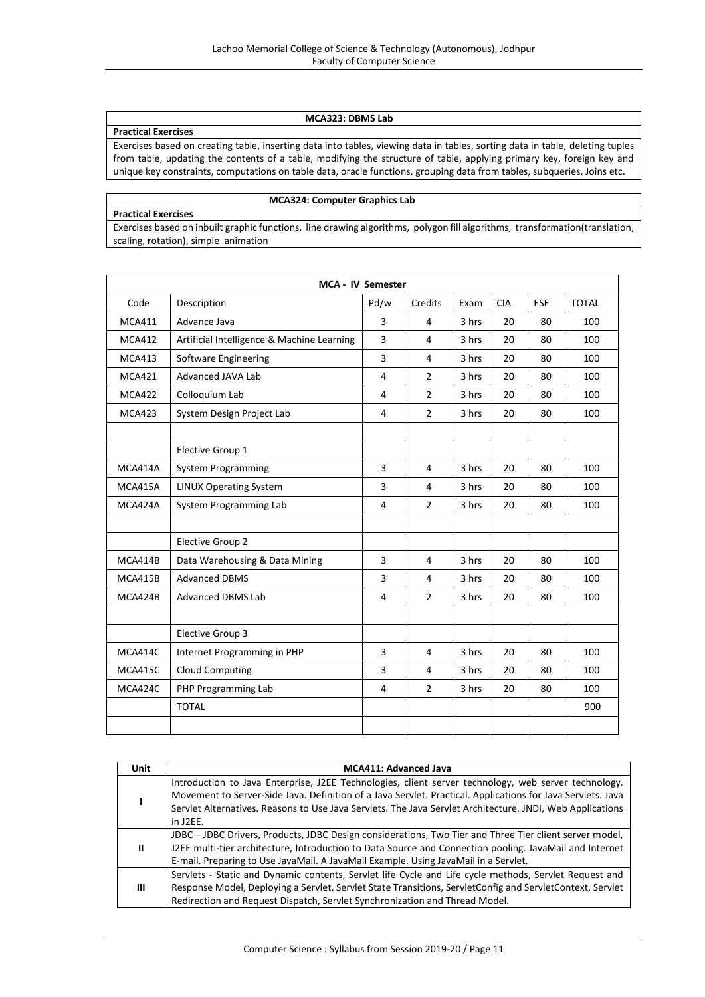# **MCA323: DBMS Lab**

**Practical Exercises**

Exercises based on creating table, inserting data into tables, viewing data in tables, sorting data in table, deleting tuples from table, updating the contents of a table, modifying the structure of table, applying primary key, foreign key and unique key constraints, computations on table data, oracle functions, grouping data from tables, subqueries, Joins etc.

# **MCA324: Computer Graphics Lab**

**Practical Exercises**

Exercises based on inbuilt graphic functions, line drawing algorithms, polygon fill algorithms, transformation(translation, scaling, rotation), simple animation

| <b>MCA - IV Semester</b> |                                            |                |                |       |            |            |              |
|--------------------------|--------------------------------------------|----------------|----------------|-------|------------|------------|--------------|
| Code                     | Description                                | Pd/w           | Credits        | Exam  | <b>CIA</b> | <b>ESE</b> | <b>TOTAL</b> |
| <b>MCA411</b>            | Advance Java                               | 3              | $\overline{4}$ | 3 hrs | 20         | 80         | 100          |
| <b>MCA412</b>            | Artificial Intelligence & Machine Learning | 3              | $\overline{4}$ | 3 hrs | 20         | 80         | 100          |
| <b>MCA413</b>            | Software Engineering                       | 3              | 4              | 3 hrs | 20         | 80         | 100          |
| <b>MCA421</b>            | Advanced JAVA Lab                          | 4              | $\overline{2}$ | 3 hrs | 20         | 80         | 100          |
| <b>MCA422</b>            | Colloquium Lab                             | 4              | $\overline{2}$ | 3 hrs | 20         | 80         | 100          |
| <b>MCA423</b>            | System Design Project Lab                  | $\overline{4}$ | $\overline{2}$ | 3 hrs | 20         | 80         | 100          |
|                          |                                            |                |                |       |            |            |              |
|                          | Elective Group 1                           |                |                |       |            |            |              |
| MCA414A                  | <b>System Programming</b>                  | 3              | 4              | 3 hrs | 20         | 80         | 100          |
| MCA415A                  | <b>LINUX Operating System</b>              | 3              | 4              | 3 hrs | 20         | 80         | 100          |
| MCA424A                  | System Programming Lab                     | 4              | $\overline{2}$ | 3 hrs | 20         | 80         | 100          |
|                          |                                            |                |                |       |            |            |              |
|                          | <b>Elective Group 2</b>                    |                |                |       |            |            |              |
| MCA414B                  | Data Warehousing & Data Mining             | 3              | 4              | 3 hrs | 20         | 80         | 100          |
| MCA415B                  | <b>Advanced DBMS</b>                       | 3              | 4              | 3 hrs | 20         | 80         | 100          |
| MCA424B                  | <b>Advanced DBMS Lab</b>                   | 4              | $\overline{2}$ | 3 hrs | 20         | 80         | 100          |
|                          |                                            |                |                |       |            |            |              |
|                          | Elective Group 3                           |                |                |       |            |            |              |
| MCA414C                  | Internet Programming in PHP                | 3              | 4              | 3 hrs | 20         | 80         | 100          |
| MCA415C                  | <b>Cloud Computing</b>                     | 3              | 4              | 3 hrs | 20         | 80         | 100          |
| MCA424C                  | PHP Programming Lab                        | 4              | $\overline{2}$ | 3 hrs | 20         | 80         | 100          |
|                          | <b>TOTAL</b>                               |                |                |       |            |            | 900          |
|                          |                                            |                |                |       |            |            |              |

| Unit | <b>MCA411: Advanced Java</b>                                                                                                                                                                                                                                                                                                                 |
|------|----------------------------------------------------------------------------------------------------------------------------------------------------------------------------------------------------------------------------------------------------------------------------------------------------------------------------------------------|
|      | Introduction to Java Enterprise, J2EE Technologies, client server technology, web server technology.<br>Movement to Server-Side Java. Definition of a Java Servlet. Practical. Applications for Java Servlets. Java<br>Servlet Alternatives. Reasons to Use Java Servlets. The Java Servlet Architecture. JNDI, Web Applications<br>in J2EE. |
| Ш    | JDBC - JDBC Drivers, Products, JDBC Design considerations, Two Tier and Three Tier client server model,<br>J2EE multi-tier architecture, Introduction to Data Source and Connection pooling. JavaMail and Internet<br>E-mail. Preparing to Use JavaMail. A JavaMail Example. Using JavaMail in a Servlet.                                    |
| ш    | Servlets - Static and Dynamic contents, Servlet life Cycle and Life cycle methods, Servlet Request and<br>Response Model, Deploying a Servlet, Servlet State Transitions, ServletConfig and ServletContext, Servlet<br>Redirection and Request Dispatch, Servlet Synchronization and Thread Model.                                           |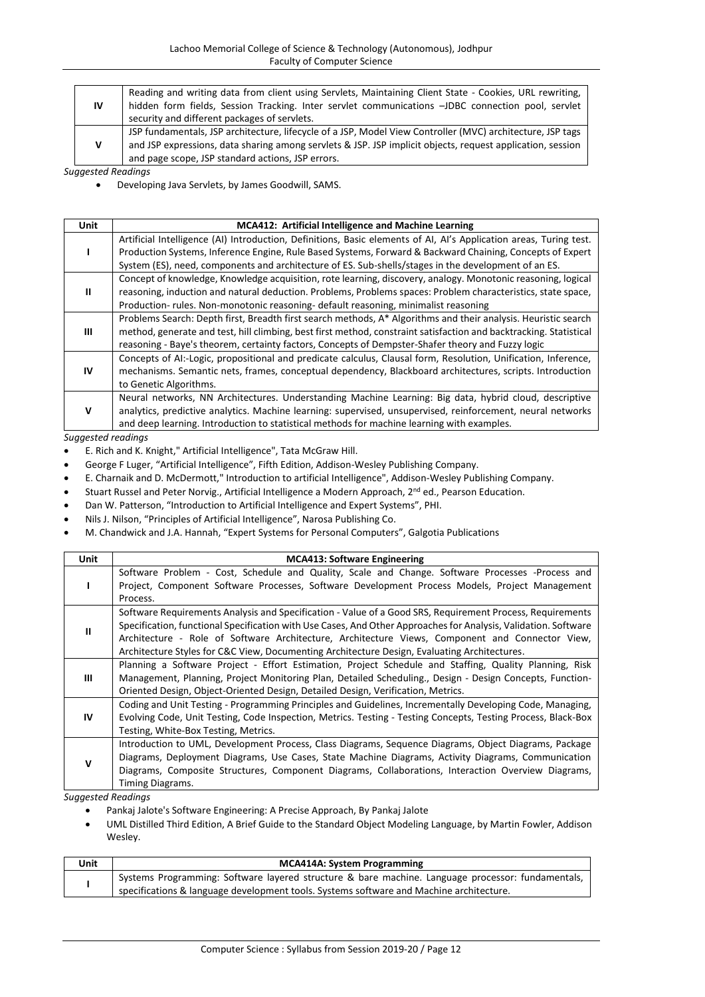|    | Reading and writing data from client using Servlets, Maintaining Client State - Cookies, URL rewriting,    |
|----|------------------------------------------------------------------------------------------------------------|
| ΙV | hidden form fields, Session Tracking. Inter servlet communications -JDBC connection pool, servlet          |
|    | security and different packages of servlets.                                                               |
|    | JSP fundamentals, JSP architecture, lifecycle of a JSP, Model View Controller (MVC) architecture, JSP tags |
| v  | and JSP expressions, data sharing among servlets & JSP. JSP implicit objects, request application, session |
|    |                                                                                                            |

Developing Java Servlets, by James Goodwill, SAMS.

| Unit | <b>MCA412: Artificial Intelligence and Machine Learning</b>                                                                                                                                                                                                                                                                               |
|------|-------------------------------------------------------------------------------------------------------------------------------------------------------------------------------------------------------------------------------------------------------------------------------------------------------------------------------------------|
|      | Artificial Intelligence (AI) Introduction, Definitions, Basic elements of AI, AI's Application areas, Turing test.<br>Production Systems, Inference Engine, Rule Based Systems, Forward & Backward Chaining, Concepts of Expert<br>System (ES), need, components and architecture of ES. Sub-shells/stages in the development of an ES.   |
| Ш    | Concept of knowledge, Knowledge acquisition, rote learning, discovery, analogy. Monotonic reasoning, logical<br>reasoning, induction and natural deduction. Problems, Problems spaces: Problem characteristics, state space,<br>Production-rules. Non-monotonic reasoning-default reasoning, minimalist reasoning                         |
| Ш    | Problems Search: Depth first, Breadth first search methods, A* Algorithms and their analysis. Heuristic search<br>method, generate and test, hill climbing, best first method, constraint satisfaction and backtracking. Statistical<br>reasoning - Baye's theorem, certainty factors, Concepts of Dempster-Shafer theory and Fuzzy logic |
| IV   | Concepts of AI:-Logic, propositional and predicate calculus, Clausal form, Resolution, Unification, Inference,<br>mechanisms. Semantic nets, frames, conceptual dependency, Blackboard architectures, scripts. Introduction<br>to Genetic Algorithms.                                                                                     |
| v    | Neural networks, NN Architectures. Understanding Machine Learning: Big data, hybrid cloud, descriptive<br>analytics, predictive analytics. Machine learning: supervised, unsupervised, reinforcement, neural networks<br>and deep learning. Introduction to statistical methods for machine learning with examples.                       |

*Suggested readings*

- E. Rich and K. Knight," Artificial Intelligence", Tata McGraw Hill.
- George F Luger, "Artificial Intelligence", Fifth Edition, Addison-Wesley Publishing Company.
- E. Charnaik and D. McDermott," Introduction to artificial Intelligence", Addison-Wesley Publishing Company.
- Stuart Russel and Peter Norvig., Artificial Intelligence a Modern Approach, 2<sup>nd</sup> ed., Pearson Education.
- Dan W. Patterson, "Introduction to Artificial Intelligence and Expert Systems", PHI.
- Nils J. Nilson, "Principles of Artificial Intelligence", Narosa Publishing Co.
- M. Chandwick and J.A. Hannah, "Expert Systems for Personal Computers", Galgotia Publications

# **Unit MCA413: Software Engineering**

|                        | Software Problem - Cost, Schedule and Quality, Scale and Change. Software Processes -Process and<br>Project, Component Software Processes, Software Development Process Models, Project Management<br>Process.                                                                                                                                                                                                                  |
|------------------------|---------------------------------------------------------------------------------------------------------------------------------------------------------------------------------------------------------------------------------------------------------------------------------------------------------------------------------------------------------------------------------------------------------------------------------|
| Ш                      | Software Requirements Analysis and Specification - Value of a Good SRS, Requirement Process, Requirements<br>Specification, functional Specification with Use Cases, And Other Approaches for Analysis, Validation. Software<br>Architecture - Role of Software Architecture, Architecture Views, Component and Connector View,<br>Architecture Styles for C&C View, Documenting Architecture Design, Evaluating Architectures. |
| Ш                      | Planning a Software Project - Effort Estimation, Project Schedule and Staffing, Quality Planning, Risk<br>Management, Planning, Project Monitoring Plan, Detailed Scheduling., Design - Design Concepts, Function-<br>Oriented Design, Object-Oriented Design, Detailed Design, Verification, Metrics.                                                                                                                          |
| IV                     | Coding and Unit Testing - Programming Principles and Guidelines, Incrementally Developing Code, Managing,<br>Evolving Code, Unit Testing, Code Inspection, Metrics. Testing - Testing Concepts, Testing Process, Black-Box<br>Testing, White-Box Testing, Metrics.                                                                                                                                                              |
| v                      | Introduction to UML, Development Process, Class Diagrams, Sequence Diagrams, Object Diagrams, Package<br>Diagrams, Deployment Diagrams, Use Cases, State Machine Diagrams, Activity Diagrams, Communication<br>Diagrams, Composite Structures, Component Diagrams, Collaborations, Interaction Overview Diagrams,<br>Timing Diagrams.                                                                                           |
| Conservation Desidiese |                                                                                                                                                                                                                                                                                                                                                                                                                                 |

- Pankaj Jalote's Software Engineering: A Precise Approach, By Pankaj Jalote
- UML Distilled Third Edition, A Brief Guide to the Standard Object Modeling Language, by Martin Fowler, Addison Wesley.

| Unit | <b>MCA414A: System Programming</b>                                                                                                                                                           |
|------|----------------------------------------------------------------------------------------------------------------------------------------------------------------------------------------------|
|      | Systems Programming: Software layered structure & bare machine. Language processor: fundamentals,<br>specifications & language development tools. Systems software and Machine architecture. |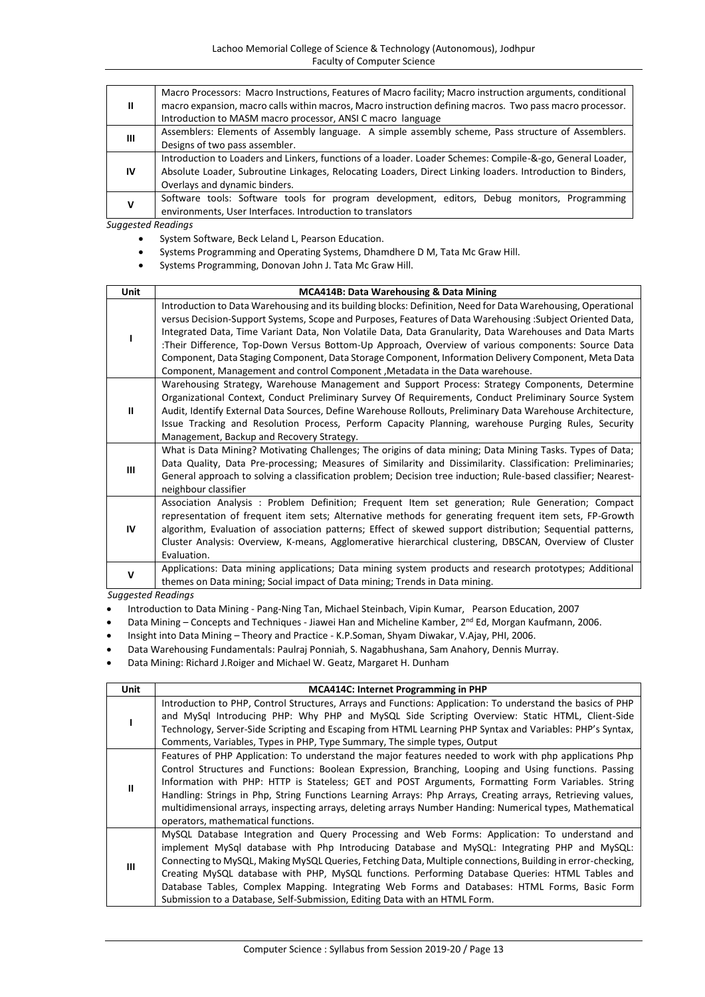| Ш  | Macro Processors: Macro Instructions, Features of Macro facility; Macro instruction arguments, conditional |
|----|------------------------------------------------------------------------------------------------------------|
|    | macro expansion, macro calls within macros, Macro instruction defining macros. Two pass macro processor.   |
|    | Introduction to MASM macro processor, ANSI C macro language                                                |
| Ш  | Assemblers: Elements of Assembly language. A simple assembly scheme, Pass structure of Assemblers.         |
|    | Designs of two pass assembler.                                                                             |
|    | Introduction to Loaders and Linkers, functions of a loader. Loader Schemes: Compile-&-go, General Loader,  |
| IV | Absolute Loader, Subroutine Linkages, Relocating Loaders, Direct Linking loaders. Introduction to Binders, |
|    | Overlays and dynamic binders.                                                                              |
| v  | Software tools: Software tools for program development, editors, Debug monitors, Programming               |
|    | environments, User Interfaces. Introduction to translators                                                 |

- System Software, Beck Leland L, Pearson Education.
- Systems Programming and Operating Systems, Dhamdhere D M, Tata Mc Graw Hill.
- Systems Programming, Donovan John J. Tata Mc Graw Hill.

| <b>Unit</b>    | MCA414B: Data Warehousing & Data Mining                                                                                                                                                                                                                                                                                                                                                                                                                                                                                                                                                                                             |
|----------------|-------------------------------------------------------------------------------------------------------------------------------------------------------------------------------------------------------------------------------------------------------------------------------------------------------------------------------------------------------------------------------------------------------------------------------------------------------------------------------------------------------------------------------------------------------------------------------------------------------------------------------------|
|                | Introduction to Data Warehousing and its building blocks: Definition, Need for Data Warehousing, Operational<br>versus Decision-Support Systems, Scope and Purposes, Features of Data Warehousing : Subject Oriented Data,<br>Integrated Data, Time Variant Data, Non Volatile Data, Data Granularity, Data Warehouses and Data Marts<br>Their Difference, Top-Down Versus Bottom-Up Approach, Overview of various components: Source Data:<br>Component, Data Staging Component, Data Storage Component, Information Delivery Component, Meta Data<br>Component, Management and control Component, Metadata in the Data warehouse. |
| Ш              | Warehousing Strategy, Warehouse Management and Support Process: Strategy Components, Determine<br>Organizational Context, Conduct Preliminary Survey Of Requirements, Conduct Preliminary Source System<br>Audit, Identify External Data Sources, Define Warehouse Rollouts, Preliminary Data Warehouse Architecture,<br>Issue Tracking and Resolution Process, Perform Capacity Planning, warehouse Purging Rules, Security<br>Management, Backup and Recovery Strategy.                                                                                                                                                           |
| $\mathbf{III}$ | What is Data Mining? Motivating Challenges; The origins of data mining; Data Mining Tasks. Types of Data;<br>Data Quality, Data Pre-processing; Measures of Similarity and Dissimilarity. Classification: Preliminaries;<br>General approach to solving a classification problem; Decision tree induction; Rule-based classifier; Nearest-<br>neighbour classifier                                                                                                                                                                                                                                                                  |
| IV             | Association Analysis: Problem Definition; Frequent Item set generation; Rule Generation; Compact<br>representation of frequent item sets; Alternative methods for generating frequent item sets, FP-Growth<br>algorithm, Evaluation of association patterns; Effect of skewed support distribution; Sequential patterns,<br>Cluster Analysis: Overview, K-means, Agglomerative hierarchical clustering, DBSCAN, Overview of Cluster<br>Evaluation.                                                                                                                                                                                  |
| $\mathbf v$    | Applications: Data mining applications; Data mining system products and research prototypes; Additional<br>themes on Data mining; Social impact of Data mining; Trends in Data mining.                                                                                                                                                                                                                                                                                                                                                                                                                                              |

- Introduction to Data Mining Pang-Ning Tan, Michael Steinbach, Vipin Kumar, Pearson Education, 2007
- Data Mining Concepts and Techniques Jiawei Han and Micheline Kamber, 2<sup>nd</sup> Ed, Morgan Kaufmann, 2006.
- Insight into Data Mining Theory and Practice K.P.Soman, Shyam Diwakar, V.Ajay, PHI, 2006.
- Data Warehousing Fundamentals: Paulraj Ponniah, S. Nagabhushana, Sam Anahory, Dennis Murray.
- Data Mining: Richard J.Roiger and Michael W. Geatz, Margaret H. Dunham

| Unit         | <b>MCA414C: Internet Programming in PHP</b>                                                                                                                                                                                                                                                                                                                                                                                                                                                                                                                                                    |
|--------------|------------------------------------------------------------------------------------------------------------------------------------------------------------------------------------------------------------------------------------------------------------------------------------------------------------------------------------------------------------------------------------------------------------------------------------------------------------------------------------------------------------------------------------------------------------------------------------------------|
|              | Introduction to PHP, Control Structures, Arrays and Functions: Application: To understand the basics of PHP<br>and MySql Introducing PHP: Why PHP and MySQL Side Scripting Overview: Static HTML, Client-Side<br>Technology, Server-Side Scripting and Escaping from HTML Learning PHP Syntax and Variables: PHP's Syntax,<br>Comments, Variables, Types in PHP, Type Summary, The simple types, Output                                                                                                                                                                                        |
| $\mathbf{u}$ | Features of PHP Application: To understand the major features needed to work with php applications Php<br>Control Structures and Functions: Boolean Expression, Branching, Looping and Using functions. Passing<br>Information with PHP: HTTP is Stateless; GET and POST Arguments, Formatting Form Variables. String<br>Handling: Strings in Php, String Functions Learning Arrays: Php Arrays, Creating arrays, Retrieving values,<br>multidimensional arrays, inspecting arrays, deleting arrays Number Handing: Numerical types, Mathematical<br>operators, mathematical functions.        |
| $\mathbf{m}$ | MySQL Database Integration and Query Processing and Web Forms: Application: To understand and<br>implement MySql database with Php Introducing Database and MySQL: Integrating PHP and MySQL:<br>Connecting to MySQL, Making MySQL Queries, Fetching Data, Multiple connections, Building in error-checking,<br>Creating MySQL database with PHP, MySQL functions. Performing Database Queries: HTML Tables and<br>Database Tables, Complex Mapping. Integrating Web Forms and Databases: HTML Forms, Basic Form<br>Submission to a Database, Self-Submission, Editing Data with an HTML Form. |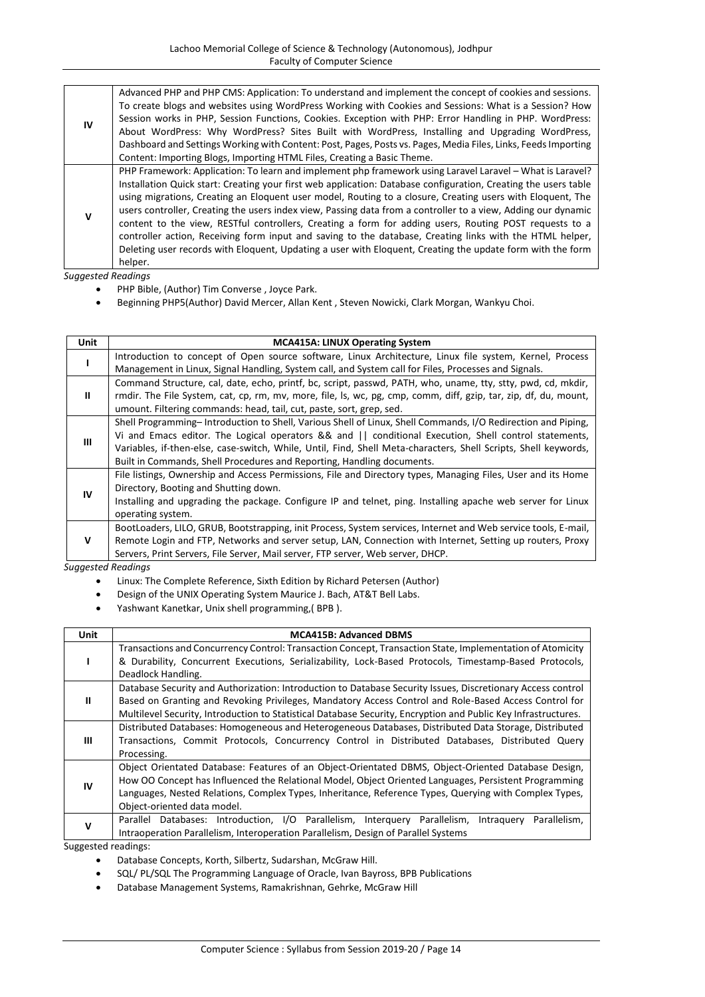| IV | Advanced PHP and PHP CMS: Application: To understand and implement the concept of cookies and sessions.<br>To create blogs and websites using WordPress Working with Cookies and Sessions: What is a Session? How<br>Session works in PHP, Session Functions, Cookies. Exception with PHP: Error Handling in PHP. WordPress:<br>About WordPress: Why WordPress? Sites Built with WordPress, Installing and Upgrading WordPress,                                                                                                                                                                                                                                                                                                                                                                 |
|----|-------------------------------------------------------------------------------------------------------------------------------------------------------------------------------------------------------------------------------------------------------------------------------------------------------------------------------------------------------------------------------------------------------------------------------------------------------------------------------------------------------------------------------------------------------------------------------------------------------------------------------------------------------------------------------------------------------------------------------------------------------------------------------------------------|
|    | Dashboard and Settings Working with Content: Post, Pages, Posts vs. Pages, Media Files, Links, Feeds Importing<br>Content: Importing Blogs, Importing HTML Files, Creating a Basic Theme.                                                                                                                                                                                                                                                                                                                                                                                                                                                                                                                                                                                                       |
| v  | PHP Framework: Application: To learn and implement php framework using Laravel Laravel – What is Laravel?<br>Installation Quick start: Creating your first web application: Database configuration, Creating the users table<br>using migrations, Creating an Eloquent user model, Routing to a closure, Creating users with Eloquent, The<br>users controller, Creating the users index view, Passing data from a controller to a view, Adding our dynamic<br>content to the view, RESTful controllers, Creating a form for adding users, Routing POST requests to a<br>controller action, Receiving form input and saving to the database, Creating links with the HTML helper,<br>Deleting user records with Eloquent, Updating a user with Eloquent, Creating the update form with the form |
|    | helper.                                                                                                                                                                                                                                                                                                                                                                                                                                                                                                                                                                                                                                                                                                                                                                                         |

- PHP Bible, (Author) Tim Converse , Joyce Park.
- Beginning PHP5(Author) David Mercer, Allan Kent , [Steven Nowicki,](http://www.amazon.com/s/ref=ntt_athr_dp_sr_4?_encoding=UTF8&field-author=Steven%20Nowicki&ie=UTF8&search-alias=books&sort=relevancerank) [Clark Morgan,](http://www.amazon.com/s/ref=ntt_athr_dp_sr_5?_encoding=UTF8&field-author=Clark%20Morgan&ie=UTF8&search-alias=books&sort=relevancerank) [Wankyu Choi.](http://www.amazon.com/s/ref=ntt_athr_dp_sr_6?_encoding=UTF8&field-author=Wankyu%20Choi&ie=UTF8&search-alias=books&sort=relevancerank)

| Unit         | <b>MCA415A: LINUX Operating System</b>                                                                           |
|--------------|------------------------------------------------------------------------------------------------------------------|
|              | Introduction to concept of Open source software, Linux Architecture, Linux file system, Kernel, Process          |
|              | Management in Linux, Signal Handling, System call, and System call for Files, Processes and Signals.             |
|              | Command Structure, cal, date, echo, printf, bc, script, passwd, PATH, who, uname, tty, stty, pwd, cd, mkdir,     |
| $\mathbf{u}$ | rmdir. The File System, cat, cp, rm, mv, more, file, ls, wc, pg, cmp, comm, diff, gzip, tar, zip, df, du, mount, |
|              | umount. Filtering commands: head, tail, cut, paste, sort, grep, sed.                                             |
|              | Shell Programming-Introduction to Shell, Various Shell of Linux, Shell Commands, I/O Redirection and Piping,     |
| ш            | Vi and Emacs editor. The Logical operators && and    conditional Execution, Shell control statements,            |
|              | Variables, if-then-else, case-switch, While, Until, Find, Shell Meta-characters, Shell Scripts, Shell keywords,  |
|              | Built in Commands, Shell Procedures and Reporting, Handling documents.                                           |
|              | File listings, Ownership and Access Permissions, File and Directory types, Managing Files, User and its Home     |
| IV           | Directory, Booting and Shutting down.                                                                            |
|              | Installing and upgrading the package. Configure IP and telnet, ping. Installing apache web server for Linux      |
|              | operating system.                                                                                                |
|              | BootLoaders, LILO, GRUB, Bootstrapping, init Process, System services, Internet and Web service tools, E-mail,   |
| v            | Remote Login and FTP, Networks and server setup, LAN, Connection with Internet, Setting up routers, Proxy        |
|              | Servers, Print Servers, File Server, Mail server, FTP server, Web server, DHCP.                                  |
|              | Suggested Readings                                                                                               |

*Suggested Readings*

- Linux: The Complete Reference, Sixth Edition by [Richard Petersen](http://www.amazon.com/s/ref=dp_byline_sr_book_1?ie=UTF8&field-author=Richard+Petersen&search-alias=books&text=Richard+Petersen&sort=relevancerank) (Author)
- Design of the UNIX Operating System Maurice J. Bach, AT&T Bell Labs.
- Yashwant Kanetkar, Unix shell programming,( BPB ).

| <b>Unit</b>         | <b>MCA415B: Advanced DBMS</b>                                                                                  |
|---------------------|----------------------------------------------------------------------------------------------------------------|
|                     | Transactions and Concurrency Control: Transaction Concept, Transaction State, Implementation of Atomicity      |
|                     | & Durability, Concurrent Executions, Serializability, Lock-Based Protocols, Timestamp-Based Protocols,         |
|                     | Deadlock Handling.                                                                                             |
| Ш                   | Database Security and Authorization: Introduction to Database Security Issues, Discretionary Access control    |
|                     | Based on Granting and Revoking Privileges, Mandatory Access Control and Role-Based Access Control for          |
|                     | Multilevel Security, Introduction to Statistical Database Security, Encryption and Public Key Infrastructures. |
|                     | Distributed Databases: Homogeneous and Heterogeneous Databases, Distributed Data Storage, Distributed          |
| Ш                   | Transactions, Commit Protocols, Concurrency Control in Distributed Databases, Distributed Query                |
|                     | Processing.                                                                                                    |
|                     | Object Orientated Database: Features of an Object-Orientated DBMS, Object-Oriented Database Design,            |
| IV                  | How OO Concept has Influenced the Relational Model, Object Oriented Languages, Persistent Programming          |
|                     | Languages, Nested Relations, Complex Types, Inheritance, Reference Types, Querying with Complex Types,         |
|                     | Object-oriented data model.                                                                                    |
| v                   | Databases: Introduction, I/O Parallelism, Interquery Parallelism,<br>Parallelism,<br>Parallel<br>Intraguery    |
|                     | Intraoperation Parallelism, Interoperation Parallelism, Design of Parallel Systems                             |
| Suggested readings: |                                                                                                                |

Database Concepts, Korth, Silbertz, Sudarshan, McGraw Hill.

- SQL/ PL/SQL The Programming Language of Oracle, Ivan Bayross, BPB Publications
- Database Management Systems, Ramakrishnan, Gehrke, McGraw Hill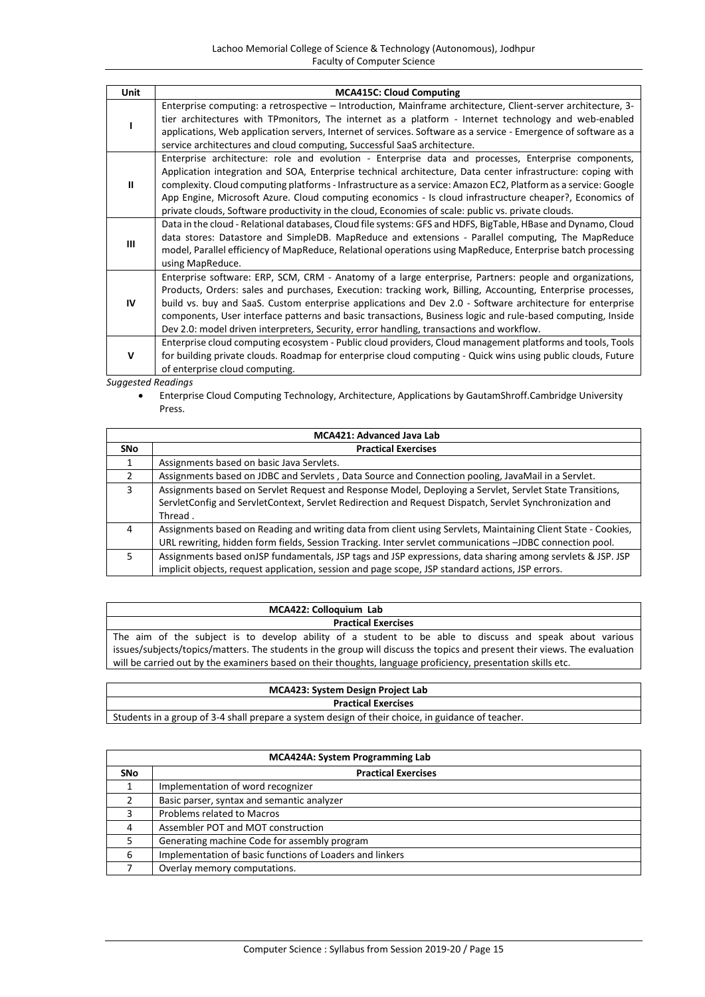| Unit         | <b>MCA415C: Cloud Computing</b>                                                                                                                                                                                                                                                                                                                                                                                                                                                                                                                       |
|--------------|-------------------------------------------------------------------------------------------------------------------------------------------------------------------------------------------------------------------------------------------------------------------------------------------------------------------------------------------------------------------------------------------------------------------------------------------------------------------------------------------------------------------------------------------------------|
|              | Enterprise computing: a retrospective – Introduction, Mainframe architecture, Client-server architecture, 3-<br>tier architectures with TPmonitors, The internet as a platform - Internet technology and web-enabled<br>applications, Web application servers, Internet of services. Software as a service - Emergence of software as a<br>service architectures and cloud computing, Successful SaaS architecture.                                                                                                                                   |
| $\mathbf{u}$ | Enterprise architecture: role and evolution - Enterprise data and processes, Enterprise components,<br>Application integration and SOA, Enterprise technical architecture, Data center infrastructure: coping with<br>complexity. Cloud computing platforms - Infrastructure as a service: Amazon EC2, Platform as a service: Google<br>App Engine, Microsoft Azure. Cloud computing economics - Is cloud infrastructure cheaper?, Economics of<br>private clouds, Software productivity in the cloud, Economies of scale: public vs. private clouds. |
| Ш            | Data in the cloud - Relational databases, Cloud file systems: GFS and HDFS, BigTable, HBase and Dynamo, Cloud<br>data stores: Datastore and SimpleDB. MapReduce and extensions - Parallel computing, The MapReduce<br>model, Parallel efficiency of MapReduce, Relational operations using MapReduce, Enterprise batch processing<br>using MapReduce.                                                                                                                                                                                                 |
| IV           | Enterprise software: ERP, SCM, CRM - Anatomy of a large enterprise, Partners: people and organizations,<br>Products, Orders: sales and purchases, Execution: tracking work, Billing, Accounting, Enterprise processes,<br>build vs. buy and SaaS. Custom enterprise applications and Dev 2.0 - Software architecture for enterprise<br>components, User interface patterns and basic transactions, Business logic and rule-based computing, Inside<br>Dev 2.0: model driven interpreters, Security, error handling, transactions and workflow.        |
| v            | Enterprise cloud computing ecosystem - Public cloud providers, Cloud management platforms and tools, Tools<br>for building private clouds. Roadmap for enterprise cloud computing - Quick wins using public clouds, Future<br>of enterprise cloud computing.                                                                                                                                                                                                                                                                                          |

 Enterprise Cloud Computing Technology, Architecture, Applications by GautamShroff.Cambridge University Press.

| <b>MCA421: Advanced Java Lab</b> |                                                                                                                                                                                                                                |  |
|----------------------------------|--------------------------------------------------------------------------------------------------------------------------------------------------------------------------------------------------------------------------------|--|
| <b>SNo</b>                       | <b>Practical Exercises</b>                                                                                                                                                                                                     |  |
|                                  | Assignments based on basic Java Servlets.                                                                                                                                                                                      |  |
| $\mathcal{P}$                    | Assignments based on JDBC and Servlets, Data Source and Connection pooling, JavaMail in a Servlet.                                                                                                                             |  |
| 3                                | Assignments based on Servlet Request and Response Model, Deploying a Servlet, Servlet State Transitions,<br>ServletConfig and ServletContext, Servlet Redirection and Request Dispatch, Servlet Synchronization and<br>Thread. |  |
| 4                                | Assignments based on Reading and writing data from client using Servlets, Maintaining Client State - Cookies,<br>URL rewriting, hidden form fields, Session Tracking. Inter servlet communications -JDBC connection pool.      |  |
| -5                               | Assignments based onJSP fundamentals, JSP tags and JSP expressions, data sharing among servlets & JSP. JSP<br>implicit objects, request application, session and page scope, JSP standard actions, JSP errors.                 |  |

| MCA422: Colloquium Lab                                                                                                    |
|---------------------------------------------------------------------------------------------------------------------------|
| <b>Practical Exercises</b>                                                                                                |
| The aim of the subject is to develop ability of a student to be able to discuss and speak about various                   |
| issues/subjects/topics/matters. The students in the group will discuss the topics and present their views. The evaluation |
| will be carried out by the examiners based on their thoughts, language proficiency, presentation skills etc.              |

| <b>MCA423: System Design Project Lab</b>                                                          |
|---------------------------------------------------------------------------------------------------|
| <b>Practical Exercises</b>                                                                        |
| Students in a group of 3-4 shall prepare a system design of their choice, in guidance of teacher. |
|                                                                                                   |

| <b>MCA424A: System Programming Lab</b> |                                                          |  |
|----------------------------------------|----------------------------------------------------------|--|
| <b>SNo</b>                             | <b>Practical Exercises</b>                               |  |
|                                        | Implementation of word recognizer                        |  |
|                                        | Basic parser, syntax and semantic analyzer               |  |
|                                        | Problems related to Macros                               |  |
| 4                                      | Assembler POT and MOT construction                       |  |
| 5                                      | Generating machine Code for assembly program             |  |
| 6                                      | Implementation of basic functions of Loaders and linkers |  |
|                                        | Overlay memory computations.                             |  |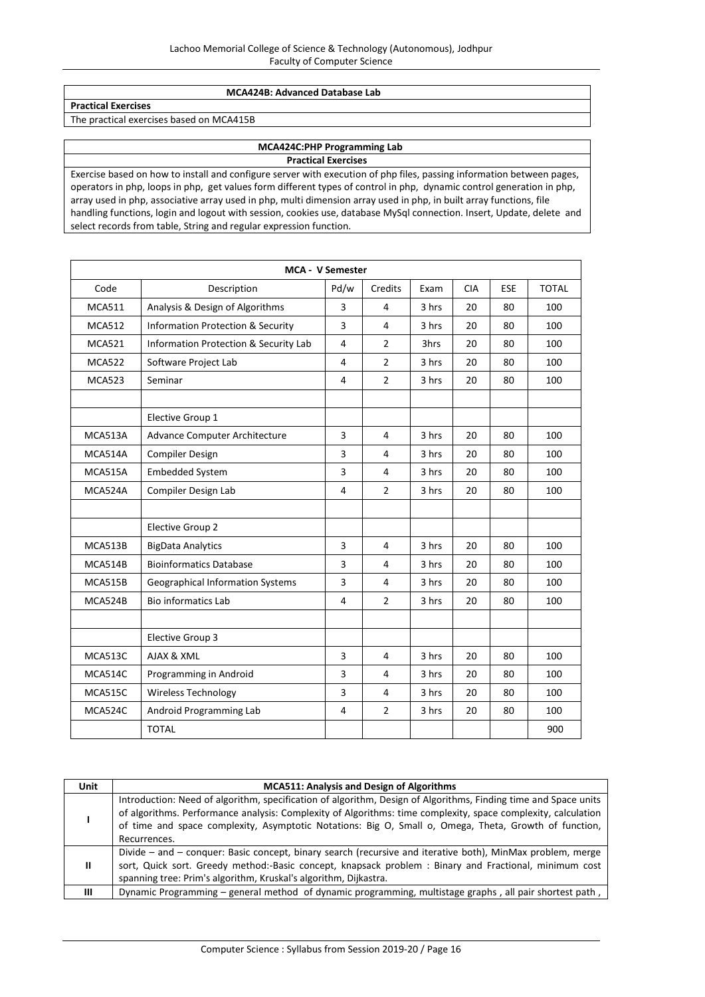#### **MCA424B: Advanced Database Lab**

**Practical Exercises** The practical exercises based on MCA415B

# **MCA424C:PHP Programming Lab**

**Practical Exercises**

Exercise based on how to install and configure server with execution of php files, passing information between pages, operators in php, loops in php, get values form different types of control in php, dynamic control generation in php, array used in php, associative array used in php, multi dimension array used in php, in built array functions, file handling functions, login and logout with session, cookies use, database MySql connection. Insert, Update, delete and select records from table, String and regular expression function.

| <b>MCA - V Semester</b> |                                              |                |                |       |            |            |              |
|-------------------------|----------------------------------------------|----------------|----------------|-------|------------|------------|--------------|
| Code                    | Description                                  | Pd/w           | Credits        | Exam  | <b>CIA</b> | <b>ESE</b> | <b>TOTAL</b> |
| <b>MCA511</b>           | Analysis & Design of Algorithms              | 3              | 4              | 3 hrs | 20         | 80         | 100          |
| <b>MCA512</b>           | <b>Information Protection &amp; Security</b> | 3              | 4              | 3 hrs | 20         | 80         | 100          |
| <b>MCA521</b>           | Information Protection & Security Lab        | 4              | $\overline{2}$ | 3hrs  | 20         | 80         | 100          |
| <b>MCA522</b>           | Software Project Lab                         | 4              | $\overline{2}$ | 3 hrs | 20         | 80         | 100          |
| <b>MCA523</b>           | Seminar                                      | 4              | $\overline{2}$ | 3 hrs | 20         | 80         | 100          |
|                         |                                              |                |                |       |            |            |              |
|                         | Elective Group 1                             |                |                |       |            |            |              |
| MCA513A                 | Advance Computer Architecture                | 3              | 4              | 3 hrs | 20         | 80         | 100          |
| MCA514A                 | <b>Compiler Design</b>                       | 3              | 4              | 3 hrs | 20         | 80         | 100          |
| MCA515A                 | <b>Embedded System</b>                       | 3              | 4              | 3 hrs | 20         | 80         | 100          |
| MCA524A                 | Compiler Design Lab                          | $\overline{4}$ | $\overline{2}$ | 3 hrs | 20         | 80         | 100          |
|                         |                                              |                |                |       |            |            |              |
|                         | Elective Group 2                             |                |                |       |            |            |              |
| MCA513B                 | <b>BigData Analytics</b>                     | 3              | $\overline{4}$ | 3 hrs | 20         | 80         | 100          |
| MCA514B                 | <b>Bioinformatics Database</b>               | 3              | $\overline{4}$ | 3 hrs | 20         | 80         | 100          |
| MCA515B                 | <b>Geographical Information Systems</b>      | 3              | 4              | 3 hrs | 20         | 80         | 100          |
| MCA524B                 | <b>Bio informatics Lab</b>                   | $\overline{4}$ | $\overline{2}$ | 3 hrs | 20         | 80         | 100          |
|                         |                                              |                |                |       |            |            |              |
|                         | Elective Group 3                             |                |                |       |            |            |              |
| MCA513C                 | AJAX & XML                                   | 3              | 4              | 3 hrs | 20         | 80         | 100          |
| MCA514C                 | Programming in Android                       | 3              | 4              | 3 hrs | 20         | 80         | 100          |
| MCA515C                 | Wireless Technology                          | 3              | 4              | 3 hrs | 20         | 80         | 100          |
| MCA524C                 | Android Programming Lab                      | 4              | $\overline{2}$ | 3 hrs | 20         | 80         | 100          |
|                         | <b>TOTAL</b>                                 |                |                |       |            |            | 900          |

| Unit | <b>MCA511: Analysis and Design of Algorithms</b>                                                                                                                                                                                                                                                                                                          |
|------|-----------------------------------------------------------------------------------------------------------------------------------------------------------------------------------------------------------------------------------------------------------------------------------------------------------------------------------------------------------|
|      | Introduction: Need of algorithm, specification of algorithm, Design of Algorithms, Finding time and Space units<br>of algorithms. Performance analysis: Complexity of Algorithms: time complexity, space complexity, calculation<br>of time and space complexity, Asymptotic Notations: Big O, Small o, Omega, Theta, Growth of function,<br>Recurrences. |
| Ш    | Divide – and – conquer: Basic concept, binary search (recursive and iterative both), MinMax problem, merge<br>sort, Quick sort. Greedy method:-Basic concept, knapsack problem : Binary and Fractional, minimum cost<br>spanning tree: Prim's algorithm, Kruskal's algorithm, Dijkastra.                                                                  |
|      | Dynamic Programming - general method of dynamic programming, multistage graphs, all pair shortest path,                                                                                                                                                                                                                                                   |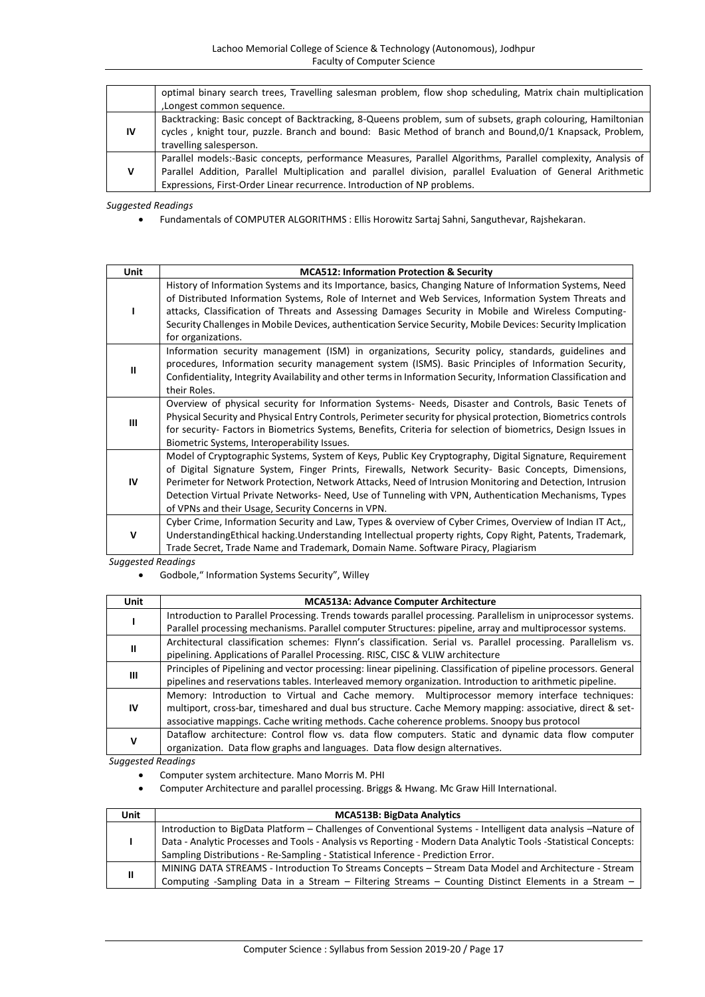|    | optimal binary search trees, Travelling salesman problem, flow shop scheduling, Matrix chain multiplication  |
|----|--------------------------------------------------------------------------------------------------------------|
|    | , Longest common sequence.                                                                                   |
| IV | Backtracking: Basic concept of Backtracking, 8-Queens problem, sum of subsets, graph colouring, Hamiltonian  |
|    | cycles, knight tour, puzzle. Branch and bound: Basic Method of branch and Bound, 0/1 Knapsack, Problem,      |
|    | travelling salesperson.                                                                                      |
|    | Parallel models:-Basic concepts, performance Measures, Parallel Algorithms, Parallel complexity, Analysis of |
| v  | Parallel Addition, Parallel Multiplication and parallel division, parallel Evaluation of General Arithmetic  |
|    | Expressions, First-Order Linear recurrence. Introduction of NP problems.                                     |

Fundamentals of COMPUTER ALGORITHMS : Ellis Horowitz Sartaj Sahni, Sanguthevar, Rajshekaran.

| Unit | <b>MCA512: Information Protection &amp; Security</b>                                                                                                                                                                                                                                                                                                                                                                                                                                      |
|------|-------------------------------------------------------------------------------------------------------------------------------------------------------------------------------------------------------------------------------------------------------------------------------------------------------------------------------------------------------------------------------------------------------------------------------------------------------------------------------------------|
|      | History of Information Systems and its Importance, basics, Changing Nature of Information Systems, Need<br>of Distributed Information Systems, Role of Internet and Web Services, Information System Threats and<br>attacks, Classification of Threats and Assessing Damages Security in Mobile and Wireless Computing-<br>Security Challenges in Mobile Devices, authentication Service Security, Mobile Devices: Security Implication<br>for organizations.                             |
| Ш    | Information security management (ISM) in organizations, Security policy, standards, guidelines and<br>procedures, Information security management system (ISMS). Basic Principles of Information Security,<br>Confidentiality, Integrity Availability and other terms in Information Security, Information Classification and<br>their Roles.                                                                                                                                             |
| Ш    | Overview of physical security for Information Systems- Needs, Disaster and Controls, Basic Tenets of<br>Physical Security and Physical Entry Controls, Perimeter security for physical protection, Biometrics controls<br>for security- Factors in Biometrics Systems, Benefits, Criteria for selection of biometrics, Design Issues in<br>Biometric Systems, Interoperability Issues.                                                                                                    |
| IV   | Model of Cryptographic Systems, System of Keys, Public Key Cryptography, Digital Signature, Requirement<br>of Digital Signature System, Finger Prints, Firewalls, Network Security- Basic Concepts, Dimensions,<br>Perimeter for Network Protection, Network Attacks, Need of Intrusion Monitoring and Detection, Intrusion<br>Detection Virtual Private Networks-Need, Use of Tunneling with VPN, Authentication Mechanisms, Types<br>of VPNs and their Usage, Security Concerns in VPN. |
| V    | Cyber Crime, Information Security and Law, Types & overview of Cyber Crimes, Overview of Indian IT Act,,<br>UnderstandingEthical hacking. Understanding Intellectual property rights, Copy Right, Patents, Trademark,<br>Trade Secret, Trade Name and Trademark, Domain Name. Software Piracy, Plagiarism                                                                                                                                                                                 |

*Suggested Readings*

Godbole," Information Systems Security", Willey

| Unit                                                                                                          | <b>MCA513A: Advance Computer Architecture</b>                                                                     |  |
|---------------------------------------------------------------------------------------------------------------|-------------------------------------------------------------------------------------------------------------------|--|
| Introduction to Parallel Processing. Trends towards parallel processing. Parallelism in uniprocessor systems. |                                                                                                                   |  |
|                                                                                                               | Parallel processing mechanisms. Parallel computer Structures: pipeline, array and multiprocessor systems.         |  |
|                                                                                                               | Architectural classification schemes: Flynn's classification. Serial vs. Parallel processing. Parallelism vs.     |  |
| Ш                                                                                                             | pipelining. Applications of Parallel Processing. RISC, CISC & VLIW architecture                                   |  |
|                                                                                                               | Principles of Pipelining and vector processing: linear pipelining. Classification of pipeline processors. General |  |
| Ш                                                                                                             | pipelines and reservations tables. Interleaved memory organization. Introduction to arithmetic pipeline.          |  |
|                                                                                                               | Memory: Introduction to Virtual and Cache memory. Multiprocessor memory interface techniques:                     |  |
| ΙV                                                                                                            | multiport, cross-bar, timeshared and dual bus structure. Cache Memory mapping: associative, direct & set-         |  |
|                                                                                                               | associative mappings. Cache writing methods. Cache coherence problems. Snoopy bus protocol                        |  |
|                                                                                                               | Dataflow architecture: Control flow vs. data flow computers. Static and dynamic data flow computer                |  |
| v                                                                                                             | organization. Data flow graphs and languages. Data flow design alternatives.                                      |  |

- Computer system architecture. Mano Morris M. PHI
- Computer Architecture and parallel processing. Briggs & Hwang. Mc Graw Hill International.

| Unit | <b>MCA513B: BigData Analytics</b>                                                                               |  |
|------|-----------------------------------------------------------------------------------------------------------------|--|
|      | Introduction to BigData Platform – Challenges of Conventional Systems - Intelligent data analysis –Nature of    |  |
|      | Data - Analytic Processes and Tools - Analysis vs Reporting - Modern Data Analytic Tools -Statistical Concepts: |  |
|      | Sampling Distributions - Re-Sampling - Statistical Inference - Prediction Error.                                |  |
| Ш    | MINING DATA STREAMS - Introduction To Streams Concepts - Stream Data Model and Architecture - Stream            |  |
|      | Computing -Sampling Data in a Stream - Filtering Streams - Counting Distinct Elements in a Stream -             |  |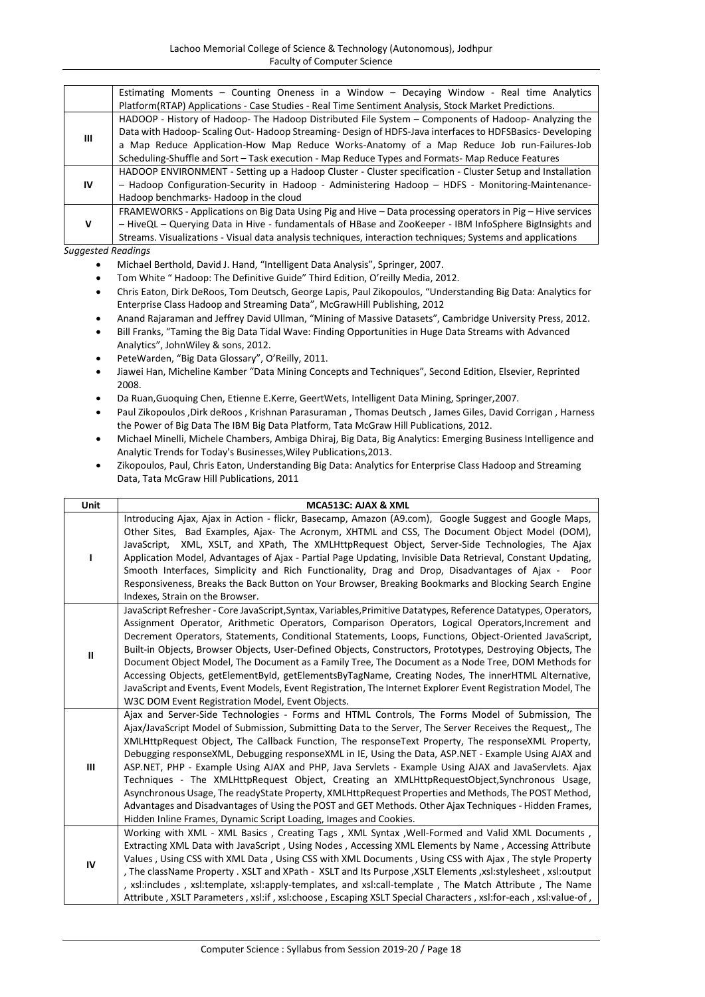|    | Estimating Moments – Counting Oneness in a Window – Decaying Window - Real time Analytics                   |  |  |  |
|----|-------------------------------------------------------------------------------------------------------------|--|--|--|
|    | Platform (RTAP) Applications - Case Studies - Real Time Sentiment Analysis, Stock Market Predictions.       |  |  |  |
|    | HADOOP - History of Hadoop- The Hadoop Distributed File System – Components of Hadoop- Analyzing the        |  |  |  |
| Ш  | Data with Hadoop-Scaling Out-Hadoop Streaming-Design of HDFS-Java interfaces to HDFSBasics-Developing       |  |  |  |
|    | a Map Reduce Application-How Map Reduce Works-Anatomy of a Map Reduce Job run-Failures-Job                  |  |  |  |
|    | Scheduling-Shuffle and Sort - Task execution - Map Reduce Types and Formats- Map Reduce Features            |  |  |  |
|    | HADOOP ENVIRONMENT - Setting up a Hadoop Cluster - Cluster specification - Cluster Setup and Installation   |  |  |  |
| IV | - Hadoop Configuration-Security in Hadoop - Administering Hadoop - HDFS - Monitoring-Maintenance-           |  |  |  |
|    | Hadoop benchmarks-Hadoop in the cloud                                                                       |  |  |  |
|    | FRAMEWORKS - Applications on Big Data Using Pig and Hive – Data processing operators in Pig – Hive services |  |  |  |
| v  | - HiveQL - Querying Data in Hive - fundamentals of HBase and ZooKeeper - IBM InfoSphere BigInsights and     |  |  |  |
|    | Streams. Visualizations - Visual data analysis techniques, interaction techniques; Systems and applications |  |  |  |

- Michael Berthold, David J. Hand, "Intelligent Data Analysis", Springer, 2007.
- Tom White " Hadoop: The Definitive Guide" Third Edition, O'reilly Media, 2012.
- Chris Eaton, Dirk DeRoos, Tom Deutsch, George Lapis, Paul Zikopoulos, "Understanding Big Data: Analytics for Enterprise Class Hadoop and Streaming Data", McGrawHill Publishing, 2012
- Anand Rajaraman and Jeffrey David Ullman, "Mining of Massive Datasets", Cambridge University Press, 2012.
- Bill Franks, "Taming the Big Data Tidal Wave: Finding Opportunities in Huge Data Streams with Advanced Analytics", JohnWiley & sons, 2012.
- PeteWarden, "Big Data Glossary", O'Reilly, 2011.
- Jiawei Han, Micheline Kamber "Data Mining Concepts and Techniques", Second Edition, Elsevier, Reprinted 2008.
- Da Ruan,Guoquing Chen, Etienne E.Kerre, GeertWets, Intelligent Data Mining, Springer,2007.
- Paul Zikopoulos ,Dirk deRoos , Krishnan Parasuraman , Thomas Deutsch , James Giles, David Corrigan , Harness the Power of Big Data The IBM Big Data Platform, Tata McGraw Hill Publications, 2012.
- Michael Minelli, Michele Chambers, Ambiga Dhiraj, Big Data, Big Analytics: Emerging Business Intelligence and Analytic Trends for Today's Businesses,Wiley Publications,2013.
- Zikopoulos, Paul, Chris Eaton, Understanding Big Data: Analytics for Enterprise Class Hadoop and Streaming Data, Tata McGraw Hill Publications, 2011

| Unit          | MCA513C: AJAX & XML                                                                                                                                                                                                                                                                                                                                                                                                                                                                                                                                                                                                                                                                                                                                                                                                                                                                                                       |  |  |
|---------------|---------------------------------------------------------------------------------------------------------------------------------------------------------------------------------------------------------------------------------------------------------------------------------------------------------------------------------------------------------------------------------------------------------------------------------------------------------------------------------------------------------------------------------------------------------------------------------------------------------------------------------------------------------------------------------------------------------------------------------------------------------------------------------------------------------------------------------------------------------------------------------------------------------------------------|--|--|
|               | Introducing Ajax, Ajax in Action - flickr, Basecamp, Amazon (A9.com), Google Suggest and Google Maps,<br>Other Sites, Bad Examples, Ajax- The Acronym, XHTML and CSS, The Document Object Model (DOM),<br>JavaScript, XML, XSLT, and XPath, The XMLHttpRequest Object, Server-Side Technologies, The Ajax<br>Application Model, Advantages of Ajax - Partial Page Updating, Invisible Data Retrieval, Constant Updating,<br>Smooth Interfaces, Simplicity and Rich Functionality, Drag and Drop, Disadvantages of Ajax - Poor<br>Responsiveness, Breaks the Back Button on Your Browser, Breaking Bookmarks and Blocking Search Engine<br>Indexes, Strain on the Browser.                                                                                                                                                                                                                                                 |  |  |
| $\mathbf{II}$ | JavaScript Refresher - Core JavaScript, Syntax, Variables, Primitive Datatypes, Reference Datatypes, Operators,<br>Assignment Operator, Arithmetic Operators, Comparison Operators, Logical Operators, Increment and<br>Decrement Operators, Statements, Conditional Statements, Loops, Functions, Object-Oriented JavaScript,<br>Built-in Objects, Browser Objects, User-Defined Objects, Constructors, Prototypes, Destroying Objects, The<br>Document Object Model, The Document as a Family Tree, The Document as a Node Tree, DOM Methods for<br>Accessing Objects, getElementById, getElementsByTagName, Creating Nodes, The innerHTML Alternative,<br>JavaScript and Events, Event Models, Event Registration, The Internet Explorer Event Registration Model, The<br>W3C DOM Event Registration Model, Event Objects.                                                                                             |  |  |
| Ш             | Ajax and Server-Side Technologies - Forms and HTML Controls, The Forms Model of Submission, The<br>Ajax/JavaScript Model of Submission, Submitting Data to the Server, The Server Receives the Request,, The<br>XMLHttpRequest Object, The Callback Function, The responseText Property, The responseXML Property,<br>Debugging responseXML, Debugging responseXML in IE, Using the Data, ASP.NET - Example Using AJAX and<br>ASP.NET, PHP - Example Using AJAX and PHP, Java Servlets - Example Using AJAX and JavaServlets. Ajax<br>Techniques - The XMLHttpRequest Object, Creating an XMLHttpRequestObject, Synchronous Usage,<br>Asynchronous Usage, The readyState Property, XMLHttpRequest Properties and Methods, The POST Method,<br>Advantages and Disadvantages of Using the POST and GET Methods. Other Ajax Techniques - Hidden Frames,<br>Hidden Inline Frames, Dynamic Script Loading, Images and Cookies. |  |  |
| IV            | Working with XML - XML Basics, Creating Tags, XML Syntax, Well-Formed and Valid XML Documents,<br>Extracting XML Data with JavaScript, Using Nodes, Accessing XML Elements by Name, Accessing Attribute<br>Values, Using CSS with XML Data, Using CSS with XML Documents, Using CSS with Ajax, The style Property<br>The className Property . XSLT and XPath - XSLT and Its Purpose , XSLT Elements , xsl:stylesheet , xsl:output<br>s xsl:includes, xsl:template, xsl:apply-templates, and xsl:call-template, The Match Attribute, The Name<br>Attribute, XSLT Parameters, xsl:if, xsl:choose, Escaping XSLT Special Characters, xsl:for-each, xsl:value-of,                                                                                                                                                                                                                                                             |  |  |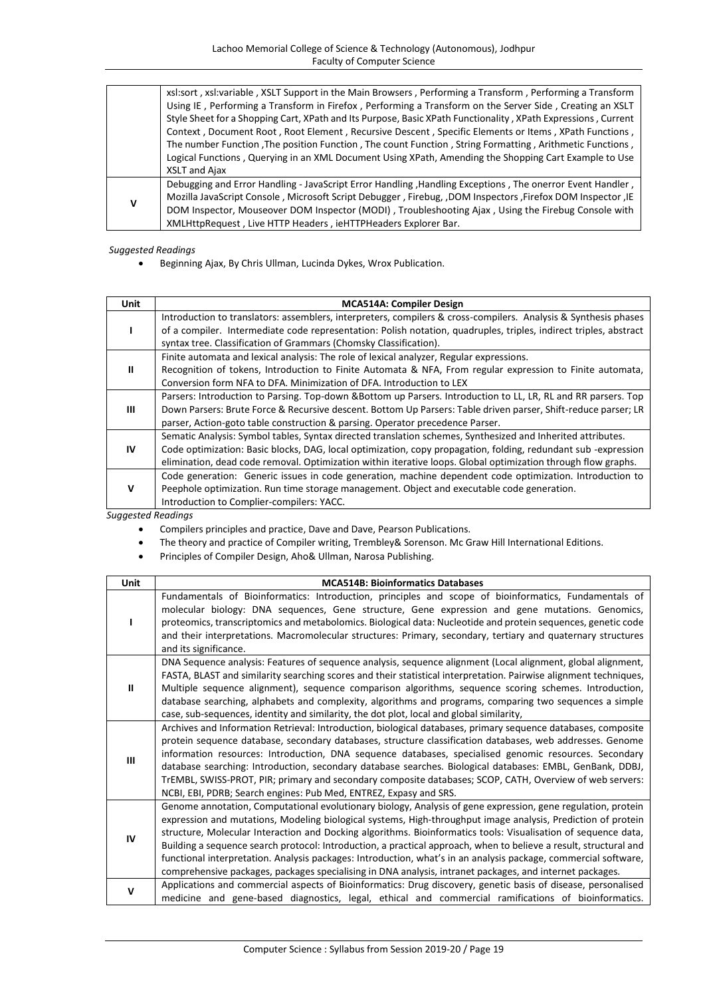|   | xsl:sort, xsl:variable, XSLT Support in the Main Browsers, Performing a Transform, Performing a Transform     |  |  |  |
|---|---------------------------------------------------------------------------------------------------------------|--|--|--|
|   | Using IE, Performing a Transform in Firefox, Performing a Transform on the Server Side, Creating an XSLT      |  |  |  |
|   | Style Sheet for a Shopping Cart, XPath and Its Purpose, Basic XPath Functionality, XPath Expressions, Current |  |  |  |
|   | Context, Document Root, Root Element, Recursive Descent, Specific Elements or Items, XPath Functions,         |  |  |  |
|   | The number Function, The position Function, The count Function, String Formatting, Arithmetic Functions,      |  |  |  |
|   | Logical Functions, Querying in an XML Document Using XPath, Amending the Shopping Cart Example to Use         |  |  |  |
|   | XSLT and Ajax                                                                                                 |  |  |  |
|   | Debugging and Error Handling - JavaScript Error Handling , Handling Exceptions , The onerror Event Handler ,  |  |  |  |
| v | Mozilla JavaScript Console, Microsoft Script Debugger, Firebug, ,DOM Inspectors, Firefox DOM Inspector, IE    |  |  |  |
|   | DOM Inspector, Mouseover DOM Inspector (MODI), Troubleshooting Ajax, Using the Firebug Console with           |  |  |  |
|   | XMLHttpRequest, Live HTTP Headers, ieHTTPHeaders Explorer Bar.                                                |  |  |  |

Beginning Ajax, By Chris Ullman, Lucinda Dykes, Wrox Publication.

| Unit | <b>MCA514A: Compiler Design</b>                                                                                                                                                                                                                                                                                                                |  |
|------|------------------------------------------------------------------------------------------------------------------------------------------------------------------------------------------------------------------------------------------------------------------------------------------------------------------------------------------------|--|
|      | Introduction to translators: assemblers, interpreters, compilers & cross-compilers. Analysis & Synthesis phases<br>of a compiler. Intermediate code representation: Polish notation, quadruples, triples, indirect triples, abstract<br>syntax tree. Classification of Grammars (Chomsky Classification).                                      |  |
| Ш    | Finite automata and lexical analysis: The role of lexical analyzer, Regular expressions.<br>Recognition of tokens, Introduction to Finite Automata & NFA, From regular expression to Finite automata,<br>Conversion form NFA to DFA. Minimization of DFA. Introduction to LEX                                                                  |  |
| Ш    | Parsers: Introduction to Parsing. Top-down &Bottom up Parsers. Introduction to LL, LR, RL and RR parsers. Top<br>Down Parsers: Brute Force & Recursive descent. Bottom Up Parsers: Table driven parser, Shift-reduce parser; LR<br>parser, Action-goto table construction & parsing. Operator precedence Parser.                               |  |
| IV   | Sematic Analysis: Symbol tables, Syntax directed translation schemes, Synthesized and Inherited attributes.<br>Code optimization: Basic blocks, DAG, local optimization, copy propagation, folding, redundant sub -expression<br>elimination, dead code removal. Optimization within iterative loops. Global optimization through flow graphs. |  |
| v    | Code generation: Generic issues in code generation, machine dependent code optimization. Introduction to<br>Peephole optimization. Run time storage management. Object and executable code generation.<br>Introduction to Complier-compilers: YACC.                                                                                            |  |

- Compilers principles and practice, Dave and Dave, Pearson Publications.
- The theory and practice of Compiler writing, Trembley& Sorenson. Mc Graw Hill International Editions.
- Principles of Compiler Design, Aho& Ullman, Narosa Publishing.

| <b>Unit</b>  | <b>MCA514B: Bioinformatics Databases</b>                                                                                                                                                                                                                                                                                                                                                                                                                                                                                                                                                                                                                                                           |  |  |
|--------------|----------------------------------------------------------------------------------------------------------------------------------------------------------------------------------------------------------------------------------------------------------------------------------------------------------------------------------------------------------------------------------------------------------------------------------------------------------------------------------------------------------------------------------------------------------------------------------------------------------------------------------------------------------------------------------------------------|--|--|
|              | Fundamentals of Bioinformatics: Introduction, principles and scope of bioinformatics, Fundamentals of<br>molecular biology: DNA sequences, Gene structure, Gene expression and gene mutations. Genomics,<br>proteomics, transcriptomics and metabolomics. Biological data: Nucleotide and protein sequences, genetic code<br>and their interpretations. Macromolecular structures: Primary, secondary, tertiary and quaternary structures<br>and its significance.                                                                                                                                                                                                                                 |  |  |
| Ш            | DNA Sequence analysis: Features of sequence analysis, sequence alignment (Local alignment, global alignment,<br>FASTA, BLAST and similarity searching scores and their statistical interpretation. Pairwise alignment techniques,<br>Multiple sequence alignment), sequence comparison algorithms, sequence scoring schemes. Introduction,<br>database searching, alphabets and complexity, algorithms and programs, comparing two sequences a simple<br>case, sub-sequences, identity and similarity, the dot plot, local and global similarity,                                                                                                                                                  |  |  |
| $\mathbf{m}$ | Archives and Information Retrieval: Introduction, biological databases, primary sequence databases, composite<br>protein sequence database, secondary databases, structure classification databases, web addresses. Genome<br>information resources: Introduction, DNA sequence databases, specialised genomic resources. Secondary<br>database searching: Introduction, secondary database searches. Biological databases: EMBL, GenBank, DDBJ,<br>TrEMBL, SWISS-PROT, PIR; primary and secondary composite databases; SCOP, CATH, Overview of web servers:<br>NCBI, EBI, PDRB; Search engines: Pub Med, ENTREZ, Expasy and SRS.                                                                  |  |  |
| IV           | Genome annotation, Computational evolutionary biology, Analysis of gene expression, gene regulation, protein<br>expression and mutations, Modeling biological systems, High-throughput image analysis, Prediction of protein<br>structure, Molecular Interaction and Docking algorithms. Bioinformatics tools: Visualisation of sequence data,<br>Building a sequence search protocol: Introduction, a practical approach, when to believe a result, structural and<br>functional interpretation. Analysis packages: Introduction, what's in an analysis package, commercial software,<br>comprehensive packages, packages specialising in DNA analysis, intranet packages, and internet packages. |  |  |
| $\mathbf v$  | Applications and commercial aspects of Bioinformatics: Drug discovery, genetic basis of disease, personalised<br>medicine and gene-based diagnostics, legal, ethical and commercial ramifications of bioinformatics.                                                                                                                                                                                                                                                                                                                                                                                                                                                                               |  |  |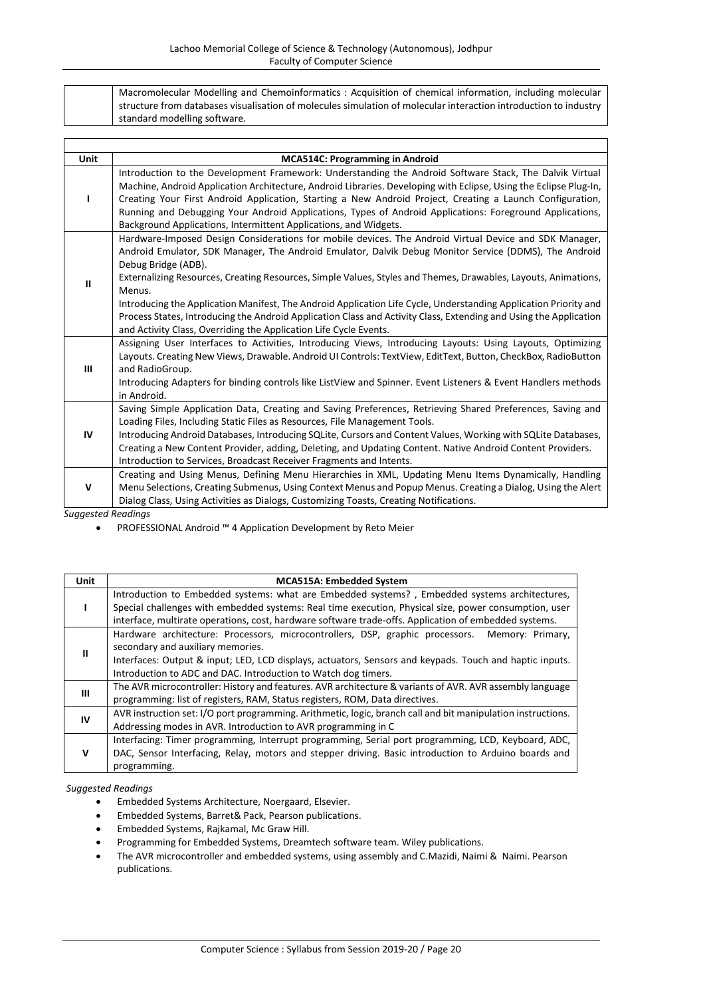Macromolecular [Modelling](javascript:void(0);) and Chemoinformatics : Acquisition of chemical information, including molecular structure from databases visualisation of molecules simulation of molecular interaction introduction to industry standard [modelling](javascript:void(0);) software.

| Unit               | <b>MCA514C: Programming in Android</b>                                                                                                                                                                                                                                                                                                                                                                                                                                                                                                                                                                                                                                           |
|--------------------|----------------------------------------------------------------------------------------------------------------------------------------------------------------------------------------------------------------------------------------------------------------------------------------------------------------------------------------------------------------------------------------------------------------------------------------------------------------------------------------------------------------------------------------------------------------------------------------------------------------------------------------------------------------------------------|
|                    | Introduction to the Development Framework: Understanding the Android Software Stack, The Dalvik Virtual<br>Machine, Android Application Architecture, Android Libraries. Developing with Eclipse, Using the Eclipse Plug-In,                                                                                                                                                                                                                                                                                                                                                                                                                                                     |
|                    | Creating Your First Android Application, Starting a New Android Project, Creating a Launch Configuration,<br>Running and Debugging Your Android Applications, Types of Android Applications: Foreground Applications,<br>Background Applications, Intermittent Applications, and Widgets.                                                                                                                                                                                                                                                                                                                                                                                        |
| Ш                  | Hardware-Imposed Design Considerations for mobile devices. The Android Virtual Device and SDK Manager,<br>Android Emulator, SDK Manager, The Android Emulator, Dalvik Debug Monitor Service (DDMS), The Android<br>Debug Bridge (ADB).<br>Externalizing Resources, Creating Resources, Simple Values, Styles and Themes, Drawables, Layouts, Animations,<br>Menus.<br>Introducing the Application Manifest, The Android Application Life Cycle, Understanding Application Priority and<br>Process States, Introducing the Android Application Class and Activity Class, Extending and Using the Application<br>and Activity Class, Overriding the Application Life Cycle Events. |
| $\mathbf{III}$     | Assigning User Interfaces to Activities, Introducing Views, Introducing Layouts: Using Layouts, Optimizing<br>Layouts. Creating New Views, Drawable. Android UI Controls: TextView, EditText, Button, CheckBox, RadioButton<br>and RadioGroup.<br>Introducing Adapters for binding controls like ListView and Spinner. Event Listeners & Event Handlers methods<br>in Android.                                                                                                                                                                                                                                                                                                   |
| IV                 | Saving Simple Application Data, Creating and Saving Preferences, Retrieving Shared Preferences, Saving and<br>Loading Files, Including Static Files as Resources, File Management Tools.<br>Introducing Android Databases, Introducing SQLite, Cursors and Content Values, Working with SQLite Databases,<br>Creating a New Content Provider, adding, Deleting, and Updating Content. Native Android Content Providers.<br>Introduction to Services, Broadcast Receiver Fragments and Intents.                                                                                                                                                                                   |
| V                  | Creating and Using Menus, Defining Menu Hierarchies in XML, Updating Menu Items Dynamically, Handling<br>Menu Selections, Creating Submenus, Using Context Menus and Popup Menus. Creating a Dialog, Using the Alert<br>Dialog Class, Using Activities as Dialogs, Customizing Toasts, Creating Notifications.                                                                                                                                                                                                                                                                                                                                                                   |
| Suggested Readings |                                                                                                                                                                                                                                                                                                                                                                                                                                                                                                                                                                                                                                                                                  |

*Suggested Readings*

PROFESSIONAL Android ™ 4 Application Development by Reto Meier

| Unit | <b>MCA515A: Embedded System</b>                                                                                                                                                                                                                                                                                  |  |  |
|------|------------------------------------------------------------------------------------------------------------------------------------------------------------------------------------------------------------------------------------------------------------------------------------------------------------------|--|--|
|      | Introduction to Embedded systems: what are Embedded systems?, Embedded systems architectures,<br>Special challenges with embedded systems: Real time execution, Physical size, power consumption, user<br>interface, multirate operations, cost, hardware software trade-offs. Application of embedded systems.  |  |  |
| Ш    | Hardware architecture: Processors, microcontrollers, DSP, graphic processors. Memory: Primary,<br>secondary and auxiliary memories.<br>Interfaces: Output & input; LED, LCD displays, actuators, Sensors and keypads. Touch and haptic inputs.<br>Introduction to ADC and DAC. Introduction to Watch dog timers. |  |  |
| Ш    | The AVR microcontroller: History and features. AVR architecture & variants of AVR. AVR assembly language<br>programming: list of registers, RAM, Status registers, ROM, Data directives.                                                                                                                         |  |  |
| IV   | AVR instruction set: I/O port programming. Arithmetic, logic, branch call and bit manipulation instructions.<br>Addressing modes in AVR. Introduction to AVR programming in C                                                                                                                                    |  |  |
| v    | Interfacing: Timer programming, Interrupt programming, Serial port programming, LCD, Keyboard, ADC,<br>DAC, Sensor Interfacing, Relay, motors and stepper driving. Basic introduction to Arduino boards and<br>programming.                                                                                      |  |  |

- Embedded Systems Architecture, Noergaard, Elsevier.
- Embedded Systems, Barret& Pack, Pearson publications.
- Embedded Systems, Rajkamal, Mc Graw Hill.
- Programming for Embedded Systems, Dreamtech software team. Wiley publications.
- The AVR microcontroller and embedded systems, using assembly and C.Mazidi, Naimi & Naimi. Pearson publications.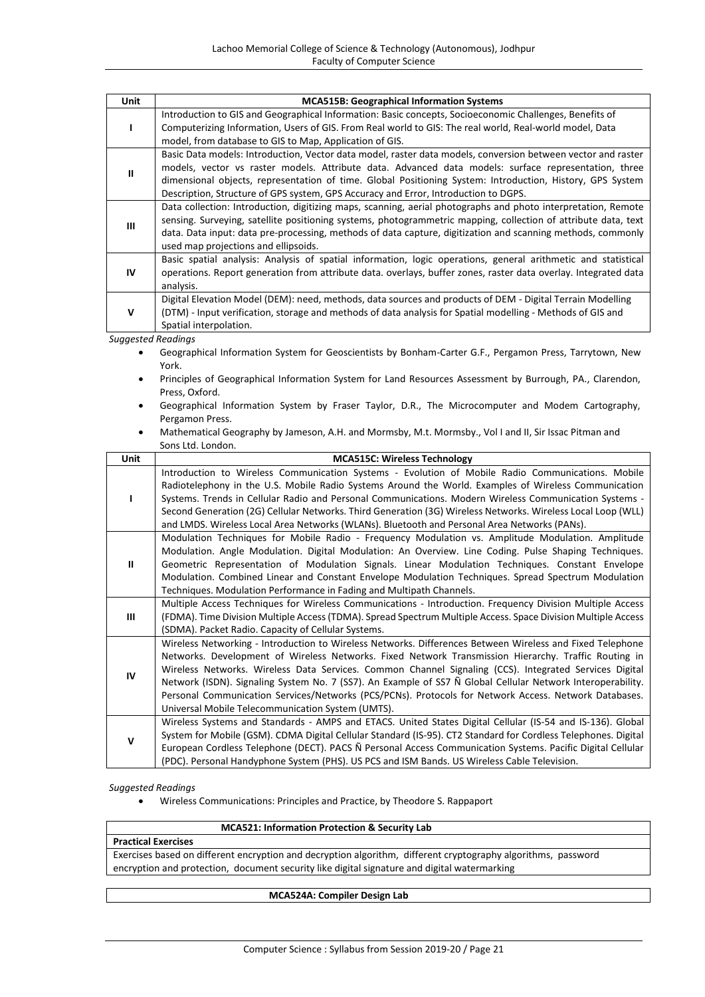| <b>Unit</b> | <b>MCA515B: Geographical Information Systems</b>                                                                                                                                                                                                                                                                                                                                                                                                                                                                                                                                                                                                                                                                                                                                                                   |  |
|-------------|--------------------------------------------------------------------------------------------------------------------------------------------------------------------------------------------------------------------------------------------------------------------------------------------------------------------------------------------------------------------------------------------------------------------------------------------------------------------------------------------------------------------------------------------------------------------------------------------------------------------------------------------------------------------------------------------------------------------------------------------------------------------------------------------------------------------|--|
|             | Introduction to GIS and Geographical Information: Basic concepts, Socioeconomic Challenges, Benefits of<br>Computerizing Information, Users of GIS. From Real world to GIS: The real world, Real-world model, Data                                                                                                                                                                                                                                                                                                                                                                                                                                                                                                                                                                                                 |  |
|             | model, from database to GIS to Map, Application of GIS.                                                                                                                                                                                                                                                                                                                                                                                                                                                                                                                                                                                                                                                                                                                                                            |  |
| Ш           | Basic Data models: Introduction, Vector data model, raster data models, conversion between vector and raster<br>models, vector vs raster models. Attribute data. Advanced data models: surface representation, three<br>dimensional objects, representation of time. Global Positioning System: Introduction, History, GPS System<br>Description, Structure of GPS system, GPS Accuracy and Error, Introduction to DGPS.<br>Data collection: Introduction, digitizing maps, scanning, aerial photographs and photo interpretation, Remote<br>sensing. Surveying, satellite positioning systems, photogrammetric mapping, collection of attribute data, text<br>data. Data input: data pre-processing, methods of data capture, digitization and scanning methods, commonly<br>used map projections and ellipsoids. |  |
| Ш           |                                                                                                                                                                                                                                                                                                                                                                                                                                                                                                                                                                                                                                                                                                                                                                                                                    |  |
| IV          | Basic spatial analysis: Analysis of spatial information, logic operations, general arithmetic and statistical<br>operations. Report generation from attribute data. overlays, buffer zones, raster data overlay. Integrated data<br>analysis.                                                                                                                                                                                                                                                                                                                                                                                                                                                                                                                                                                      |  |
| v           | Digital Elevation Model (DEM): need, methods, data sources and products of DEM - Digital Terrain Modelling<br>(DTM) - Input verification, storage and methods of data analysis for Spatial modelling - Methods of GIS and<br>Spatial interpolation.                                                                                                                                                                                                                                                                                                                                                                                                                                                                                                                                                                |  |

- Geographical Information System for Geoscientists by Bonham-Carter G.F., Pergamon Press, Tarrytown, New York.
- Principles of Geographical Information System for Land Resources Assessment by Burrough, PA., Clarendon, Press, Oxford.
- Geographical Information System by Fraser Taylor, D.R., The Microcomputer and Modem Cartography, Pergamon Press.
- Mathematical Geography by Jameson, A.H. and Mormsby, M.t. Mormsby., Vol I and II, Sir Issac Pitman and Sons Ltd. London.

| <b>Unit</b>  | <b>MCA515C: Wireless Technology</b>                                                                                                                                                                                                                                                                                                                                                                                                                                                                                                                                                                      |  |  |
|--------------|----------------------------------------------------------------------------------------------------------------------------------------------------------------------------------------------------------------------------------------------------------------------------------------------------------------------------------------------------------------------------------------------------------------------------------------------------------------------------------------------------------------------------------------------------------------------------------------------------------|--|--|
|              | Introduction to Wireless Communication Systems - Evolution of Mobile Radio Communications. Mobile<br>Radiotelephony in the U.S. Mobile Radio Systems Around the World. Examples of Wireless Communication<br>Systems. Trends in Cellular Radio and Personal Communications. Modern Wireless Communication Systems -<br>Second Generation (2G) Cellular Networks. Third Generation (3G) Wireless Networks. Wireless Local Loop (WLL)<br>and LMDS. Wireless Local Area Networks (WLANs). Bluetooth and Personal Area Networks (PANs).                                                                      |  |  |
| $\mathbf{u}$ | Modulation Techniques for Mobile Radio - Frequency Modulation vs. Amplitude Modulation. Amplitude<br>Modulation. Angle Modulation. Digital Modulation: An Overview. Line Coding. Pulse Shaping Techniques.<br>Geometric Representation of Modulation Signals. Linear Modulation Techniques. Constant Envelope<br>Modulation. Combined Linear and Constant Envelope Modulation Techniques. Spread Spectrum Modulation<br>Techniques. Modulation Performance in Fading and Multipath Channels.                                                                                                             |  |  |
| $\mathbf{m}$ | Multiple Access Techniques for Wireless Communications - Introduction. Frequency Division Multiple Access<br>(FDMA). Time Division Multiple Access (TDMA). Spread Spectrum Multiple Access. Space Division Multiple Access<br>(SDMA). Packet Radio. Capacity of Cellular Systems.                                                                                                                                                                                                                                                                                                                        |  |  |
| IV           | Wireless Networking - Introduction to Wireless Networks. Differences Between Wireless and Fixed Telephone<br>Networks. Development of Wireless Networks. Fixed Network Transmission Hierarchy. Traffic Routing in<br>Wireless Networks. Wireless Data Services. Common Channel Signaling (CCS). Integrated Services Digital<br>Network (ISDN). Signaling System No. 7 (SS7). An Example of SS7 N Global Cellular Network Interoperability.<br>Personal Communication Services/Networks (PCS/PCNs). Protocols for Network Access. Network Databases.<br>Universal Mobile Telecommunication System (UMTS). |  |  |
| $\mathbf v$  | Wireless Systems and Standards - AMPS and ETACS. United States Digital Cellular (IS-54 and IS-136). Global<br>System for Mobile (GSM). CDMA Digital Cellular Standard (IS-95). CT2 Standard for Cordless Telephones. Digital<br>European Cordless Telephone (DECT). PACS Ñ Personal Access Communication Systems. Pacific Digital Cellular<br>(PDC). Personal Handyphone System (PHS). US PCS and ISM Bands. US Wireless Cable Television.                                                                                                                                                               |  |  |

*Suggested Readings*

Wireless Communications: Principles and Practice, by [Theodore S. Rappaport](http://www.pearson.ch/autor/20175/Theodore-S-Rappaport.aspx)

## **MCA521: Information Protection & Security Lab**

## **Practical Exercises**

Exercises based on different encryption and decryption algorithm, different cryptography algorithms, password encryption and protection, document security like digital signature and digital watermarking

## **MCA524A: Compiler Design Lab**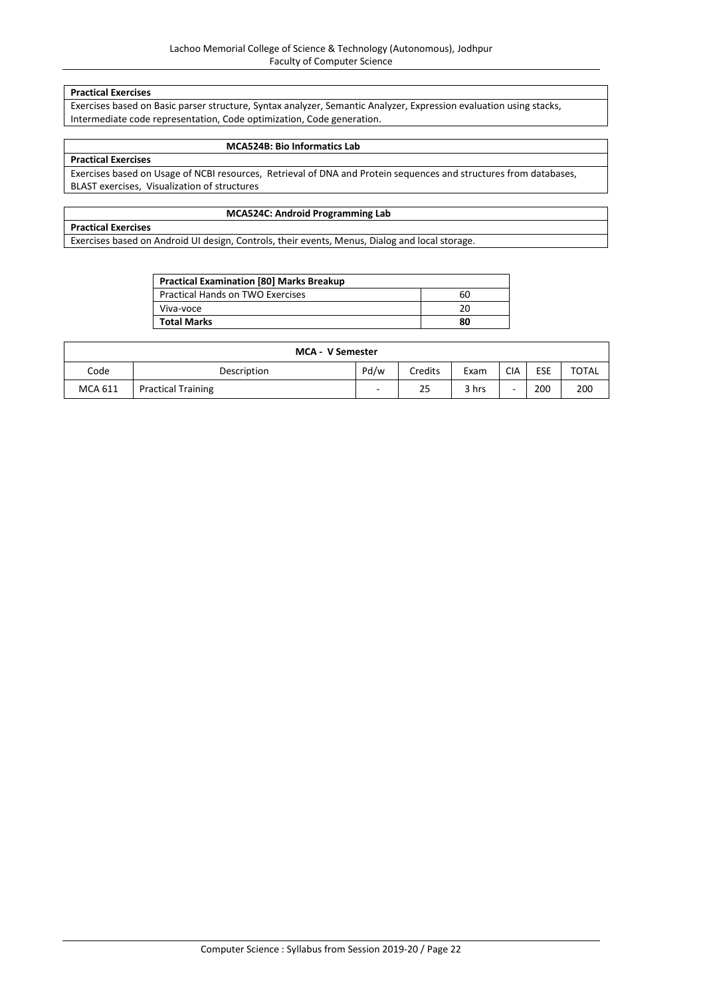## **Practical Exercises**

Exercises based on Basic parser structure, Syntax analyzer, Semantic Analyzer, Expression evaluation using stacks, Intermediate code representation, Code optimization, Code generation.

#### **MCA524B: Bio Informatics Lab**

**Practical Exercises** Exercises based on Usage of NCBI resources, Retrieval of DNA and Protein sequences and structures from databases,

BLAST exercises, Visualization of structures

# **MCA524C: Android Programming Lab**

**Practical Exercises**

Exercises based on Android UI design, Controls, their events, Menus, Dialog and local storage.

| <b>Practical Examination [80] Marks Breakup</b> |    |
|-------------------------------------------------|----|
| Practical Hands on TWO Exercises                | 60 |
| Viva-voce                                       |    |
| <b>Total Marks</b>                              | 80 |

| <b>MCA - V Semester</b> |                           |      |                |       |            |     |       |
|-------------------------|---------------------------|------|----------------|-------|------------|-----|-------|
| Code                    | Description               | Pd/w | <b>Credits</b> | Exam  | <b>CIA</b> | ESE | TOTAL |
| <b>MCA 611</b>          | <b>Practical Training</b> | -    | 25             | 3 hrs |            | 200 | 200   |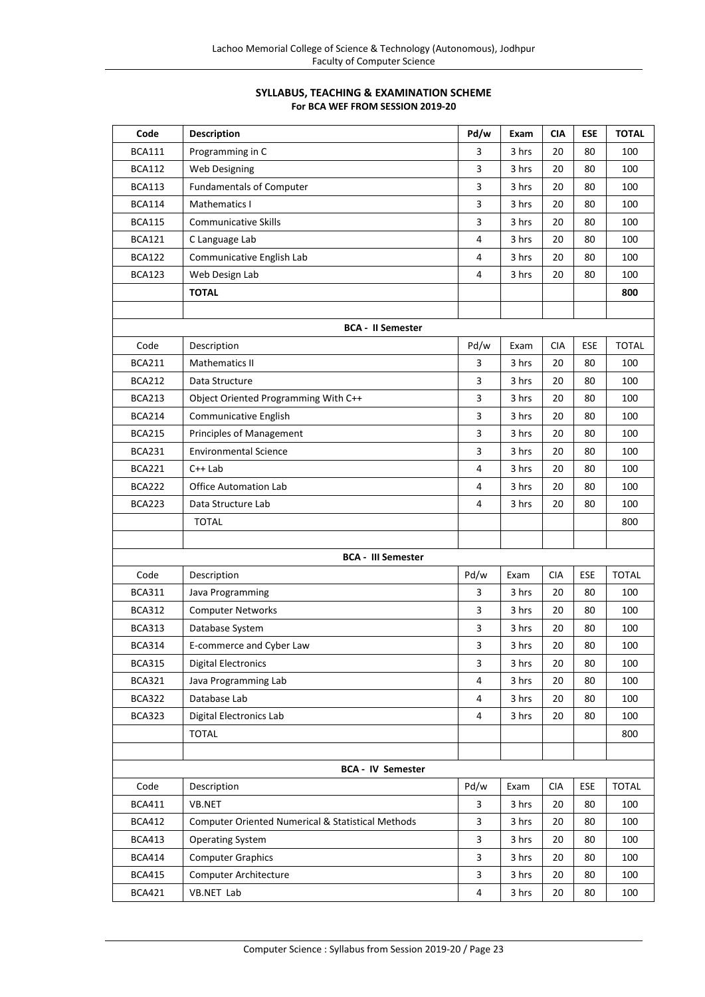# **SYLLABUS, TEACHING & EXAMINATION SCHEME For BCA WEF FROM SESSION 2019-20**

| Code          | <b>Description</b>                                | Pd/w | Exam  | <b>CIA</b> | <b>ESE</b> | <b>TOTAL</b> |
|---------------|---------------------------------------------------|------|-------|------------|------------|--------------|
| <b>BCA111</b> | Programming in C                                  | 3    | 3 hrs | 20         | 80         | 100          |
| <b>BCA112</b> | <b>Web Designing</b>                              | 3    | 3 hrs | 20         | 80         | 100          |
| <b>BCA113</b> | <b>Fundamentals of Computer</b>                   | 3    | 3 hrs | 20         | 80         | 100          |
| <b>BCA114</b> | Mathematics I                                     | 3    | 3 hrs | 20         | 80         | 100          |
| <b>BCA115</b> | <b>Communicative Skills</b>                       | 3    | 3 hrs | 20         | 80         | 100          |
| <b>BCA121</b> | C Language Lab                                    | 4    | 3 hrs | 20         | 80         | 100          |
| <b>BCA122</b> | Communicative English Lab                         | 4    | 3 hrs | 20         | 80         | 100          |
| <b>BCA123</b> | Web Design Lab                                    | 4    | 3 hrs | 20         | 80         | 100          |
|               | <b>TOTAL</b>                                      |      |       |            |            | 800          |
|               |                                                   |      |       |            |            |              |
|               | <b>BCA - II Semester</b>                          |      |       |            |            |              |
| Code          | Description                                       | Pd/w | Exam  | <b>CIA</b> | ESE        | <b>TOTAL</b> |
| <b>BCA211</b> | Mathematics II                                    | 3    | 3 hrs | 20         | 80         | 100          |
| <b>BCA212</b> | Data Structure                                    | 3    | 3 hrs | 20         | 80         | 100          |
| <b>BCA213</b> | Object Oriented Programming With C++              | 3    | 3 hrs | 20         | 80         | 100          |
| <b>BCA214</b> | Communicative English                             | 3    | 3 hrs | 20         | 80         | 100          |
| <b>BCA215</b> | Principles of Management                          | 3    | 3 hrs | 20         | 80         | 100          |
| <b>BCA231</b> | <b>Environmental Science</b>                      | 3    | 3 hrs | 20         | 80         | 100          |
| <b>BCA221</b> | $C++$ Lab                                         | 4    | 3 hrs | 20         | 80         | 100          |
| <b>BCA222</b> | <b>Office Automation Lab</b>                      | 4    | 3 hrs | 20         | 80         | 100          |
| <b>BCA223</b> | Data Structure Lab                                | 4    | 3 hrs | 20         | 80         | 100          |
|               | <b>TOTAL</b>                                      |      |       |            |            | 800          |
|               |                                                   |      |       |            |            |              |
|               | <b>BCA - III Semester</b>                         |      |       |            |            |              |
| Code          | Description                                       | Pd/w | Exam  | <b>CIA</b> | ESE        | <b>TOTAL</b> |
| <b>BCA311</b> | Java Programming                                  | 3    | 3 hrs | 20         | 80         | 100          |
| <b>BCA312</b> | <b>Computer Networks</b>                          | 3    | 3 hrs | 20         | 80         | 100          |
| <b>BCA313</b> | Database System                                   | 3    | 3 hrs | 20         | 80         | 100          |
| <b>BCA314</b> | E-commerce and Cyber Law                          | 3    | 3 hrs | 20         | 80         | 100          |
| <b>BCA315</b> | <b>Digital Electronics</b>                        | 3    | 3 hrs | 20         | 80         | 100          |
| <b>BCA321</b> | Java Programming Lab                              | 4    | 3 hrs | 20         | 80         | 100          |
| <b>BCA322</b> | Database Lab                                      | 4    | 3 hrs | 20         | 80         | 100          |
| <b>BCA323</b> | <b>Digital Electronics Lab</b>                    | 4    | 3 hrs | 20         | 80         | 100          |
|               | <b>TOTAL</b>                                      |      |       |            |            | 800          |
|               |                                                   |      |       |            |            |              |
|               | <b>BCA - IV Semester</b>                          |      |       |            |            |              |
| Code          | Description                                       | Pd/w | Exam  | <b>CIA</b> | ESE        | <b>TOTAL</b> |
| <b>BCA411</b> | VB.NET                                            | 3    | 3 hrs | 20         | 80         | 100          |
| <b>BCA412</b> | Computer Oriented Numerical & Statistical Methods | 3    | 3 hrs | 20         | 80         | 100          |
| <b>BCA413</b> | <b>Operating System</b>                           | 3    | 3 hrs | 20         | 80         | 100          |
| <b>BCA414</b> | <b>Computer Graphics</b>                          | 3    | 3 hrs | 20         | 80         | 100          |
| <b>BCA415</b> | <b>Computer Architecture</b>                      | 3    | 3 hrs | 20         | 80         | 100          |
| <b>BCA421</b> | VB.NET Lab                                        | 4    | 3 hrs | 20         | 80         | 100          |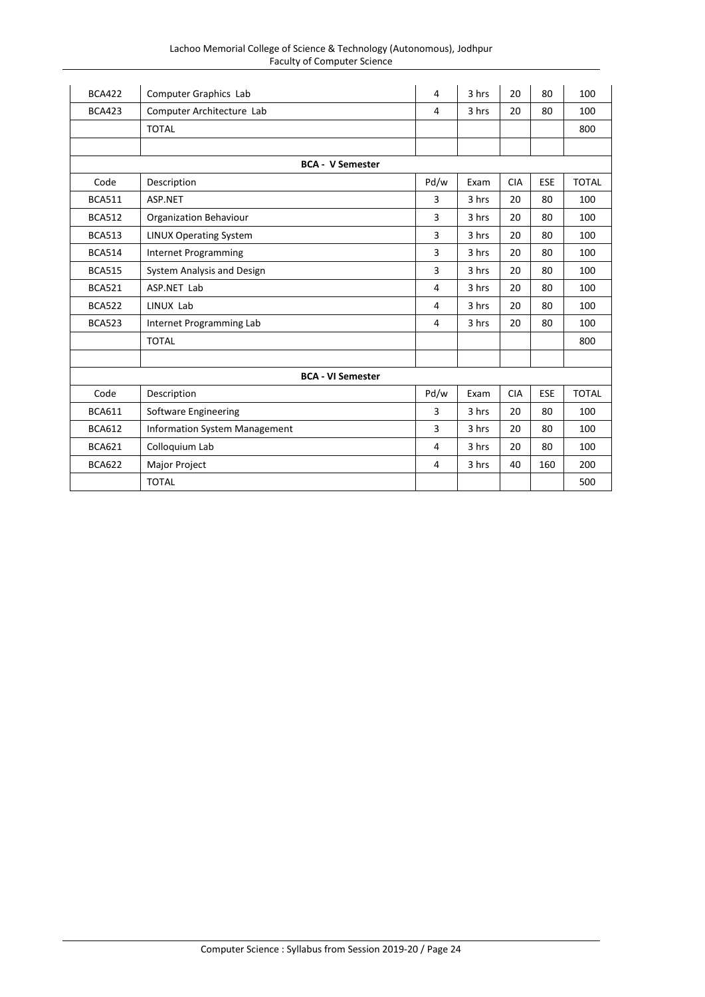| Lachoo Memorial College of Science & Technology (Autonomous), Jodhpur |
|-----------------------------------------------------------------------|
| <b>Faculty of Computer Science</b>                                    |

| <b>BCA422</b> | Computer Graphics Lab                | 4    | 3 hrs | 20         | 80         | 100          |
|---------------|--------------------------------------|------|-------|------------|------------|--------------|
| <b>BCA423</b> | Computer Architecture Lab            | 4    | 3 hrs | 20         | 80         | 100          |
|               | <b>TOTAL</b>                         |      |       |            |            | 800          |
|               |                                      |      |       |            |            |              |
|               | <b>BCA - V Semester</b>              |      |       |            |            |              |
| Code          | Description                          | Pd/w | Exam  | <b>CIA</b> | <b>ESE</b> | <b>TOTAL</b> |
| <b>BCA511</b> | ASP.NET                              | 3    | 3 hrs | 20         | 80         | 100          |
| <b>BCA512</b> | <b>Organization Behaviour</b>        | 3    | 3 hrs | 20         | 80         | 100          |
| <b>BCA513</b> | <b>LINUX Operating System</b>        | 3    | 3 hrs | 20         | 80         | 100          |
| <b>BCA514</b> | <b>Internet Programming</b>          | 3    | 3 hrs | 20         | 80         | 100          |
| <b>BCA515</b> | System Analysis and Design           | 3    | 3 hrs | 20         | 80         | 100          |
| <b>BCA521</b> | ASP.NET Lab                          | 4    | 3 hrs | 20         | 80         | 100          |
| <b>BCA522</b> | LINUX Lab                            | 4    | 3 hrs | 20         | 80         | 100          |
| <b>BCA523</b> | Internet Programming Lab             | 4    | 3 hrs | 20         | 80         | 100          |
|               | <b>TOTAL</b>                         |      |       |            |            | 800          |
|               |                                      |      |       |            |            |              |
|               | <b>BCA - VI Semester</b>             |      |       |            |            |              |
| Code          | Description                          | Pd/w | Exam  | <b>CIA</b> | <b>ESE</b> | <b>TOTAL</b> |
| <b>BCA611</b> | Software Engineering                 | 3    | 3 hrs | 20         | 80         | 100          |
| <b>BCA612</b> | <b>Information System Management</b> | 3    | 3 hrs | 20         | 80         | 100          |
| <b>BCA621</b> | Colloquium Lab                       | 4    | 3 hrs | 20         | 80         | 100          |
| <b>BCA622</b> | Major Project                        | 4    | 3 hrs | 40         | 160        | 200          |
|               | <b>TOTAL</b>                         |      |       |            |            | 500          |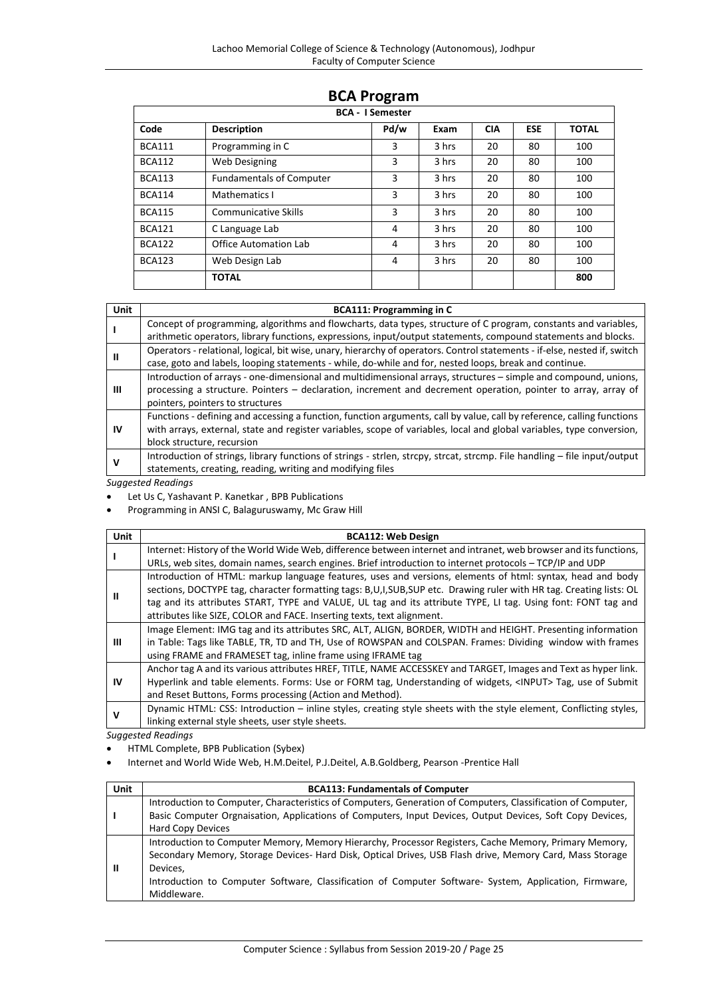|               | <b>BCA - I Semester</b>         |      |       |            |            |              |
|---------------|---------------------------------|------|-------|------------|------------|--------------|
| Code          | <b>Description</b>              | Pd/w | Exam  | <b>CIA</b> | <b>ESE</b> | <b>TOTAL</b> |
| <b>BCA111</b> | Programming in C                | 3    | 3 hrs | 20         | 80         | 100          |
| <b>BCA112</b> | Web Designing                   | 3    | 3 hrs | 20         | 80         | 100          |
| <b>BCA113</b> | <b>Fundamentals of Computer</b> | 3    | 3 hrs | 20         | 80         | 100          |
| <b>BCA114</b> | Mathematics I                   | 3    | 3 hrs | 20         | 80         | 100          |
| <b>BCA115</b> | <b>Communicative Skills</b>     | 3    | 3 hrs | 20         | 80         | 100          |
| <b>BCA121</b> | C Language Lab                  | 4    | 3 hrs | 20         | 80         | 100          |
| <b>BCA122</b> | Office Automation Lab           | 4    | 3 hrs | 20         | 80         | 100          |
| <b>BCA123</b> | Web Design Lab                  | 4    | 3 hrs | 20         | 80         | 100          |
|               | <b>TOTAL</b>                    |      |       |            |            | 800          |

# **BCA Program**

| Unit | <b>BCA111: Programming in C</b>                                                                                                                                                                                                                                               |
|------|-------------------------------------------------------------------------------------------------------------------------------------------------------------------------------------------------------------------------------------------------------------------------------|
|      | Concept of programming, algorithms and flowcharts, data types, structure of C program, constants and variables,<br>arithmetic operators, library functions, expressions, input/output statements, compound statements and blocks.                                             |
|      | Operators - relational, logical, bit wise, unary, hierarchy of operators. Control statements - if-else, nested if, switch<br>case, goto and labels, looping statements - while, do-while and for, nested loops, break and continue.                                           |
| ш    | Introduction of arrays - one-dimensional and multidimensional arrays, structures - simple and compound, unions,<br>processing a structure. Pointers – declaration, increment and decrement operation, pointer to array, array of<br>pointers, pointers to structures          |
| IV   | Functions - defining and accessing a function, function arguments, call by value, call by reference, calling functions<br>with arrays, external, state and register variables, scope of variables, local and global variables, type conversion,<br>block structure, recursion |
|      | Introduction of strings, library functions of strings - strlen, strcpy, strcat, strcmp. File handling - file input/output<br>statements, creating, reading, writing and modifying files                                                                                       |

*Suggested Readings*

Let Us C, Yashavant P. Kanetkar , BPB Publications

Programming in ANSI C, Balaguruswamy, Mc Graw Hill

| Unit | <b>BCA112: Web Design</b>                                                                                          |
|------|--------------------------------------------------------------------------------------------------------------------|
|      | Internet: History of the World Wide Web, difference between internet and intranet, web browser and its functions,  |
|      | URLs, web sites, domain names, search engines. Brief introduction to internet protocols - TCP/IP and UDP           |
|      | Introduction of HTML: markup language features, uses and versions, elements of html: syntax, head and body         |
| Ш    | sections, DOCTYPE tag, character formatting tags: B,U,I,SUB,SUP etc. Drawing ruler with HR tag. Creating lists: OL |
|      | tag and its attributes START, TYPE and VALUE, UL tag and its attribute TYPE, LI tag. Using font: FONT tag and      |
|      | attributes like SIZE, COLOR and FACE. Inserting texts, text alignment.                                             |
|      | Image Element: IMG tag and its attributes SRC, ALT, ALIGN, BORDER, WIDTH and HEIGHT. Presenting information        |
| Ш    | in Table: Tags like TABLE, TR, TD and TH, Use of ROWSPAN and COLSPAN. Frames: Dividing window with frames          |
|      | using FRAME and FRAMESET tag, inline frame using IFRAME tag                                                        |
|      | Anchor tag A and its various attributes HREF, TITLE, NAME ACCESSKEY and TARGET, Images and Text as hyper link.     |
| IV   | Hyperlink and table elements. Forms: Use or FORM tag, Understanding of widgets, <input/> Tag, use of Submit        |
|      | and Reset Buttons, Forms processing (Action and Method).                                                           |
|      | Dynamic HTML: CSS: Introduction – inline styles, creating style sheets with the style element, Conflicting styles, |
|      | linking external style sheets, user style sheets.                                                                  |

*Suggested Readings*

HTML Complete, BPB Publication (Sybex)

Internet and World Wide Web, H.M.Deitel, P.J.Deitel, A.B.Goldberg, Pearson -Prentice Hall

| Unit | <b>BCA113: Fundamentals of Computer</b>                                                                                                                                                                                   |
|------|---------------------------------------------------------------------------------------------------------------------------------------------------------------------------------------------------------------------------|
|      | Introduction to Computer, Characteristics of Computers, Generation of Computers, Classification of Computer,<br>Basic Computer Orgnaisation, Applications of Computers, Input Devices, Output Devices, Soft Copy Devices, |
|      | <b>Hard Copy Devices</b>                                                                                                                                                                                                  |
| Ш    | Introduction to Computer Memory, Memory Hierarchy, Processor Registers, Cache Memory, Primary Memory,<br>Secondary Memory, Storage Devices- Hard Disk, Optical Drives, USB Flash drive, Memory Card, Mass Storage         |
|      | Devices,                                                                                                                                                                                                                  |
|      | Introduction to Computer Software, Classification of Computer Software- System, Application, Firmware,                                                                                                                    |
|      | Middleware.                                                                                                                                                                                                               |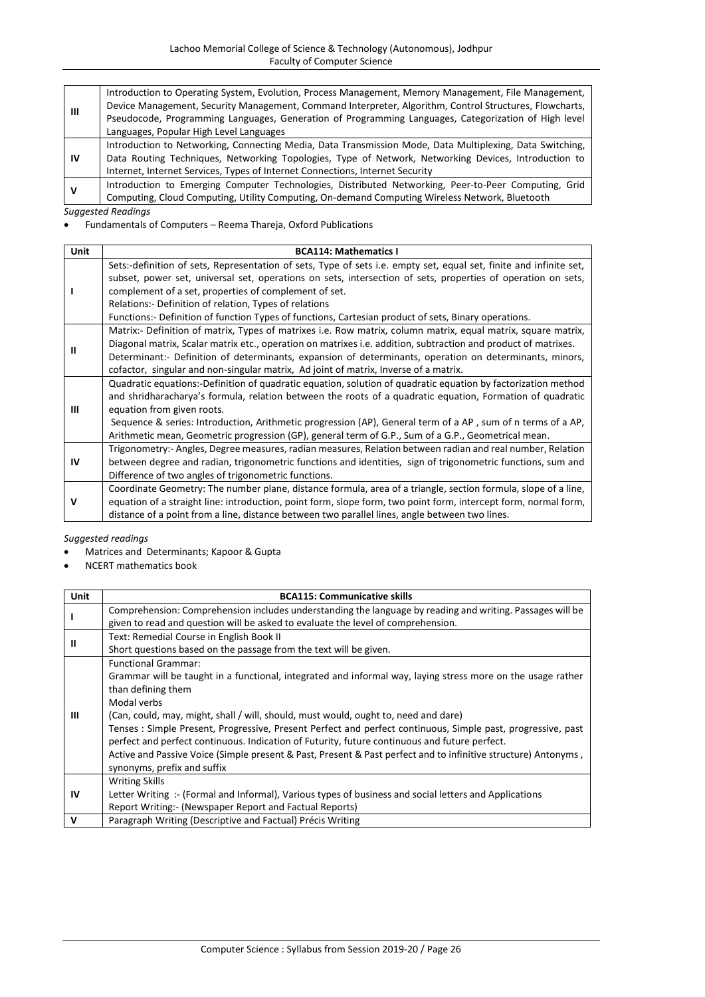| Ш  | Introduction to Operating System, Evolution, Process Management, Memory Management, File Management,     |
|----|----------------------------------------------------------------------------------------------------------|
|    | Device Management, Security Management, Command Interpreter, Algorithm, Control Structures, Flowcharts,  |
|    | Pseudocode, Programming Languages, Generation of Programming Languages, Categorization of High level     |
|    | Languages, Popular High Level Languages                                                                  |
|    | Introduction to Networking, Connecting Media, Data Transmission Mode, Data Multiplexing, Data Switching, |
| 1V | Data Routing Techniques, Networking Topologies, Type of Network, Networking Devices, Introduction to     |
|    | Internet, Internet Services, Types of Internet Connections, Internet Security                            |
| v  | Introduction to Emerging Computer Technologies, Distributed Networking, Peer-to-Peer Computing, Grid     |
|    | Computing, Cloud Computing, Utility Computing, On-demand Computing Wireless Network, Bluetooth           |

Fundamentals of Computers – Reema Thareja, Oxford Publications

| Unit      | <b>BCA114: Mathematics I</b>                                                                                       |
|-----------|--------------------------------------------------------------------------------------------------------------------|
|           | Sets:-definition of sets, Representation of sets, Type of sets i.e. empty set, equal set, finite and infinite set, |
|           | subset, power set, universal set, operations on sets, intersection of sets, properties of operation on sets,       |
|           | complement of a set, properties of complement of set.                                                              |
|           | Relations: - Definition of relation, Types of relations                                                            |
|           | Functions:- Definition of function Types of functions, Cartesian product of sets, Binary operations.               |
|           | Matrix:- Definition of matrix, Types of matrixes i.e. Row matrix, column matrix, equal matrix, square matrix,      |
| Ш         | Diagonal matrix, Scalar matrix etc., operation on matrixes i.e. addition, subtraction and product of matrixes.     |
|           | Determinant:- Definition of determinants, expansion of determinants, operation on determinants, minors,            |
|           | cofactor, singular and non-singular matrix, Ad joint of matrix, Inverse of a matrix.                               |
|           | Quadratic equations:-Definition of quadratic equation, solution of quadratic equation by factorization method      |
|           | and shridharacharya's formula, relation between the roots of a quadratic equation, Formation of quadratic          |
| Ш         | equation from given roots.                                                                                         |
|           | Sequence & series: Introduction, Arithmetic progression (AP), General term of a AP, sum of n terms of a AP,        |
|           | Arithmetic mean, Geometric progression (GP), general term of G.P., Sum of a G.P., Geometrical mean.                |
|           | Trigonometry:- Angles, Degree measures, radian measures, Relation between radian and real number, Relation         |
| <b>IV</b> | between degree and radian, trigonometric functions and identities, sign of trigonometric functions, sum and        |
|           | Difference of two angles of trigonometric functions.                                                               |
|           | Coordinate Geometry: The number plane, distance formula, area of a triangle, section formula, slope of a line,     |
| v         | equation of a straight line: introduction, point form, slope form, two point form, intercept form, normal form,    |
|           | distance of a point from a line, distance between two parallel lines, angle between two lines.                     |

*Suggested readings*

Matrices and Determinants; Kapoor & Gupta

NCERT mathematics book

| Unit      | <b>BCA115: Communicative skills</b>                                                                            |
|-----------|----------------------------------------------------------------------------------------------------------------|
|           | Comprehension: Comprehension includes understanding the language by reading and writing. Passages will be      |
|           | given to read and question will be asked to evaluate the level of comprehension.                               |
| Ш         | Text: Remedial Course in English Book II                                                                       |
|           | Short questions based on the passage from the text will be given.                                              |
|           | <b>Functional Grammar:</b>                                                                                     |
|           | Grammar will be taught in a functional, integrated and informal way, laying stress more on the usage rather    |
|           | than defining them                                                                                             |
|           | Modal verbs                                                                                                    |
| Ш         | (Can, could, may, might, shall / will, should, must would, ought to, need and dare)                            |
|           | Tenses : Simple Present, Progressive, Present Perfect and perfect continuous, Simple past, progressive, past   |
|           | perfect and perfect continuous. Indication of Futurity, future continuous and future perfect.                  |
|           | Active and Passive Voice (Simple present & Past, Present & Past perfect and to infinitive structure) Antonyms, |
|           | synonyms, prefix and suffix                                                                                    |
|           | <b>Writing Skills</b>                                                                                          |
| <b>IV</b> | Letter Writing: - (Formal and Informal), Various types of business and social letters and Applications         |
|           | Report Writing:- (Newspaper Report and Factual Reports)                                                        |
| V         | Paragraph Writing (Descriptive and Factual) Précis Writing                                                     |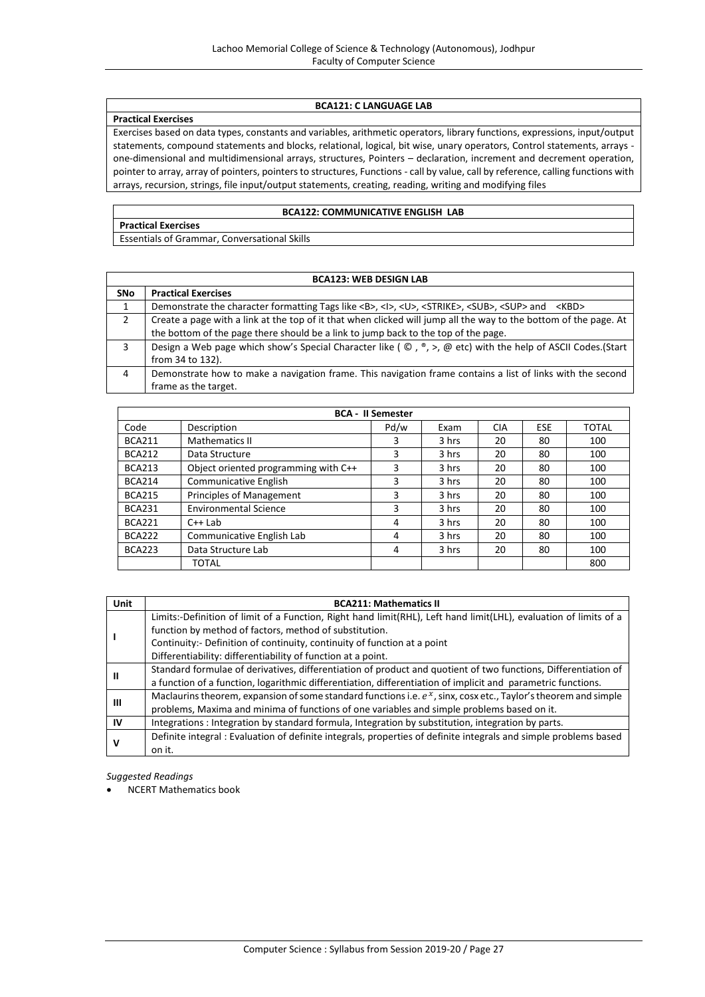## **BCA121: C LANGUAGE LAB**

## **Practical Exercises**

Exercises based on data types, constants and variables, arithmetic operators, library functions, expressions, input/output statements, compound statements and blocks, relational, logical, bit wise, unary operators, Control statements, arrays one-dimensional and multidimensional arrays, structures, Pointers – declaration, increment and decrement operation, pointer to array, array of pointers, pointers to structures, Functions - call by value, call by reference, calling functions with arrays, recursion, strings, file input/output statements, creating, reading, writing and modifying files

## **BCA122: COMMUNICATIVE ENGLISH LAB**

**Practical Exercises** Essentials of Grammar, Conversational Skills

|            | <b>BCA123: WEB DESIGN LAB</b>                                                                                                                      |  |  |  |
|------------|----------------------------------------------------------------------------------------------------------------------------------------------------|--|--|--|
| <b>SNo</b> | <b>Practical Exercises</b>                                                                                                                         |  |  |  |
| 1          | Demonstrate the character formatting Tags like <b>, <l>, <u>, <strike>, <sub>, <sup> and <kbd></kbd></sup></sub></strike></u></l></b>              |  |  |  |
| 2          | Create a page with a link at the top of it that when clicked will jump all the way to the bottom of the page. At                                   |  |  |  |
|            | the bottom of the page there should be a link to jump back to the top of the page.                                                                 |  |  |  |
| 3          | Design a Web page which show's Special Character like ( $\mathbb{O}$ , $\mathbb{P}$ , $>$ , $\mathbb{O}$ etc) with the help of ASCII Codes. (Start |  |  |  |
|            | from 34 to 132).                                                                                                                                   |  |  |  |
| 4          | Demonstrate how to make a navigation frame. This navigation frame contains a list of links with the second                                         |  |  |  |
|            | frame as the target.                                                                                                                               |  |  |  |

| <b>BCA - II Semester</b> |                                      |      |       |            |            |              |
|--------------------------|--------------------------------------|------|-------|------------|------------|--------------|
| Code                     | Description                          | Pd/w | Exam  | <b>CIA</b> | <b>ESE</b> | <b>TOTAL</b> |
| <b>BCA211</b>            | <b>Mathematics II</b>                | 3    | 3 hrs | 20         | 80         | 100          |
| <b>BCA212</b>            | Data Structure                       | 3    | 3 hrs | 20         | 80         | 100          |
| <b>BCA213</b>            | Object oriented programming with C++ | 3    | 3 hrs | 20         | 80         | 100          |
| <b>BCA214</b>            | Communicative English                | 3    | 3 hrs | 20         | 80         | 100          |
| <b>BCA215</b>            | Principles of Management             | 3    | 3 hrs | 20         | 80         | 100          |
| <b>BCA231</b>            | <b>Environmental Science</b>         | 3    | 3 hrs | 20         | 80         | 100          |
| <b>BCA221</b>            | $C++$ Lab                            | 4    | 3 hrs | 20         | 80         | 100          |
| <b>BCA222</b>            | Communicative English Lab            | 4    | 3 hrs | 20         | 80         | 100          |
| <b>BCA223</b>            | Data Structure Lab                   | 4    | 3 hrs | 20         | 80         | 100          |
|                          | TOTAL                                |      |       |            |            | 800          |

| Unit | <b>BCA211: Mathematics II</b>                                                                                      |
|------|--------------------------------------------------------------------------------------------------------------------|
|      | Limits:-Definition of limit of a Function, Right hand limit(RHL), Left hand limit(LHL), evaluation of limits of a  |
|      | function by method of factors, method of substitution.                                                             |
|      | Continuity:- Definition of continuity, continuity of function at a point                                           |
|      | Differentiability: differentiability of function at a point.                                                       |
| Ш    | Standard formulae of derivatives, differentiation of product and quotient of two functions, Differentiation of     |
|      | a function of a function, logarithmic differentiation, differentiation of implicit and parametric functions.       |
| Ш    | Maclaurins theorem, expansion of some standard functions i.e. $e^x$ , sinx, cosx etc., Taylor's theorem and simple |
|      | problems, Maxima and minima of functions of one variables and simple problems based on it.                         |
| IV   | Integrations : Integration by standard formula, Integration by substitution, integration by parts.                 |
| ν    | Definite integral: Evaluation of definite integrals, properties of definite integrals and simple problems based    |
|      | on it.                                                                                                             |

*Suggested Readings*

NCERT Mathematics book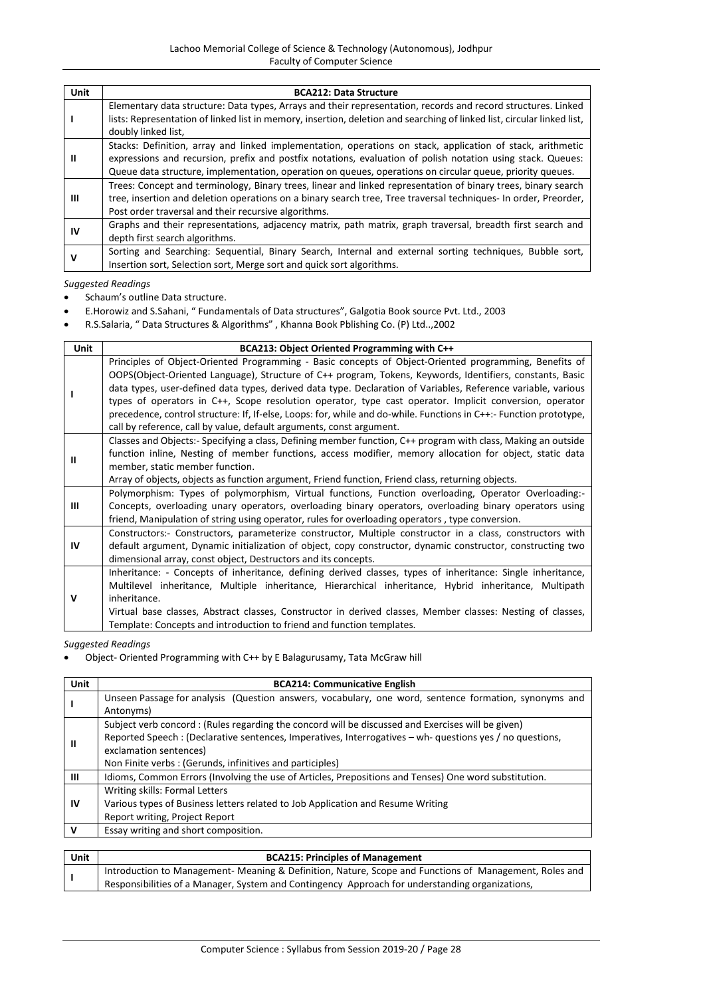| Unit | <b>BCA212: Data Structure</b>                                                                                           |
|------|-------------------------------------------------------------------------------------------------------------------------|
|      | Elementary data structure: Data types, Arrays and their representation, records and record structures. Linked           |
|      | lists: Representation of linked list in memory, insertion, deletion and searching of linked list, circular linked list, |
|      | doubly linked list,                                                                                                     |
|      | Stacks: Definition, array and linked implementation, operations on stack, application of stack, arithmetic              |
| Ш    | expressions and recursion, prefix and postfix notations, evaluation of polish notation using stack. Queues:             |
|      | Queue data structure, implementation, operation on queues, operations on circular queue, priority queues.               |
|      | Trees: Concept and terminology, Binary trees, linear and linked representation of binary trees, binary search           |
| ш    | tree, insertion and deletion operations on a binary search tree, Tree traversal techniques- In order, Preorder,         |
|      | Post order traversal and their recursive algorithms.                                                                    |
|      | Graphs and their representations, adjacency matrix, path matrix, graph traversal, breadth first search and              |
| ΙV   | depth first search algorithms.                                                                                          |
|      | Sorting and Searching: Sequential, Binary Search, Internal and external sorting techniques, Bubble sort,                |
| v    | Insertion sort, Selection sort, Merge sort and quick sort algorithms.                                                   |

- Schaum's outline Data structure.
- E.Horowiz and S.Sahani, " Fundamentals of Data structures", Galgotia Book source Pvt. Ltd., 2003
- R.S.Salaria, " Data Structures & Algorithms" , Khanna Book Pblishing Co. (P) Ltd..,2002

| <b>Unit</b> | BCA213: Object Oriented Programming with C++                                                                                                                                                                                                                                                                                                                                                                                                                                                                                                                                                                                                  |
|-------------|-----------------------------------------------------------------------------------------------------------------------------------------------------------------------------------------------------------------------------------------------------------------------------------------------------------------------------------------------------------------------------------------------------------------------------------------------------------------------------------------------------------------------------------------------------------------------------------------------------------------------------------------------|
|             | Principles of Object-Oriented Programming - Basic concepts of Object-Oriented programming, Benefits of<br>OOPS(Object-Oriented Language), Structure of C++ program, Tokens, Keywords, Identifiers, constants, Basic<br>data types, user-defined data types, derived data type. Declaration of Variables, Reference variable, various<br>types of operators in C++, Scope resolution operator, type cast operator. Implicit conversion, operator<br>precedence, control structure: If, If-else, Loops: for, while and do-while. Functions in C++:- Function prototype,<br>call by reference, call by value, default arguments, const argument. |
| Ш           | Classes and Objects:- Specifying a class, Defining member function, C++ program with class, Making an outside<br>function inline, Nesting of member functions, access modifier, memory allocation for object, static data<br>member, static member function.<br>Array of objects, objects as function argument, Friend function, Friend class, returning objects.                                                                                                                                                                                                                                                                             |
| Ш           | Polymorphism: Types of polymorphism, Virtual functions, Function overloading, Operator Overloading:-<br>Concepts, overloading unary operators, overloading binary operators, overloading binary operators using<br>friend, Manipulation of string using operator, rules for overloading operators, type conversion.                                                                                                                                                                                                                                                                                                                           |
| IV          | Constructors:- Constructors, parameterize constructor, Multiple constructor in a class, constructors with<br>default argument, Dynamic initialization of object, copy constructor, dynamic constructor, constructing two<br>dimensional array, const object, Destructors and its concepts.                                                                                                                                                                                                                                                                                                                                                    |
| V           | Inheritance: - Concepts of inheritance, defining derived classes, types of inheritance: Single inheritance,<br>Multilevel inheritance, Multiple inheritance, Hierarchical inheritance, Hybrid inheritance, Multipath<br>inheritance.<br>Virtual base classes, Abstract classes, Constructor in derived classes, Member classes: Nesting of classes,<br>Template: Concepts and introduction to friend and function templates.                                                                                                                                                                                                                  |

*Suggested Readings*

Object- Oriented Programming with C++ by E Balagurusamy, Tata McGraw hill

| Unit      | <b>BCA214: Communicative English</b>                                                                      |
|-----------|-----------------------------------------------------------------------------------------------------------|
|           | Unseen Passage for analysis (Question answers, vocabulary, one word, sentence formation, synonyms and     |
|           | Antonyms)                                                                                                 |
|           | Subject verb concord: (Rules regarding the concord will be discussed and Exercises will be given)         |
|           | Reported Speech : (Declarative sentences, Imperatives, Interrogatives – wh- questions yes / no questions, |
| Ш         | exclamation sentences)                                                                                    |
|           | Non Finite verbs: (Gerunds, infinitives and participles)                                                  |
| Ш         | Idioms, Common Errors (Involving the use of Articles, Prepositions and Tenses) One word substitution.     |
|           | Writing skills: Formal Letters                                                                            |
| <b>IV</b> | Various types of Business letters related to Job Application and Resume Writing                           |
|           | Report writing, Project Report                                                                            |
| v         | Essay writing and short composition.                                                                      |
|           |                                                                                                           |

| Unit | <b>BCA215: Principles of Management</b>                                                                |
|------|--------------------------------------------------------------------------------------------------------|
|      | Introduction to Management- Meaning & Definition, Nature, Scope and Functions of Management, Roles and |
|      | Responsibilities of a Manager, System and Contingency Approach for understanding organizations,        |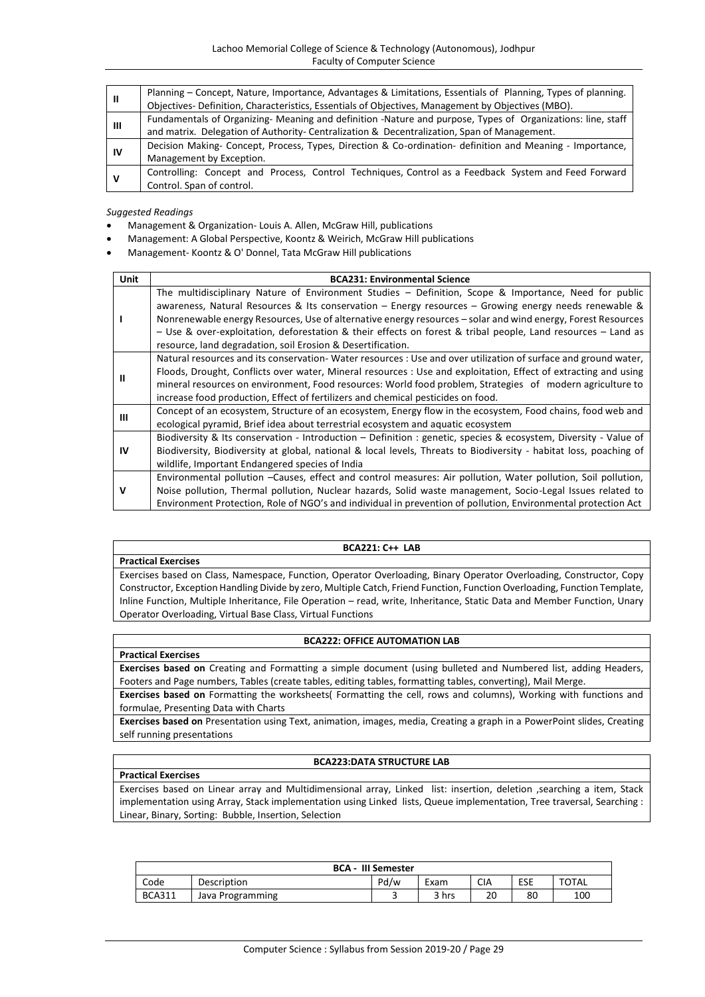| Ш  | Planning – Concept, Nature, Importance, Advantages & Limitations, Essentials of Planning, Types of planning. |
|----|--------------------------------------------------------------------------------------------------------------|
|    | Objectives- Definition, Characteristics, Essentials of Objectives, Management by Objectives (MBO).           |
| Ш  | Fundamentals of Organizing- Meaning and definition -Nature and purpose, Types of Organizations: line, staff  |
|    | and matrix. Delegation of Authority- Centralization & Decentralization, Span of Management.                  |
| ١V | Decision Making- Concept, Process, Types, Direction & Co-ordination- definition and Meaning - Importance,    |
|    | Management by Exception.                                                                                     |
| ν  | Controlling: Concept and Process, Control Techniques, Control as a Feedback System and Feed Forward          |
|    | Control. Span of control.                                                                                    |

- Management & Organization- Louis A. Allen, McGraw Hill, publications
- Management: A Global Perspective, Koontz & Weirich, McGraw Hill publications
- Management- Koontz & O' Donnel, Tata McGraw Hill publications

| Unit      | <b>BCA231: Environmental Science</b>                                                                                                                                                                                                                                                                                                                                                                                                                                                                                                              |
|-----------|---------------------------------------------------------------------------------------------------------------------------------------------------------------------------------------------------------------------------------------------------------------------------------------------------------------------------------------------------------------------------------------------------------------------------------------------------------------------------------------------------------------------------------------------------|
|           | The multidisciplinary Nature of Environment Studies – Definition, Scope & Importance, Need for public<br>awareness, Natural Resources & Its conservation – Energy resources – Growing energy needs renewable &<br>Nonrenewable energy Resources, Use of alternative energy resources – solar and wind energy, Forest Resources<br>- Use & over-exploitation, deforestation & their effects on forest & tribal people, Land resources - Land as<br>resource, land degradation, soil Erosion & Desertification.                                     |
| Ш<br>Ш    | Natural resources and its conservation-Water resources : Use and over utilization of surface and ground water,<br>Floods, Drought, Conflicts over water, Mineral resources : Use and exploitation, Effect of extracting and using<br>mineral resources on environment, Food resources: World food problem, Strategies of modern agriculture to<br>increase food production, Effect of fertilizers and chemical pesticides on food.<br>Concept of an ecosystem, Structure of an ecosystem, Energy flow in the ecosystem, Food chains, food web and |
|           | ecological pyramid, Brief idea about terrestrial ecosystem and aquatic ecosystem                                                                                                                                                                                                                                                                                                                                                                                                                                                                  |
| <b>IV</b> | Biodiversity & Its conservation - Introduction - Definition : genetic, species & ecosystem, Diversity - Value of<br>Biodiversity, Biodiversity at global, national & local levels, Threats to Biodiversity - habitat loss, poaching of<br>wildlife, Important Endangered species of India                                                                                                                                                                                                                                                         |
| v         | Environmental pollution -Causes, effect and control measures: Air pollution, Water pollution, Soil pollution,<br>Noise pollution, Thermal pollution, Nuclear hazards, Solid waste management, Socio-Legal Issues related to<br>Environment Protection, Role of NGO's and individual in prevention of pollution, Environmental protection Act                                                                                                                                                                                                      |

## **BCA221: C++ LAB**

Exercises based on Class, Namespace, Function, Operator Overloading, Binary Operator Overloading, Constructor, Copy Constructor, Exception Handling Divide by zero, Multiple Catch, Friend Function, Function Overloading, Function Template, Inline Function, Multiple Inheritance, File Operation – read, write, Inheritance, Static Data and Member Function, Unary Operator Overloading, Virtual Base Class, Virtual Functions

## **BCA222: OFFICE AUTOMATION LAB**

**Practical Exercises**

**Practical Exercises**

**Exercises based on** Creating and Formatting a simple document (using bulleted and Numbered list, adding Headers, Footers and Page numbers, Tables (create tables, editing tables, formatting tables, converting), Mail Merge.

**Exercises based on** Formatting the worksheets( Formatting the cell, rows and columns), Working with functions and formulae, Presenting Data with Charts

**Exercises based on** Presentation using Text, animation, images, media, Creating a graph in a PowerPoint slides, Creating self running presentations

#### **BCA223:DATA STRUCTURE LAB**

## **Practical Exercises**

Exercises based on Linear array and Multidimensional array, Linked list: insertion, deletion ,searching a item, Stack implementation using Array, Stack implementation using Linked lists, Queue implementation, Tree traversal, Searching : Linear, Binary, Sorting: Bubble, Insertion, Selection

| <b>BCA - III Semester</b> |                  |      |       |            |            |              |
|---------------------------|------------------|------|-------|------------|------------|--------------|
| Code                      | Description      | Pd/w | Exam  | <b>CIA</b> | <b>ESE</b> | <b>TOTAL</b> |
| <b>BCA311</b>             | Java Programming |      | 3 hrs | 20         | 80         | 100          |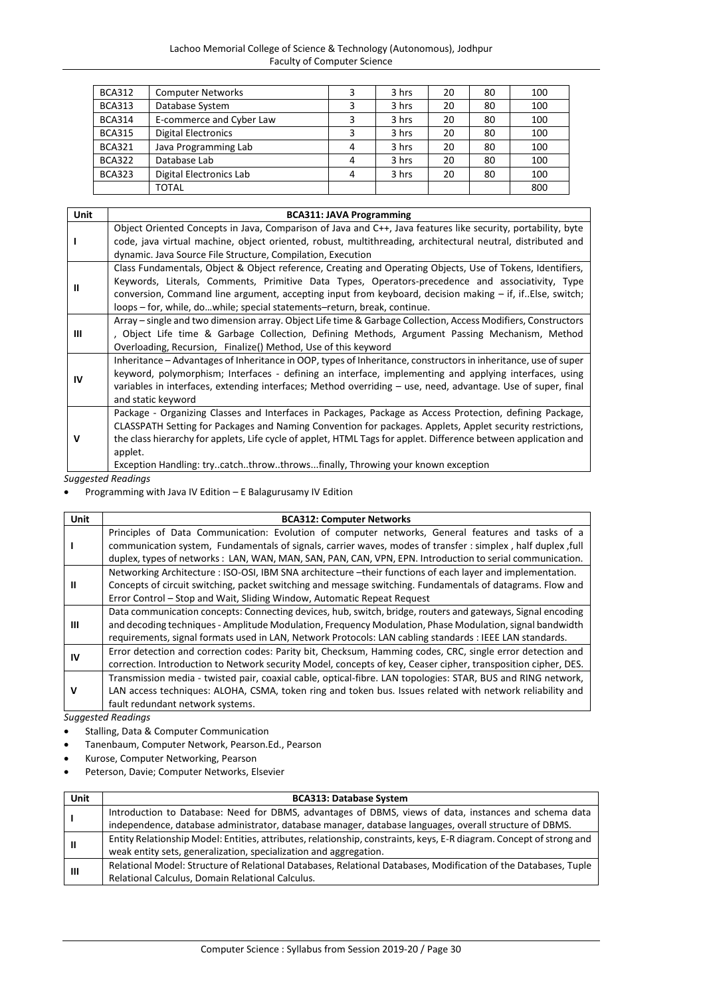# Lachoo Memorial College of Science & Technology (Autonomous), Jodhpur Faculty of Computer Science

| <b>BCA312</b> | <b>Computer Networks</b>   |   | 3 hrs | 20 | 80 | 100 |
|---------------|----------------------------|---|-------|----|----|-----|
| <b>BCA313</b> | Database System            |   | 3 hrs | 20 | 80 | 100 |
| <b>BCA314</b> | E-commerce and Cyber Law   | 3 | 3 hrs | 20 | 80 | 100 |
| <b>BCA315</b> | <b>Digital Electronics</b> |   | 3 hrs | 20 | 80 | 100 |
| <b>BCA321</b> | Java Programming Lab       | 4 | 3 hrs | 20 | 80 | 100 |
| <b>BCA322</b> | Database Lab               | 4 | 3 hrs | 20 | 80 | 100 |
| <b>BCA323</b> | Digital Electronics Lab    | 4 | 3 hrs | 20 | 80 | 100 |
|               | <b>TOTAL</b>               |   |       |    |    | 800 |

| <b>Unit</b> | <b>BCA311: JAVA Programming</b>                                                                                                                                                                                                                                                                                                                                                                                                      |
|-------------|--------------------------------------------------------------------------------------------------------------------------------------------------------------------------------------------------------------------------------------------------------------------------------------------------------------------------------------------------------------------------------------------------------------------------------------|
|             | Object Oriented Concepts in Java, Comparison of Java and C++, Java features like security, portability, byte<br>code, java virtual machine, object oriented, robust, multithreading, architectural neutral, distributed and                                                                                                                                                                                                          |
|             | dynamic. Java Source File Structure, Compilation, Execution                                                                                                                                                                                                                                                                                                                                                                          |
| Ш           | Class Fundamentals, Object & Object reference, Creating and Operating Objects, Use of Tokens, Identifiers,<br>Keywords, Literals, Comments, Primitive Data Types, Operators-precedence and associativity, Type<br>conversion, Command line argument, accepting input from keyboard, decision making $-$ if, if. Else, switch;<br>loops - for, while, dowhile; special statements-return, break, continue.                            |
| Ш           | Array – single and two dimension array. Object Life time & Garbage Collection, Access Modifiers, Constructors<br>, Object Life time & Garbage Collection, Defining Methods, Argument Passing Mechanism, Method<br>Overloading, Recursion, Finalize() Method, Use of this keyword                                                                                                                                                     |
| IV          | Inheritance – Advantages of Inheritance in OOP, types of Inheritance, constructors in inheritance, use of super<br>keyword, polymorphism; Interfaces - defining an interface, implementing and applying interfaces, using<br>variables in interfaces, extending interfaces; Method overriding – use, need, advantage. Use of super, final<br>and static keyword                                                                      |
| v           | Package - Organizing Classes and Interfaces in Packages, Package as Access Protection, defining Package,<br>CLASSPATH Setting for Packages and Naming Convention for packages. Applets, Applet security restrictions,<br>the class hierarchy for applets, Life cycle of applet, HTML Tags for applet. Difference between application and<br>applet.<br>Exception Handling: trycatchthrowthrowsfinally, Throwing your known exception |

*Suggested Readings*

Programming with Java IV Edition – E Balagurusamy IV Edition

| Unit | <b>BCA312: Computer Networks</b>                                                                               |
|------|----------------------------------------------------------------------------------------------------------------|
|      | Principles of Data Communication: Evolution of computer networks, General features and tasks of a              |
|      | communication system, Fundamentals of signals, carrier waves, modes of transfer : simplex, half duplex, full   |
|      | duplex, types of networks : LAN, WAN, MAN, SAN, PAN, CAN, VPN, EPN. Introduction to serial communication.      |
|      | Networking Architecture : ISO-OSI, IBM SNA architecture -their functions of each layer and implementation.     |
| Ш    | Concepts of circuit switching, packet switching and message switching. Fundamentals of datagrams. Flow and     |
|      | Error Control – Stop and Wait, Sliding Window, Automatic Repeat Request                                        |
|      | Data communication concepts: Connecting devices, hub, switch, bridge, routers and gateways, Signal encoding    |
| ш    | and decoding techniques - Amplitude Modulation, Frequency Modulation, Phase Modulation, signal bandwidth       |
|      | requirements, signal formats used in LAN, Network Protocols: LAN cabling standards : IEEE LAN standards.       |
| IV   | Error detection and correction codes: Parity bit, Checksum, Hamming codes, CRC, single error detection and     |
|      | correction. Introduction to Network security Model, concepts of key, Ceaser cipher, transposition cipher, DES. |
|      | Transmission media - twisted pair, coaxial cable, optical-fibre. LAN topologies: STAR, BUS and RING network,   |
| v    | LAN access techniques: ALOHA, CSMA, token ring and token bus. Issues related with network reliability and      |
|      | fault redundant network systems.                                                                               |

- Stalling, Data & Computer Communication
- Tanenbaum, Computer Network, Pearson.Ed., Pearson
- Kurose, Computer Networking, Pearson
- Peterson, Davie; Computer Networks, Elsevier

| <b>Unit</b> | <b>BCA313: Database System</b>                                                                                       |  |  |  |  |  |  |
|-------------|----------------------------------------------------------------------------------------------------------------------|--|--|--|--|--|--|
|             | Introduction to Database: Need for DBMS, advantages of DBMS, views of data, instances and schema data                |  |  |  |  |  |  |
|             | independence, database administrator, database manager, database languages, overall structure of DBMS.               |  |  |  |  |  |  |
| Ш           | Entity Relationship Model: Entities, attributes, relationship, constraints, keys, E-R diagram. Concept of strong and |  |  |  |  |  |  |
|             | weak entity sets, generalization, specialization and aggregation.                                                    |  |  |  |  |  |  |
| ш           | Relational Model: Structure of Relational Databases, Relational Databases, Modification of the Databases, Tuple      |  |  |  |  |  |  |
|             | Relational Calculus, Domain Relational Calculus.                                                                     |  |  |  |  |  |  |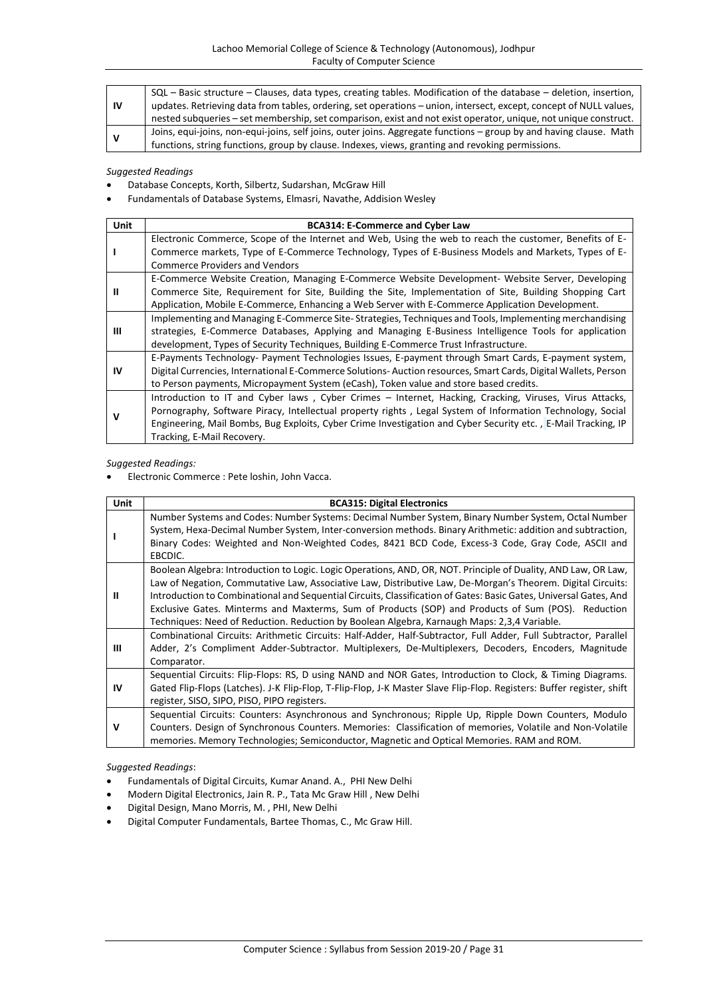| 1V | $SQL$ – Basic structure – Clauses, data types, creating tables. Modification of the database – deletion, insertion, |
|----|---------------------------------------------------------------------------------------------------------------------|
|    | updates. Retrieving data from tables, ordering, set operations - union, intersect, except, concept of NULL values,  |
|    | nested subqueries - set membership, set comparison, exist and not exist operator, unique, not unique construct.     |
|    | Joins, equi-joins, non-equi-joins, self joins, outer joins. Aggregate functions - group by and having clause. Math  |
|    | functions, string functions, group by clause. Indexes, views, granting and revoking permissions.                    |

- Database Concepts, Korth, Silbertz, Sudarshan, McGraw Hill
- Fundamentals of Database Systems, Elmasri, Navathe, Addision Wesley

| Unit | <b>BCA314: E-Commerce and Cyber Law</b>                                                                                                                                                                                                                                                                                                                             |
|------|---------------------------------------------------------------------------------------------------------------------------------------------------------------------------------------------------------------------------------------------------------------------------------------------------------------------------------------------------------------------|
|      | Electronic Commerce, Scope of the Internet and Web, Using the web to reach the customer, Benefits of E-<br>Commerce markets, Type of E-Commerce Technology, Types of E-Business Models and Markets, Types of E-<br><b>Commerce Providers and Vendors</b>                                                                                                            |
| Ш    | E-Commerce Website Creation, Managing E-Commerce Website Development- Website Server, Developing<br>Commerce Site, Requirement for Site, Building the Site, Implementation of Site, Building Shopping Cart<br>Application, Mobile E-Commerce, Enhancing a Web Server with E-Commerce Application Development.                                                       |
| ш    | Implementing and Managing E-Commerce Site-Strategies, Techniques and Tools, Implementing merchandising<br>strategies, E-Commerce Databases, Applying and Managing E-Business Intelligence Tools for application<br>development, Types of Security Techniques, Building E-Commerce Trust Infrastructure.                                                             |
| IV   | E-Payments Technology- Payment Technologies Issues, E-payment through Smart Cards, E-payment system,<br>Digital Currencies, International E-Commerce Solutions-Auction resources, Smart Cards, Digital Wallets, Person<br>to Person payments, Micropayment System (eCash), Token value and store based credits.                                                     |
| ν    | Introduction to IT and Cyber laws, Cyber Crimes - Internet, Hacking, Cracking, Viruses, Virus Attacks,<br>Pornography, Software Piracy, Intellectual property rights, Legal System of Information Technology, Social<br>Engineering, Mail Bombs, Bug Exploits, Cyber Crime Investigation and Cyber Security etc., E-Mail Tracking, IP<br>Tracking, E-Mail Recovery. |

*Suggested Readings:*

Electronic Commerce : Pete loshin, John Vacca.

| Unit      | <b>BCA315: Digital Electronics</b>                                                                                                                                                                                                                                                                                                                                                                                                                                                                                                                      |
|-----------|---------------------------------------------------------------------------------------------------------------------------------------------------------------------------------------------------------------------------------------------------------------------------------------------------------------------------------------------------------------------------------------------------------------------------------------------------------------------------------------------------------------------------------------------------------|
|           | Number Systems and Codes: Number Systems: Decimal Number System, Binary Number System, Octal Number<br>System, Hexa-Decimal Number System, Inter-conversion methods. Binary Arithmetic: addition and subtraction,<br>Binary Codes: Weighted and Non-Weighted Codes, 8421 BCD Code, Excess-3 Code, Gray Code, ASCII and<br>EBCDIC.                                                                                                                                                                                                                       |
| Ш         | Boolean Algebra: Introduction to Logic. Logic Operations, AND, OR, NOT. Principle of Duality, AND Law, OR Law,<br>Law of Negation, Commutative Law, Associative Law, Distributive Law, De-Morgan's Theorem. Digital Circuits:<br>Introduction to Combinational and Sequential Circuits, Classification of Gates: Basic Gates, Universal Gates, And<br>Exclusive Gates. Minterms and Maxterms, Sum of Products (SOP) and Products of Sum (POS). Reduction<br>Techniques: Need of Reduction. Reduction by Boolean Algebra, Karnaugh Maps: 2,3,4 Variable. |
| ш         | Combinational Circuits: Arithmetic Circuits: Half-Adder, Half-Subtractor, Full Adder, Full Subtractor, Parallel<br>Adder, 2's Compliment Adder-Subtractor. Multiplexers, De-Multiplexers, Decoders, Encoders, Magnitude<br>Comparator.                                                                                                                                                                                                                                                                                                                  |
| <b>IV</b> | Sequential Circuits: Flip-Flops: RS, D using NAND and NOR Gates, Introduction to Clock, & Timing Diagrams.<br>Gated Flip-Flops (Latches). J-K Flip-Flop, T-Flip-Flop, J-K Master Slave Flip-Flop. Registers: Buffer register, shift<br>register, SISO, SIPO, PISO, PIPO registers.                                                                                                                                                                                                                                                                      |
| v         | Sequential Circuits: Counters: Asynchronous and Synchronous; Ripple Up, Ripple Down Counters, Modulo<br>Counters. Design of Synchronous Counters. Memories: Classification of memories, Volatile and Non-Volatile<br>memories. Memory Technologies; Semiconductor, Magnetic and Optical Memories. RAM and ROM.                                                                                                                                                                                                                                          |

- Fundamentals of Digital Circuits, Kumar Anand. A., PHI New Delhi
- Modern Digital Electronics, Jain R. P., Tata Mc Graw Hill , New Delhi
- Digital Design, Mano Morris, M. , PHI, New Delhi
- Digital Computer Fundamentals, Bartee Thomas, C., Mc Graw Hill.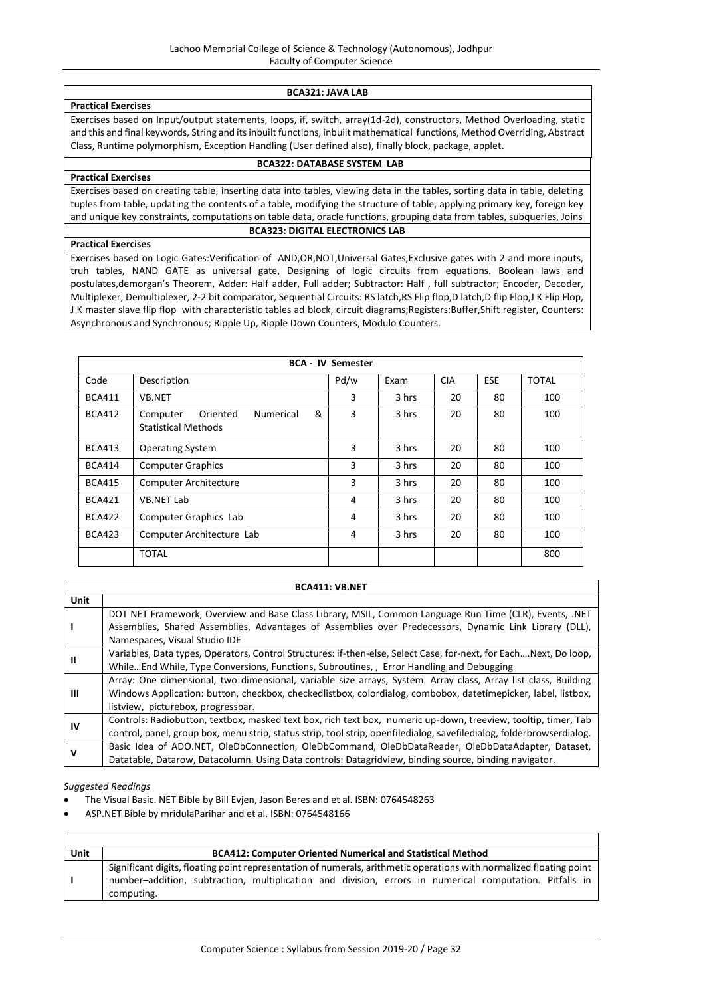#### **BCA321: JAVA LAB**

**Practical Exercises** Exercises based on Input/output statements, loops, if, switch, array(1d-2d), constructors, Method Overloading, static and this and final keywords, String and its inbuilt functions, inbuilt mathematical functions, Method Overriding, Abstract Class, Runtime polymorphism, Exception Handling (User defined also), finally block, package, applet.

## **BCA322: DATABASE SYSTEM LAB**

## **Practical Exercises**

**Practical Exercises**

Exercises based on creating table, inserting data into tables, viewing data in the tables, sorting data in table, deleting tuples from table, updating the contents of a table, modifying the structure of table, applying primary key, foreign key and unique key constraints, computations on table data, oracle functions, grouping data from tables, subqueries, Joins

# **BCA323: DIGITAL ELECTRONICS LAB**

Exercises based on Logic Gates:Verification of AND,OR,NOT,Universal Gates,Exclusive gates with 2 and more inputs, truh tables, NAND GATE as universal gate, Designing of logic circuits from equations. Boolean laws and postulates,demorgan's Theorem, Adder: Half adder, Full adder; Subtractor: Half , full subtractor; Encoder, Decoder, Multiplexer, Demultiplexer, 2-2 bit comparator, Sequential Circuits: RS latch,RS Flip flop,D latch,D flip Flop,J K Flip Flop, J K master slave flip flop with characteristic tables ad block, circuit diagrams;Registers:Buffer,Shift register, Counters: Asynchronous and Synchronous; Ripple Up, Ripple Down Counters, Modulo Counters.

| <b>BCA - IV Semester</b> |                                                                      |      |       |            |            |              |
|--------------------------|----------------------------------------------------------------------|------|-------|------------|------------|--------------|
| Code                     | Description                                                          | Pd/w | Exam  | <b>CIA</b> | <b>ESE</b> | <b>TOTAL</b> |
| <b>BCA411</b>            | <b>VB.NET</b>                                                        | 3    | 3 hrs | 20         | 80         | 100          |
| <b>BCA412</b>            | &<br>Oriented<br>Numerical<br>Computer<br><b>Statistical Methods</b> | 3    | 3 hrs | 20         | 80         | 100          |
| <b>BCA413</b>            | <b>Operating System</b>                                              | 3    | 3 hrs | 20         | 80         | 100          |
| <b>BCA414</b>            | <b>Computer Graphics</b>                                             | 3    | 3 hrs | 20         | 80         | 100          |
| <b>BCA415</b>            | <b>Computer Architecture</b>                                         | 3    | 3 hrs | 20         | 80         | 100          |
| <b>BCA421</b>            | VB.NET Lab                                                           | 4    | 3 hrs | 20         | 80         | 100          |
| <b>BCA422</b>            | Computer Graphics Lab                                                | 4    | 3 hrs | 20         | 80         | 100          |
| <b>BCA423</b>            | Computer Architecture Lab                                            | 4    | 3 hrs | 20         | 80         | 100          |
|                          | <b>TOTAL</b>                                                         |      |       |            |            | 800          |

| <b>BCA411: VB.NET</b> |                                                                                                                                                                                                                                                                       |  |  |  |
|-----------------------|-----------------------------------------------------------------------------------------------------------------------------------------------------------------------------------------------------------------------------------------------------------------------|--|--|--|
| Unit                  |                                                                                                                                                                                                                                                                       |  |  |  |
|                       | DOT NET Framework, Overview and Base Class Library, MSIL, Common Language Run Time (CLR), Events, .NET<br>Assemblies, Shared Assemblies, Advantages of Assemblies over Predecessors, Dynamic Link Library (DLL),<br>Namespaces, Visual Studio IDE                     |  |  |  |
| Ш                     | Variables, Data types, Operators, Control Structures: if-then-else, Select Case, for-next, for EachNext, Do loop,<br>While End While, Type Conversions, Functions, Subroutines, , Error Handling and Debugging                                                        |  |  |  |
| Ш                     | Array: One dimensional, two dimensional, variable size arrays, System. Array class, Array list class, Building<br>Windows Application: button, checkbox, checkedlistbox, colordialog, combobox, datetimepicker, label, listbox,<br>listview, picturebox, progressbar. |  |  |  |
| IV                    | Controls: Radiobutton, textbox, masked text box, rich text box, numeric up-down, treeview, tooltip, timer, Tab<br>control, panel, group box, menu strip, status strip, tool strip, openfiledialog, savefiledialog, folderbrowserdialog.                               |  |  |  |
| v                     | Basic Idea of ADO.NET, OleDbConnection, OleDbCommand, OleDbDataReader, OleDbDataAdapter, Dataset,<br>Datatable, Datarow, Datacolumn. Using Data controls: Datagridview, binding source, binding navigator.                                                            |  |  |  |

## *Suggested Readings*

The Visual Basic. NET Bible by Bill Evjen, Jason Beres and et al. ISBN: 0764548263

ASP.NET Bible by mridulaParihar and et al. ISBN: 0764548166

| Unit | <b>BCA412: Computer Oriented Numerical and Statistical Method</b>                                                                                                                                                                            |  |  |  |  |  |  |  |
|------|----------------------------------------------------------------------------------------------------------------------------------------------------------------------------------------------------------------------------------------------|--|--|--|--|--|--|--|
|      | Significant digits, floating point representation of numerals, arithmetic operations with normalized floating point<br>number-addition, subtraction, multiplication and division, errors in numerical computation. Pitfalls in<br>computing. |  |  |  |  |  |  |  |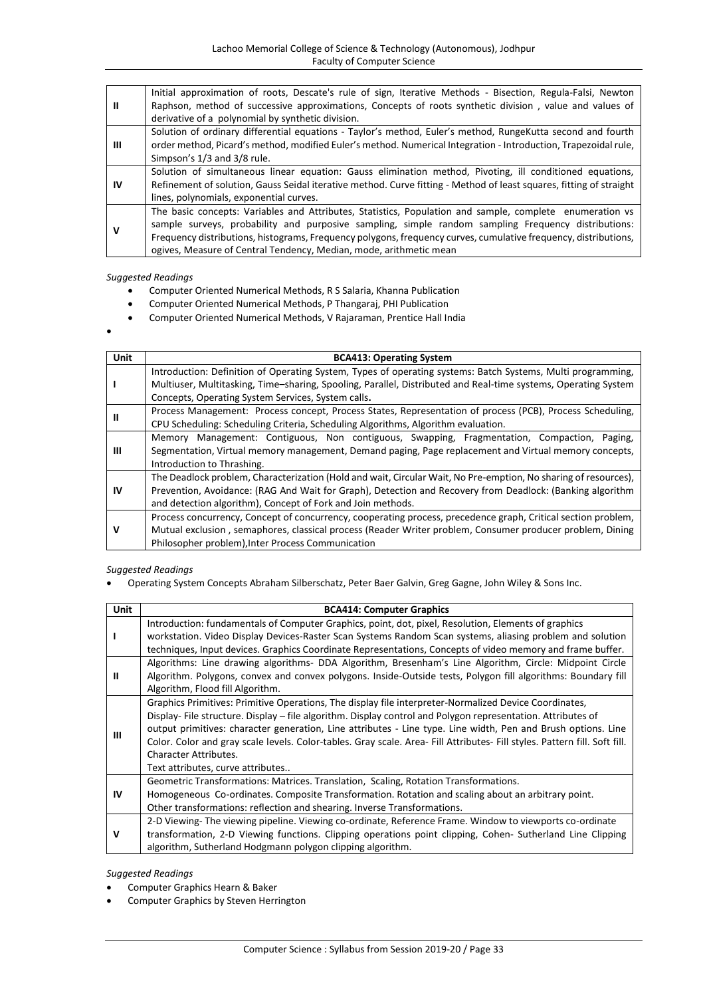| Ш  | Initial approximation of roots, Descate's rule of sign, Iterative Methods - Bisection, Regula-Falsi, Newton<br>Raphson, method of successive approximations, Concepts of roots synthetic division, value and values of |
|----|------------------------------------------------------------------------------------------------------------------------------------------------------------------------------------------------------------------------|
|    | derivative of a polynomial by synthetic division.                                                                                                                                                                      |
|    | Solution of ordinary differential equations - Taylor's method, Euler's method, RungeKutta second and fourth                                                                                                            |
| Ш  | order method, Picard's method, modified Euler's method. Numerical Integration - Introduction, Trapezoidal rule,                                                                                                        |
|    | Simpson's 1/3 and 3/8 rule.                                                                                                                                                                                            |
|    | Solution of simultaneous linear equation: Gauss elimination method, Pivoting, ill conditioned equations,                                                                                                               |
| IV | Refinement of solution, Gauss Seidal iterative method. Curve fitting - Method of least squares, fitting of straight                                                                                                    |
|    | lines, polynomials, exponential curves.                                                                                                                                                                                |
|    | The basic concepts: Variables and Attributes, Statistics, Population and sample, complete enumeration vs                                                                                                               |
| v  | sample surveys, probability and purposive sampling, simple random sampling Frequency distributions:                                                                                                                    |
|    | Frequency distributions, histograms, Frequency polygons, frequency curves, cumulative frequency, distributions,                                                                                                        |
|    | ogives, Measure of Central Tendency, Median, mode, arithmetic mean                                                                                                                                                     |

- Computer Oriented Numerical Methods, R S Salaria, Khanna Publication
- Computer Oriented Numerical Methods, P Thangaraj, PHI Publication
- Computer Oriented Numerical Methods, V Rajaraman, Prentice Hall India
- $\bullet$

| Unit | <b>BCA413: Operating System</b>                                                                                                                                                                                               |
|------|-------------------------------------------------------------------------------------------------------------------------------------------------------------------------------------------------------------------------------|
|      | Introduction: Definition of Operating System, Types of operating systems: Batch Systems, Multi programming,<br>Multiuser, Multitasking, Time-sharing, Spooling, Parallel, Distributed and Real-time systems, Operating System |
|      | Concepts, Operating System Services, System calls.                                                                                                                                                                            |
| Ш    | Process Management: Process concept, Process States, Representation of process (PCB), Process Scheduling,                                                                                                                     |
|      | CPU Scheduling: Scheduling Criteria, Scheduling Algorithms, Algorithm evaluation.                                                                                                                                             |
|      | Memory Management: Contiguous, Non contiguous, Swapping, Fragmentation, Compaction, Paging,                                                                                                                                   |
| Ш    | Segmentation, Virtual memory management, Demand paging, Page replacement and Virtual memory concepts,                                                                                                                         |
|      | Introduction to Thrashing.                                                                                                                                                                                                    |
|      | The Deadlock problem, Characterization (Hold and wait, Circular Wait, No Pre-emption, No sharing of resources),                                                                                                               |
| IV   | Prevention, Avoidance: (RAG And Wait for Graph), Detection and Recovery from Deadlock: (Banking algorithm                                                                                                                     |
|      | and detection algorithm), Concept of Fork and Join methods.                                                                                                                                                                   |
|      | Process concurrency, Concept of concurrency, cooperating process, precedence graph, Critical section problem,                                                                                                                 |
| v    | Mutual exclusion, semaphores, classical process (Reader Writer problem, Consumer producer problem, Dining                                                                                                                     |
|      | Philosopher problem), Inter Process Communication                                                                                                                                                                             |

## *Suggested Readings*

Operating System Concepts Abraham Silberschatz, Peter Baer Galvin, Greg Gagne, John Wiley & Sons Inc.

| <b>Unit</b> | <b>BCA414: Computer Graphics</b>                                                                                           |
|-------------|----------------------------------------------------------------------------------------------------------------------------|
|             | Introduction: fundamentals of Computer Graphics, point, dot, pixel, Resolution, Elements of graphics                       |
|             | workstation. Video Display Devices-Raster Scan Systems Random Scan systems, aliasing problem and solution                  |
|             | techniques, Input devices. Graphics Coordinate Representations, Concepts of video memory and frame buffer.                 |
|             | Algorithms: Line drawing algorithms- DDA Algorithm, Bresenham's Line Algorithm, Circle: Midpoint Circle                    |
| Ш           | Algorithm. Polygons, convex and convex polygons. Inside-Outside tests, Polygon fill algorithms: Boundary fill              |
|             | Algorithm, Flood fill Algorithm.                                                                                           |
|             | Graphics Primitives: Primitive Operations, The display file interpreter-Normalized Device Coordinates,                     |
|             | Display- File structure. Display – file algorithm. Display control and Polygon representation. Attributes of               |
| Ш           | output primitives: character generation, Line attributes - Line type. Line width, Pen and Brush options. Line              |
|             | Color. Color and gray scale levels. Color-tables. Gray scale. Area- Fill Attributes- Fill styles. Pattern fill. Soft fill. |
|             | <b>Character Attributes.</b>                                                                                               |
|             | Text attributes, curve attributes                                                                                          |
|             | Geometric Transformations: Matrices. Translation, Scaling, Rotation Transformations.                                       |
| IV          | Homogeneous Co-ordinates. Composite Transformation. Rotation and scaling about an arbitrary point.                         |
|             | Other transformations: reflection and shearing. Inverse Transformations.                                                   |
| v           | 2-D Viewing- The viewing pipeline. Viewing co-ordinate, Reference Frame. Window to viewports co-ordinate                   |
|             | transformation, 2-D Viewing functions. Clipping operations point clipping, Cohen- Sutherland Line Clipping                 |
|             | algorithm, Sutherland Hodgmann polygon clipping algorithm.                                                                 |

- Computer Graphics Hearn & Baker
- Computer Graphics by Steven Herrington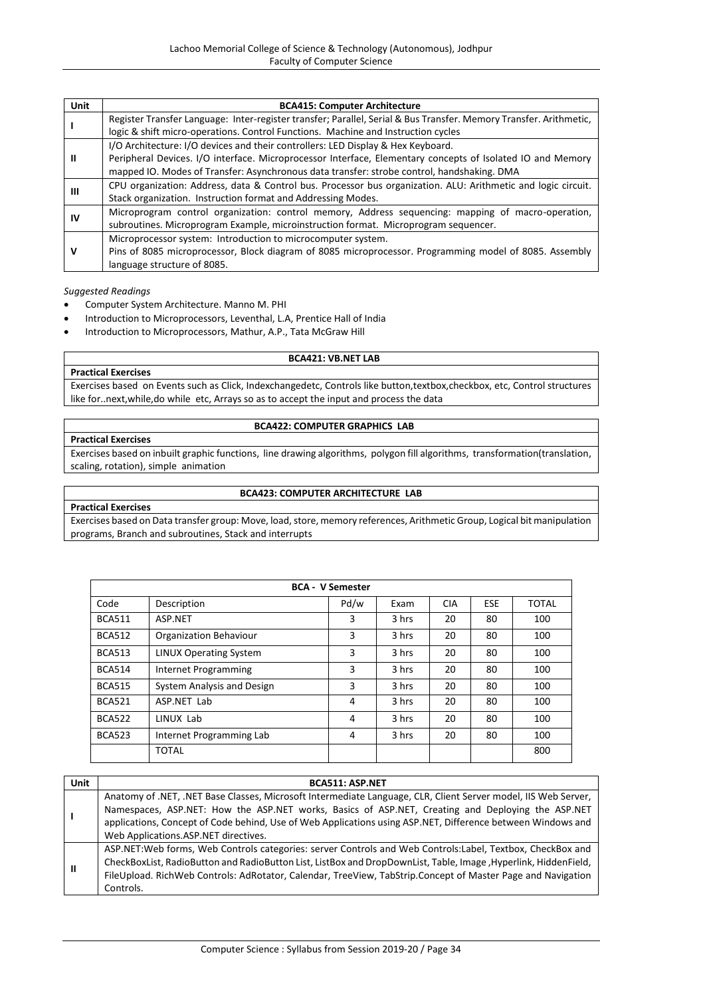| Unit | <b>BCA415: Computer Architecture</b>                                                                               |
|------|--------------------------------------------------------------------------------------------------------------------|
|      | Register Transfer Language: Inter-register transfer; Parallel, Serial & Bus Transfer. Memory Transfer. Arithmetic, |
|      | logic & shift micro-operations. Control Functions. Machine and Instruction cycles                                  |
|      | I/O Architecture: I/O devices and their controllers: LED Display & Hex Keyboard.                                   |
| Ш    | Peripheral Devices. I/O interface. Microprocessor Interface, Elementary concepts of Isolated IO and Memory         |
|      | mapped IO. Modes of Transfer: Asynchronous data transfer: strobe control, handshaking. DMA                         |
| Ш    | CPU organization: Address, data & Control bus. Processor bus organization. ALU: Arithmetic and logic circuit.      |
|      | Stack organization. Instruction format and Addressing Modes.                                                       |
| ιv   | Microprogram control organization: control memory, Address sequencing: mapping of macro-operation,                 |
|      | subroutines. Microprogram Example, microinstruction format. Microprogram sequencer.                                |
|      | Microprocessor system: Introduction to microcomputer system.                                                       |
| v    | Pins of 8085 microprocessor, Block diagram of 8085 microprocessor. Programming model of 8085. Assembly             |
|      | language structure of 8085.                                                                                        |

- Computer System Architecture. Manno M. PHI
- Introduction to Microprocessors, Leventhal, L.A, Prentice Hall of India
- Introduction to Microprocessors, Mathur, A.P., Tata McGraw Hill

#### **BCA421: VB.NET LAB**

# **Practical Exercises**

Exercises based on Events such as Click, Indexchangedetc, Controls like button,textbox,checkbox, etc, Control structures like for..next,while,do while etc, Arrays so as to accept the input and process the data

## **BCA422: COMPUTER GRAPHICS LAB**

## **Practical Exercises**

Exercises based on inbuilt graphic functions, line drawing algorithms, polygon fill algorithms, transformation(translation, scaling, rotation), simple animation

# **BCA423: COMPUTER ARCHITECTURE LAB**

**Practical Exercises**

Exercises based on Data transfer group: Move, load, store, memory references, Arithmetic Group, Logical bit manipulation programs, Branch and subroutines, Stack and interrupts

| <b>BCA - V Semester</b> |                               |      |       |            |            |              |
|-------------------------|-------------------------------|------|-------|------------|------------|--------------|
| Code                    | Description                   | Pd/w | Exam  | <b>CIA</b> | <b>ESE</b> | <b>TOTAL</b> |
| <b>BCA511</b>           | ASP.NET                       | 3    | 3 hrs | 20         | 80         | 100          |
| <b>BCA512</b>           | <b>Organization Behaviour</b> | 3    | 3 hrs | 20         | 80         | 100          |
| <b>BCA513</b>           | <b>LINUX Operating System</b> | 3    | 3 hrs | 20         | 80         | 100          |
| <b>BCA514</b>           | Internet Programming          | 3    | 3 hrs | 20         | 80         | 100          |
| <b>BCA515</b>           | System Analysis and Design    | 3    | 3 hrs | 20         | 80         | 100          |
| <b>BCA521</b>           | ASP.NET Lab                   | 4    | 3 hrs | 20         | 80         | 100          |
| <b>BCA522</b>           | LINUX Lab                     | 4    | 3 hrs | 20         | 80         | 100          |
| <b>BCA523</b>           | Internet Programming Lab      | 4    | 3 hrs | 20         | 80         | 100          |
|                         | <b>TOTAL</b>                  |      |       |            |            | 800          |

| Unit | <b>BCA511: ASP.NET</b>                                                                                                                                                                                                                                                                                                                                                     |
|------|----------------------------------------------------------------------------------------------------------------------------------------------------------------------------------------------------------------------------------------------------------------------------------------------------------------------------------------------------------------------------|
|      | Anatomy of .NET, .NET Base Classes, Microsoft Intermediate Language, CLR, Client Server model, IIS Web Server,<br>Namespaces, ASP.NET: How the ASP.NET works, Basics of ASP.NET, Creating and Deploying the ASP.NET<br>applications, Concept of Code behind, Use of Web Applications using ASP.NET, Difference between Windows and<br>Web Applications.ASP.NET directives. |
| Ш    | ASP.NET: Web forms, Web Controls categories: server Controls and Web Controls: Label, Textbox, CheckBox and<br>CheckBoxList, RadioButton and RadioButton List, ListBox and DropDownList, Table, Image, Hyperlink, HiddenField,<br>FileUpload. RichWeb Controls: AdRotator, Calendar, TreeView, TabStrip.Concept of Master Page and Navigation<br>Controls.                 |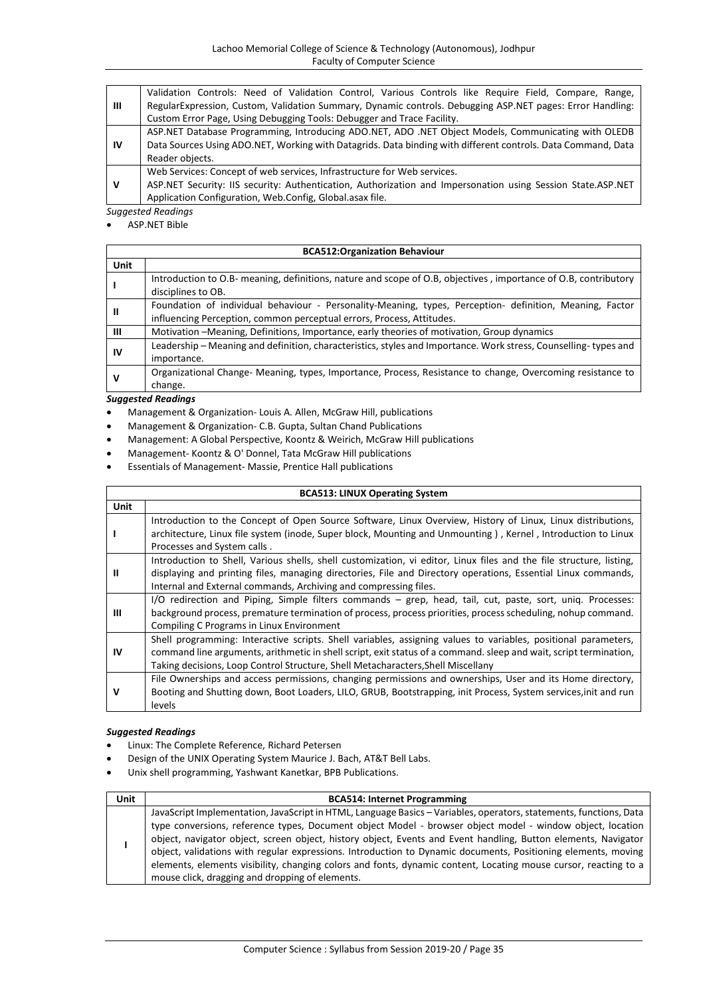|    | Validation Controls: Need of Validation Control, Various Controls like Require Field, Compare, Range,        |
|----|--------------------------------------------------------------------------------------------------------------|
| Ш  | RegularExpression, Custom, Validation Summary, Dynamic controls. Debugging ASP.NET pages: Error Handling:    |
|    | Custom Error Page, Using Debugging Tools: Debugger and Trace Facility.                                       |
|    | ASP.NET Database Programming, Introducing ADO.NET, ADO .NET Object Models, Communicating with OLEDB          |
| ΙV | Data Sources Using ADO.NET, Working with Datagrids. Data binding with different controls. Data Command, Data |
|    | Reader objects.                                                                                              |
|    | Web Services: Concept of web services, Infrastructure for Web services.                                      |
| v  | ASP.NET Security: IIS security: Authentication, Authorization and Impersonation using Session State.ASP.NET  |
|    | Application Configuration, Web.Config, Global.asax file.                                                     |

ASP.NET Bible

| <b>BCA512:Organization Behaviour</b> |                                                                                                                                                                                   |  |
|--------------------------------------|-----------------------------------------------------------------------------------------------------------------------------------------------------------------------------------|--|
| Unit                                 |                                                                                                                                                                                   |  |
|                                      | Introduction to O.B- meaning, definitions, nature and scope of O.B, objectives, importance of O.B, contributory<br>disciplines to OB.                                             |  |
| Ш                                    | Foundation of individual behaviour - Personality-Meaning, types, Perception- definition, Meaning, Factor<br>influencing Perception, common perceptual errors, Process, Attitudes. |  |
| III                                  | Motivation - Meaning, Definitions, Importance, early theories of motivation, Group dynamics                                                                                       |  |
| IV                                   | Leadership - Meaning and definition, characteristics, styles and Importance. Work stress, Counselling-types and<br>importance.                                                    |  |
| v                                    | Organizational Change-Meaning, types, Importance, Process, Resistance to change, Overcoming resistance to<br>change.                                                              |  |

## *Suggested Readings*

Management & Organization- Louis A. Allen, McGraw Hill, publications

- Management & Organization- C.B. Gupta, Sultan Chand Publications
- Management: A Global Perspective, Koontz & Weirich, McGraw Hill publications
- Management- Koontz & O' Donnel, Tata McGraw Hill publications
- Essentials of Management- Massie, Prentice Hall publications

| <b>BCA513: LINUX Operating System</b> |                                                                                                                                                                                                                                                                                                                         |  |  |
|---------------------------------------|-------------------------------------------------------------------------------------------------------------------------------------------------------------------------------------------------------------------------------------------------------------------------------------------------------------------------|--|--|
| Unit                                  |                                                                                                                                                                                                                                                                                                                         |  |  |
|                                       | Introduction to the Concept of Open Source Software, Linux Overview, History of Linux, Linux distributions,<br>architecture, Linux file system (inode, Super block, Mounting and Unmounting), Kernel, Introduction to Linux<br>Processes and System calls.                                                              |  |  |
| Ш                                     | Introduction to Shell, Various shells, shell customization, vi editor, Linux files and the file structure, listing,<br>displaying and printing files, managing directories, File and Directory operations, Essential Linux commands,<br>Internal and External commands, Archiving and compressing files.                |  |  |
| Ш                                     | I/O redirection and Piping, Simple filters commands – grep, head, tail, cut, paste, sort, unig. Processes:<br>background process, premature termination of process, process priorities, process scheduling, nohup command.<br>Compiling C Programs in Linux Environment                                                 |  |  |
| IV                                    | Shell programming: Interactive scripts. Shell variables, assigning values to variables, positional parameters,<br>command line arguments, arithmetic in shell script, exit status of a command. sleep and wait, script termination,<br>Taking decisions, Loop Control Structure, Shell Metacharacters, Shell Miscellany |  |  |
| v                                     | File Ownerships and access permissions, changing permissions and ownerships, User and its Home directory,<br>Booting and Shutting down, Boot Loaders, LILO, GRUB, Bootstrapping, init Process, System services, init and run<br>levels                                                                                  |  |  |

- Linux: The Complete Reference[, Richard Petersen](http://www.amazon.com/s/ref=dp_byline_sr_book_1?ie=UTF8&field-author=Richard+Petersen&search-alias=books&text=Richard+Petersen&sort=relevancerank)
- Design of the UNIX Operating System Maurice J. Bach, AT&T Bell Labs.
- Unix shell programming, Yashwant Kanetkar, BPB Publications.

| Unit | <b>BCA514: Internet Programming</b>                                                                                                                                                                                                                                                                                                                                                                                                                                                                                                                                                                                                      |
|------|------------------------------------------------------------------------------------------------------------------------------------------------------------------------------------------------------------------------------------------------------------------------------------------------------------------------------------------------------------------------------------------------------------------------------------------------------------------------------------------------------------------------------------------------------------------------------------------------------------------------------------------|
|      | JavaScript Implementation, JavaScript in HTML, Language Basics - Variables, operators, statements, functions, Data<br>type conversions, reference types, Document object Model - browser object model - window object, location<br>object, navigator object, screen object, history object, Events and Event handling, Button elements, Navigator<br>object, validations with regular expressions. Introduction to Dynamic documents, Positioning elements, moving<br>elements, elements visibility, changing colors and fonts, dynamic content, Locating mouse cursor, reacting to a<br>mouse click, dragging and dropping of elements. |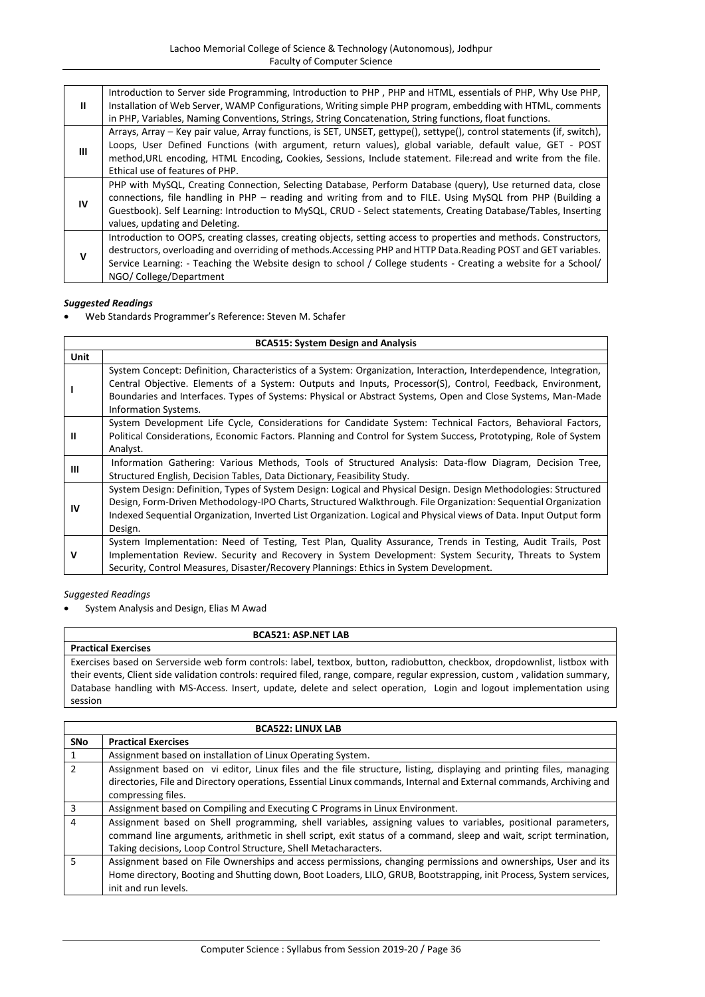| Ш.           | Introduction to Server side Programming, Introduction to PHP, PHP and HTML, essentials of PHP, Why Use PHP,<br>Installation of Web Server, WAMP Configurations, Writing simple PHP program, embedding with HTML, comments<br>in PHP, Variables, Naming Conventions, Strings, String Concatenation, String functions, float functions.                                                   |
|--------------|-----------------------------------------------------------------------------------------------------------------------------------------------------------------------------------------------------------------------------------------------------------------------------------------------------------------------------------------------------------------------------------------|
| $\mathbf{m}$ | Arrays, Array – Key pair value, Array functions, is SET, UNSET, gettype(), settype(), control statements (if, switch),<br>Loops, User Defined Functions (with argument, return values), global variable, default value, GET - POST<br>method, URL encoding, HTML Encoding, Cookies, Sessions, Include statement. File: read and write from the file.<br>Ethical use of features of PHP. |
| IV           | PHP with MySQL, Creating Connection, Selecting Database, Perform Database (query), Use returned data, close<br>connections, file handling in PHP – reading and writing from and to FILE. Using MySQL from PHP (Building a<br>Guestbook). Self Learning: Introduction to MySQL, CRUD - Select statements, Creating Database/Tables, Inserting<br>values, updating and Deleting.          |
| $\mathbf{V}$ | Introduction to OOPS, creating classes, creating objects, setting access to properties and methods. Constructors,<br>destructors, overloading and overriding of methods. Accessing PHP and HTTP Data. Reading POST and GET variables.<br>Service Learning: - Teaching the Website design to school / College students - Creating a website for a School/<br>NGO/College/Department      |

Web Standards Programmer's Reference: Steven M. Schafer

| <b>BCA515: System Design and Analysis</b> |                                                                                                                                                                                                                                                                                                                                                                               |  |  |
|-------------------------------------------|-------------------------------------------------------------------------------------------------------------------------------------------------------------------------------------------------------------------------------------------------------------------------------------------------------------------------------------------------------------------------------|--|--|
| <b>Unit</b>                               |                                                                                                                                                                                                                                                                                                                                                                               |  |  |
|                                           | System Concept: Definition, Characteristics of a System: Organization, Interaction, Interdependence, Integration,<br>Central Objective. Elements of a System: Outputs and Inputs, Processor(S), Control, Feedback, Environment,<br>Boundaries and Interfaces. Types of Systems: Physical or Abstract Systems, Open and Close Systems, Man-Made<br><b>Information Systems.</b> |  |  |
| Ш                                         | System Development Life Cycle, Considerations for Candidate System: Technical Factors, Behavioral Factors,<br>Political Considerations, Economic Factors. Planning and Control for System Success, Prototyping, Role of System<br>Analyst.                                                                                                                                    |  |  |
| Ш                                         | Information Gathering: Various Methods, Tools of Structured Analysis: Data-flow Diagram, Decision Tree,<br>Structured English, Decision Tables, Data Dictionary, Feasibility Study.                                                                                                                                                                                           |  |  |
| IV                                        | System Design: Definition, Types of System Design: Logical and Physical Design. Design Methodologies: Structured<br>Design, Form-Driven Methodology-IPO Charts, Structured Walkthrough. File Organization: Sequential Organization<br>Indexed Sequential Organization, Inverted List Organization. Logical and Physical views of Data. Input Output form<br>Design.           |  |  |
| v                                         | System Implementation: Need of Testing, Test Plan, Quality Assurance, Trends in Testing, Audit Trails, Post<br>Implementation Review. Security and Recovery in System Development: System Security, Threats to System<br>Security, Control Measures, Disaster/Recovery Plannings: Ethics in System Development.                                                               |  |  |

*Suggested Readings*

System Analysis and Design, Elias M Awad

# **BCA521: ASP.NET LAB Practical Exercises** Exercises based on Serverside web form controls: label, textbox, button, radiobutton, checkbox, dropdownlist, listbox with their events, Client side validation controls: required filed, range, compare, regular expression, custom , validation summary, Database handling with MS-Access. Insert, update, delete and select operation, Login and logout implementation using session

|            | <b>BCA522: LINUX LAB</b>                                                                                            |  |  |  |
|------------|---------------------------------------------------------------------------------------------------------------------|--|--|--|
| <b>SNo</b> | <b>Practical Exercises</b>                                                                                          |  |  |  |
|            | Assignment based on installation of Linux Operating System.                                                         |  |  |  |
|            | Assignment based on vi editor, Linux files and the file structure, listing, displaying and printing files, managing |  |  |  |
|            | directories, File and Directory operations, Essential Linux commands, Internal and External commands, Archiving and |  |  |  |
|            | compressing files.                                                                                                  |  |  |  |
| 3          | Assignment based on Compiling and Executing C Programs in Linux Environment.                                        |  |  |  |
| 4          | Assignment based on Shell programming, shell variables, assigning values to variables, positional parameters,       |  |  |  |
|            | command line arguments, arithmetic in shell script, exit status of a command, sleep and wait, script termination,   |  |  |  |
|            | Taking decisions, Loop Control Structure, Shell Metacharacters.                                                     |  |  |  |
| 5          | Assignment based on File Ownerships and access permissions, changing permissions and ownerships, User and its       |  |  |  |
|            | Home directory, Booting and Shutting down, Boot Loaders, LILO, GRUB, Bootstrapping, init Process, System services,  |  |  |  |
|            | init and run levels.                                                                                                |  |  |  |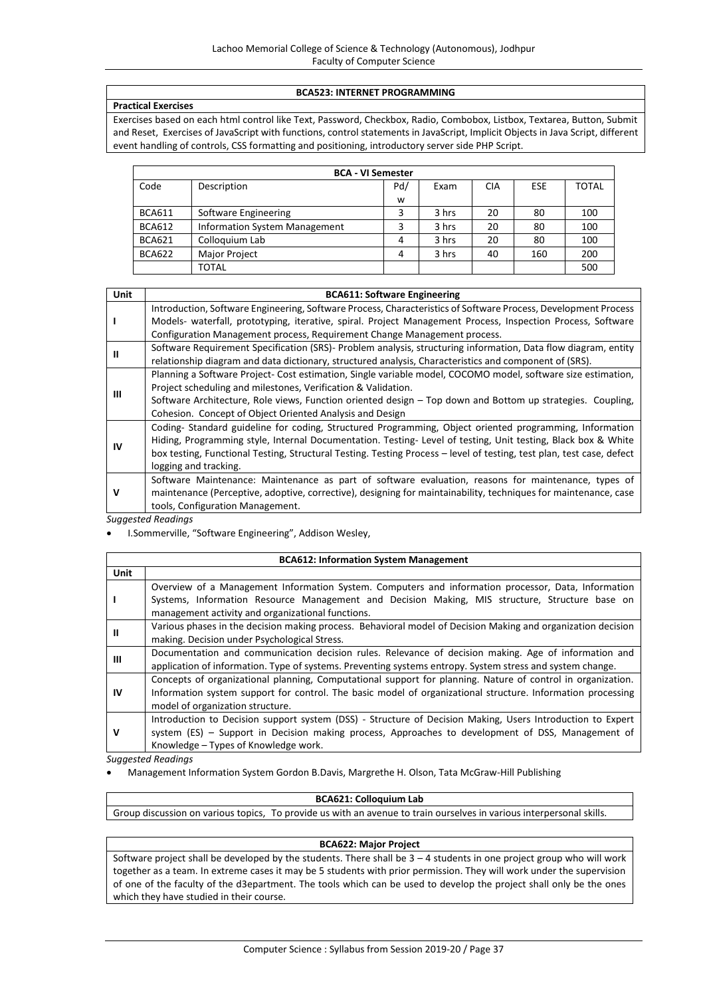## **BCA523: INTERNET PROGRAMMING**

**Practical Exercises** Exercises based on each html control like Text, Password, Checkbox, Radio, Combobox, Listbox, Textarea, Button, Submit and Reset, Exercises of JavaScript with functions, control statements in JavaScript, Implicit Objects in Java Script, different event handling of controls, CSS formatting and positioning, introductory server side PHP Script.

| <b>BCA - VI Semester</b> |                                      |     |       |            |            |              |
|--------------------------|--------------------------------------|-----|-------|------------|------------|--------------|
| Code                     | Description                          | Pd/ | Exam  | <b>CIA</b> | <b>ESE</b> | <b>TOTAL</b> |
|                          |                                      | W   |       |            |            |              |
| <b>BCA611</b>            | Software Engineering                 |     | 3 hrs | 20         | 80         | 100          |
| <b>BCA612</b>            | <b>Information System Management</b> |     | 3 hrs | 20         | 80         | 100          |
| <b>BCA621</b>            | Colloquium Lab                       | 4   | 3 hrs | 20         | 80         | 100          |
| <b>BCA622</b>            | <b>Major Project</b>                 | 4   | 3 hrs | 40         | 160        | 200          |
|                          | <b>TOTAL</b>                         |     |       |            |            | 500          |

| Unit | <b>BCA611: Software Engineering</b>                                                                                                                                                                                                                                                                                                                                       |
|------|---------------------------------------------------------------------------------------------------------------------------------------------------------------------------------------------------------------------------------------------------------------------------------------------------------------------------------------------------------------------------|
|      | Introduction, Software Engineering, Software Process, Characteristics of Software Process, Development Process<br>Models- waterfall, prototyping, iterative, spiral. Project Management Process, Inspection Process, Software<br>Configuration Management process, Requirement Change Management process.                                                                 |
| Ш    | Software Requirement Specification (SRS)- Problem analysis, structuring information, Data flow diagram, entity<br>relationship diagram and data dictionary, structured analysis, Characteristics and component of (SRS).                                                                                                                                                  |
| Ш    | Planning a Software Project- Cost estimation, Single variable model, COCOMO model, software size estimation,<br>Project scheduling and milestones, Verification & Validation.<br>Software Architecture, Role views, Function oriented design – Top down and Bottom up strategies. Coupling,<br>Cohesion. Concept of Object Oriented Analysis and Design                   |
| IV   | Coding- Standard guideline for coding, Structured Programming, Object oriented programming, Information<br>Hiding, Programming style, Internal Documentation. Testing-Level of testing, Unit testing, Black box & White<br>box testing, Functional Testing, Structural Testing. Testing Process – level of testing, test plan, test case, defect<br>logging and tracking. |
| v    | Software Maintenance: Maintenance as part of software evaluation, reasons for maintenance, types of<br>maintenance (Perceptive, adoptive, corrective), designing for maintainability, techniques for maintenance, case<br>tools, Configuration Management.                                                                                                                |
|      | Sugaected Readings                                                                                                                                                                                                                                                                                                                                                        |

*Suggested Readings*

I.Sommerville, "Software Engineering", Addison Wesley,

| <b>BCA612: Information System Management</b> |                                                                                                                                                                                                                                                                |  |
|----------------------------------------------|----------------------------------------------------------------------------------------------------------------------------------------------------------------------------------------------------------------------------------------------------------------|--|
| Unit                                         |                                                                                                                                                                                                                                                                |  |
|                                              | Overview of a Management Information System. Computers and information processor, Data, Information<br>Systems, Information Resource Management and Decision Making, MIS structure, Structure base on<br>management activity and organizational functions.     |  |
| Ш                                            | Various phases in the decision making process. Behavioral model of Decision Making and organization decision<br>making. Decision under Psychological Stress.                                                                                                   |  |
| Ш                                            | Documentation and communication decision rules. Relevance of decision making. Age of information and<br>application of information. Type of systems. Preventing systems entropy. System stress and system change.                                              |  |
| ΙV                                           | Concepts of organizational planning, Computational support for planning. Nature of control in organization.<br>Information system support for control. The basic model of organizational structure. Information processing<br>model of organization structure. |  |
| v                                            | Introduction to Decision support system (DSS) - Structure of Decision Making, Users Introduction to Expert<br>system (ES) - Support in Decision making process, Approaches to development of DSS, Management of<br>Knowledge - Types of Knowledge work.        |  |

*Suggested Readings*

Management Information System Gordon B.Davis, Margrethe H. Olson, Tata McGraw-Hill Publishing

## **BCA621: Colloquium Lab**

Group discussion on various topics, To provide us with an avenue to train ourselves in various interpersonal skills.

# **BCA622: Major Project**

Software project shall be developed by the students. There shall be 3 – 4 students in one project group who will work together as a team. In extreme cases it may be 5 students with prior permission. They will work under the supervision of one of the faculty of the d3epartment. The tools which can be used to develop the project shall only be the ones which they have studied in their course.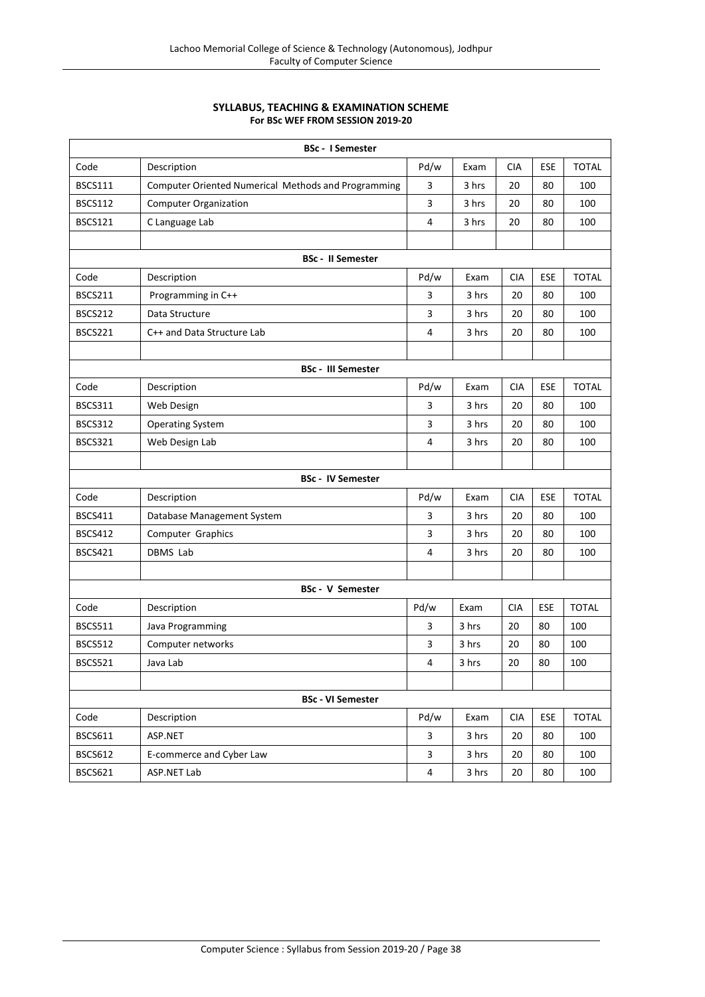# **SYLLABUS, TEACHING & EXAMINATION SCHEME For BSc WEF FROM SESSION 2019-20**

| <b>BSc - I Semester</b>  |                                                     |      |       |            |     |              |
|--------------------------|-----------------------------------------------------|------|-------|------------|-----|--------------|
| Code                     | Description                                         | Pd/w | Exam  | <b>CIA</b> | ESE | <b>TOTAL</b> |
| BSCS111                  | Computer Oriented Numerical Methods and Programming | 3    | 3 hrs | 20         | 80  | 100          |
| <b>BSCS112</b>           | <b>Computer Organization</b>                        | 3    | 3 hrs | 20         | 80  | 100          |
| <b>BSCS121</b>           | C Language Lab                                      | 4    | 3 hrs | 20         | 80  | 100          |
|                          |                                                     |      |       |            |     |              |
|                          | <b>BSc - II Semester</b>                            |      |       |            |     |              |
| Code                     | Description                                         | Pd/w | Exam  | <b>CIA</b> | ESE | <b>TOTAL</b> |
| <b>BSCS211</b>           | Programming in C++                                  | 3    | 3 hrs | 20         | 80  | 100          |
| BSCS212                  | Data Structure                                      | 3    | 3 hrs | 20         | 80  | 100          |
| BSCS221                  | C++ and Data Structure Lab                          | 4    | 3 hrs | 20         | 80  | 100          |
|                          |                                                     |      |       |            |     |              |
|                          | <b>BSc - III Semester</b>                           |      |       |            |     |              |
| Code                     | Description                                         | Pd/w | Exam  | <b>CIA</b> | ESE | <b>TOTAL</b> |
| <b>BSCS311</b>           | Web Design                                          | 3    | 3 hrs | 20         | 80  | 100          |
| BSCS312                  | <b>Operating System</b>                             | 3    | 3 hrs | 20         | 80  | 100          |
| <b>BSCS321</b>           | Web Design Lab                                      | 4    | 3 hrs | 20         | 80  | 100          |
|                          |                                                     |      |       |            |     |              |
|                          | <b>BSc - IV Semester</b>                            |      |       |            |     |              |
| Code                     | Description                                         | Pd/w | Exam  | <b>CIA</b> | ESE | <b>TOTAL</b> |
| <b>BSCS411</b>           | Database Management System                          | 3    | 3 hrs | 20         | 80  | 100          |
| <b>BSCS412</b>           | Computer Graphics                                   | 3    | 3 hrs | 20         | 80  | 100          |
| <b>BSCS421</b>           | DBMS Lab                                            | 4    | 3 hrs | 20         | 80  | 100          |
|                          |                                                     |      |       |            |     |              |
|                          | <b>BSc - V Semester</b>                             |      |       |            |     |              |
| Code                     | Description                                         | Pd/w | Exam  | <b>CIA</b> | ESE | <b>TOTAL</b> |
| BSCS511                  | Java Programming                                    | 3    | 3 hrs | 20         | 80  | 100          |
| <b>BSCS512</b>           | Computer networks                                   | 3    | 3 hrs | 20         | 80  | 100          |
| <b>BSCS521</b>           | Java Lab                                            | 4    | 3 hrs | 20         | 80  | 100          |
|                          |                                                     |      |       |            |     |              |
| <b>BSc - VI Semester</b> |                                                     |      |       |            |     |              |
| Code                     | Description                                         | Pd/w | Exam  | <b>CIA</b> | ESE | <b>TOTAL</b> |
| <b>BSCS611</b>           | ASP.NET                                             | 3    | 3 hrs | 20         | 80  | 100          |
| <b>BSCS612</b>           | E-commerce and Cyber Law                            | 3    | 3 hrs | 20         | 80  | 100          |
| <b>BSCS621</b>           | ASP.NET Lab                                         | 4    | 3 hrs | 20         | 80  | 100          |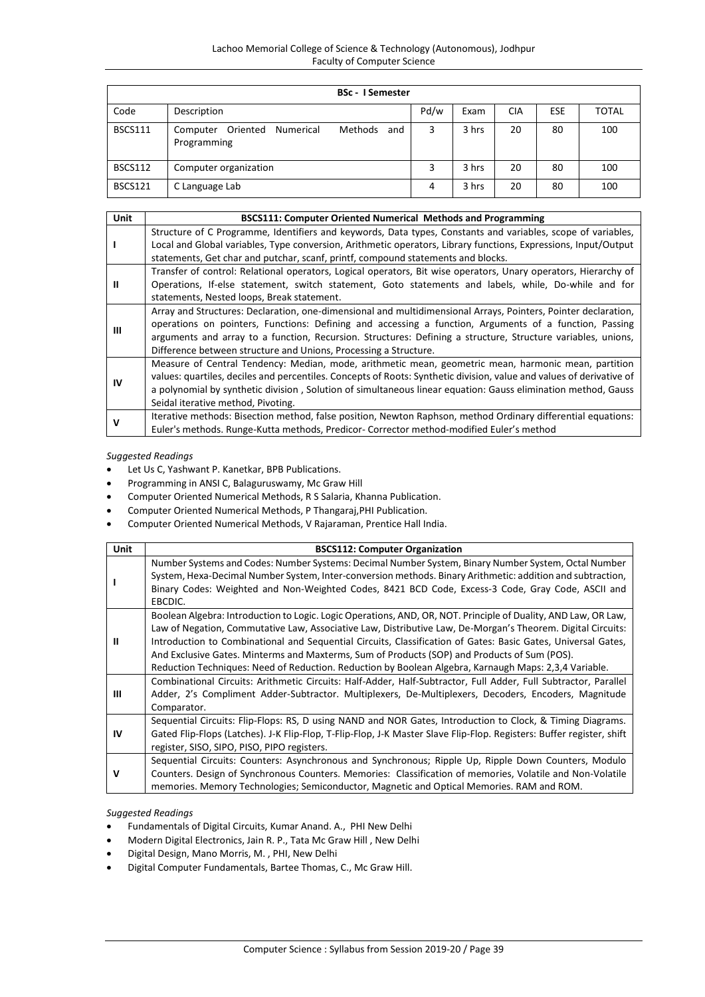|                | <b>BSc - I Semester</b>                                                   |      |       |            |     |              |
|----------------|---------------------------------------------------------------------------|------|-------|------------|-----|--------------|
| Code           | Description                                                               | Pd/w | Exam  | <b>CIA</b> | ESE | <b>TOTAL</b> |
| <b>BSCS111</b> | Methods<br>Oriented<br><b>Numerical</b><br>Computer<br>and<br>Programming | 3    | 3 hrs | 20         | 80  | 100          |
| <b>BSCS112</b> | Computer organization                                                     | 3    | 3 hrs | 20         | 80  | 100          |
| <b>BSCS121</b> | C Language Lab                                                            | 4    | 3 hrs | 20         | 80  | 100          |

| Unit | <b>BSCS111: Computer Oriented Numerical Methods and Programming</b>                                                                                                                                                                                                                                                                                                                                          |
|------|--------------------------------------------------------------------------------------------------------------------------------------------------------------------------------------------------------------------------------------------------------------------------------------------------------------------------------------------------------------------------------------------------------------|
|      | Structure of C Programme, Identifiers and keywords, Data types, Constants and variables, scope of variables,                                                                                                                                                                                                                                                                                                 |
|      | Local and Global variables, Type conversion, Arithmetic operators, Library functions, Expressions, Input/Output<br>statements, Get char and putchar, scanf, printf, compound statements and blocks.                                                                                                                                                                                                          |
|      | Transfer of control: Relational operators, Logical operators, Bit wise operators, Unary operators, Hierarchy of                                                                                                                                                                                                                                                                                              |
| Ш    | Operations, If-else statement, switch statement, Goto statements and labels, while, Do-while and for<br>statements, Nested loops, Break statement.                                                                                                                                                                                                                                                           |
| Ш    | Array and Structures: Declaration, one-dimensional and multidimensional Arrays, Pointers, Pointer declaration,<br>operations on pointers, Functions: Defining and accessing a function, Arguments of a function, Passing<br>arguments and array to a function, Recursion. Structures: Defining a structure, Structure variables, unions,<br>Difference between structure and Unions, Processing a Structure. |
| IV   | Measure of Central Tendency: Median, mode, arithmetic mean, geometric mean, harmonic mean, partition<br>values: quartiles, deciles and percentiles. Concepts of Roots: Synthetic division, value and values of derivative of<br>a polynomial by synthetic division, Solution of simultaneous linear equation: Gauss elimination method, Gauss<br>Seidal iterative method, Pivoting.                          |
|      | Iterative methods: Bisection method, false position, Newton Raphson, method Ordinary differential equations:<br>Euler's methods. Runge-Kutta methods, Predicor- Corrector method-modified Euler's method                                                                                                                                                                                                     |

- Let Us C, Yashwant P. Kanetkar, BPB Publications.
- Programming in ANSI C, Balaguruswamy, Mc Graw Hill
- Computer Oriented Numerical Methods, R S Salaria, Khanna Publication.
- Computer Oriented Numerical Methods, P Thangaraj,PHI Publication.
- Computer Oriented Numerical Methods, V Rajaraman, Prentice Hall India.

| Unit      | <b>BSCS112: Computer Organization</b>                                                                                                                                                                                                                                                                                                                                                                                                                                                                                                                   |
|-----------|---------------------------------------------------------------------------------------------------------------------------------------------------------------------------------------------------------------------------------------------------------------------------------------------------------------------------------------------------------------------------------------------------------------------------------------------------------------------------------------------------------------------------------------------------------|
|           | Number Systems and Codes: Number Systems: Decimal Number System, Binary Number System, Octal Number<br>System, Hexa-Decimal Number System, Inter-conversion methods. Binary Arithmetic: addition and subtraction,<br>Binary Codes: Weighted and Non-Weighted Codes, 8421 BCD Code, Excess-3 Code, Gray Code, ASCII and<br>EBCDIC.                                                                                                                                                                                                                       |
| Ш         | Boolean Algebra: Introduction to Logic. Logic Operations, AND, OR, NOT. Principle of Duality, AND Law, OR Law,<br>Law of Negation, Commutative Law, Associative Law, Distributive Law, De-Morgan's Theorem. Digital Circuits:<br>Introduction to Combinational and Sequential Circuits, Classification of Gates: Basic Gates, Universal Gates,<br>And Exclusive Gates. Minterms and Maxterms, Sum of Products (SOP) and Products of Sum (POS).<br>Reduction Techniques: Need of Reduction. Reduction by Boolean Algebra, Karnaugh Maps: 2,3,4 Variable. |
| Ш         | Combinational Circuits: Arithmetic Circuits: Half-Adder, Half-Subtractor, Full Adder, Full Subtractor, Parallel<br>Adder, 2's Compliment Adder-Subtractor. Multiplexers, De-Multiplexers, Decoders, Encoders, Magnitude<br>Comparator.                                                                                                                                                                                                                                                                                                                  |
| <b>IV</b> | Sequential Circuits: Flip-Flops: RS, D using NAND and NOR Gates, Introduction to Clock, & Timing Diagrams.<br>Gated Flip-Flops (Latches). J-K Flip-Flop, T-Flip-Flop, J-K Master Slave Flip-Flop. Registers: Buffer register, shift<br>register, SISO, SIPO, PISO, PIPO registers.                                                                                                                                                                                                                                                                      |
| v         | Sequential Circuits: Counters: Asynchronous and Synchronous; Ripple Up, Ripple Down Counters, Modulo<br>Counters. Design of Synchronous Counters. Memories: Classification of memories, Volatile and Non-Volatile<br>memories. Memory Technologies; Semiconductor, Magnetic and Optical Memories. RAM and ROM.                                                                                                                                                                                                                                          |

- Fundamentals of Digital Circuits, Kumar Anand. A., PHI New Delhi
- Modern Digital Electronics, Jain R. P., Tata Mc Graw Hill , New Delhi
- Digital Design, Mano Morris, M. , PHI, New Delhi
- Digital Computer Fundamentals, Bartee Thomas, C., Mc Graw Hill.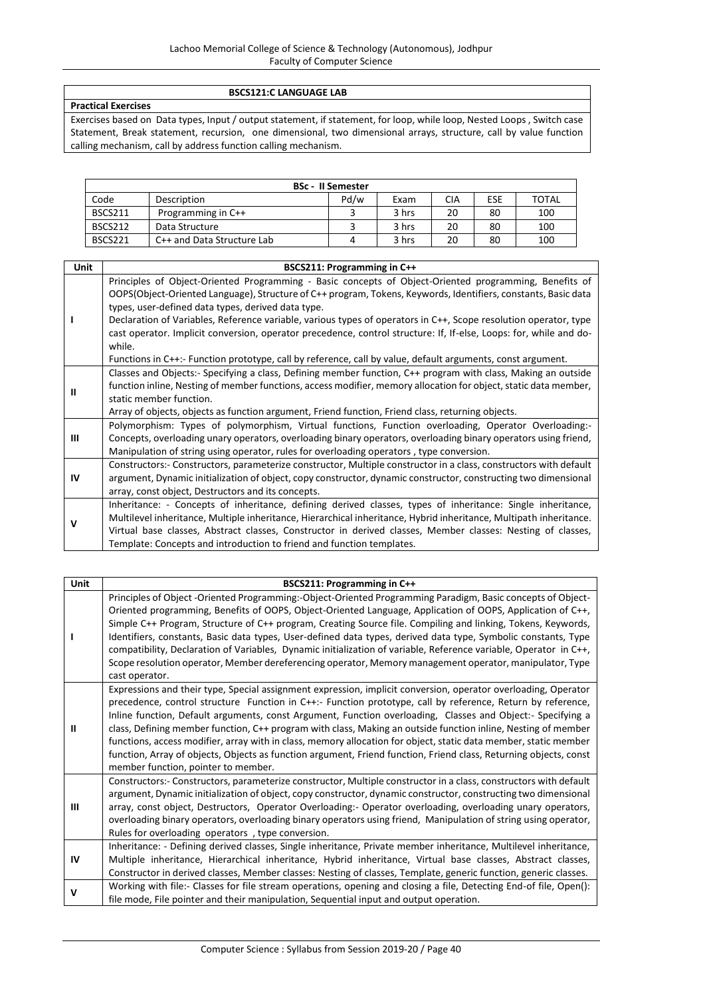## **BSCS121:C LANGUAGE LAB**

**Practical Exercises**

Exercises based on Data types, Input / output statement, if statement, for loop, while loop, Nested Loops , Switch case Statement, Break statement, recursion, one dimensional, two dimensional arrays, structure, call by value function calling mechanism, call by address function calling mechanism.

|         | <b>BSc - Il Semester</b>   |      |       |     |     |       |
|---------|----------------------------|------|-------|-----|-----|-------|
| Code    | Description                | Pd/w | Exam  | CIA | ESE | TOTAL |
| BSCS211 | Programming in $C++$       |      | 3 hrs | 20  | 80  | 100   |
| BSCS212 | Data Structure             |      | 3 hrs | 20  | 80  | 100   |
| BSCS221 | C++ and Data Structure Lab |      | 3 hrs | 20  | 80  | 100   |

| <b>Unit</b> | BSCS211: Programming in C++                                                                                                                                                                                                                                                                                                                                                                                                                                                                                                                                                                                                                       |
|-------------|---------------------------------------------------------------------------------------------------------------------------------------------------------------------------------------------------------------------------------------------------------------------------------------------------------------------------------------------------------------------------------------------------------------------------------------------------------------------------------------------------------------------------------------------------------------------------------------------------------------------------------------------------|
|             | Principles of Object-Oriented Programming - Basic concepts of Object-Oriented programming, Benefits of<br>OOPS(Object-Oriented Language), Structure of C++ program, Tokens, Keywords, Identifiers, constants, Basic data<br>types, user-defined data types, derived data type.<br>Declaration of Variables, Reference variable, various types of operators in C++, Scope resolution operator, type<br>cast operator. Implicit conversion, operator precedence, control structure: If, If-else, Loops: for, while and do-<br>while.<br>Functions in C++:- Function prototype, call by reference, call by value, default arguments, const argument. |
| Ш           | Classes and Objects:- Specifying a class, Defining member function, C++ program with class, Making an outside<br>function inline, Nesting of member functions, access modifier, memory allocation for object, static data member,<br>static member function.<br>Array of objects, objects as function argument, Friend function, Friend class, returning objects.                                                                                                                                                                                                                                                                                 |
| Ш           | Polymorphism: Types of polymorphism, Virtual functions, Function overloading, Operator Overloading:-<br>Concepts, overloading unary operators, overloading binary operators, overloading binary operators using friend,<br>Manipulation of string using operator, rules for overloading operators, type conversion.                                                                                                                                                                                                                                                                                                                               |
| IV          | Constructors:- Constructors, parameterize constructor, Multiple constructor in a class, constructors with default<br>argument, Dynamic initialization of object, copy constructor, dynamic constructor, constructing two dimensional<br>array, const object, Destructors and its concepts.                                                                                                                                                                                                                                                                                                                                                        |
| v           | Inheritance: - Concepts of inheritance, defining derived classes, types of inheritance: Single inheritance,<br>Multilevel inheritance, Multiple inheritance, Hierarchical inheritance, Hybrid inheritance, Multipath inheritance.<br>Virtual base classes, Abstract classes, Constructor in derived classes, Member classes: Nesting of classes,<br>Template: Concepts and introduction to friend and function templates.                                                                                                                                                                                                                         |

| <b>Unit</b> | BSCS211: Programming in C++                                                                                                                                                                                                                                                                                                                                                                                                                                                                                                                                                                                                                                                                                                                   |
|-------------|-----------------------------------------------------------------------------------------------------------------------------------------------------------------------------------------------------------------------------------------------------------------------------------------------------------------------------------------------------------------------------------------------------------------------------------------------------------------------------------------------------------------------------------------------------------------------------------------------------------------------------------------------------------------------------------------------------------------------------------------------|
|             | Principles of Object -Oriented Programming:-Object-Oriented Programming Paradigm, Basic concepts of Object-<br>Oriented programming, Benefits of OOPS, Object-Oriented Language, Application of OOPS, Application of C++,<br>Simple C++ Program, Structure of C++ program, Creating Source file. Compiling and linking, Tokens, Keywords,<br>Identifiers, constants, Basic data types, User-defined data types, derived data type, Symbolic constants, Type<br>compatibility, Declaration of Variables, Dynamic initialization of variable, Reference variable, Operator in C++,<br>Scope resolution operator, Member dereferencing operator, Memory management operator, manipulator, Type<br>cast operator.                                 |
| Ш           | Expressions and their type, Special assignment expression, implicit conversion, operator overloading, Operator<br>precedence, control structure Function in C++:- Function prototype, call by reference, Return by reference,<br>Inline function, Default arguments, const Argument, Function overloading, Classes and Object:- Specifying a<br>class, Defining member function, C++ program with class, Making an outside function inline, Nesting of member<br>functions, access modifier, array with in class, memory allocation for object, static data member, static member<br>function, Array of objects, Objects as function argument, Friend function, Friend class, Returning objects, const<br>member function, pointer to member. |
| Ш           | Constructors:- Constructors, parameterize constructor, Multiple constructor in a class, constructors with default<br>argument, Dynamic initialization of object, copy constructor, dynamic constructor, constructing two dimensional<br>array, const object, Destructors, Operator Overloading:- Operator overloading, overloading unary operators,<br>overloading binary operators, overloading binary operators using friend, Manipulation of string using operator,<br>Rules for overloading operators, type conversion.                                                                                                                                                                                                                   |
| IV          | Inheritance: - Defining derived classes, Single inheritance, Private member inheritance, Multilevel inheritance,<br>Multiple inheritance, Hierarchical inheritance, Hybrid inheritance, Virtual base classes, Abstract classes,<br>Constructor in derived classes, Member classes: Nesting of classes, Template, generic function, generic classes.                                                                                                                                                                                                                                                                                                                                                                                           |
| $\mathbf v$ | Working with file:- Classes for file stream operations, opening and closing a file, Detecting End-of file, Open():<br>file mode, File pointer and their manipulation, Sequential input and output operation.                                                                                                                                                                                                                                                                                                                                                                                                                                                                                                                                  |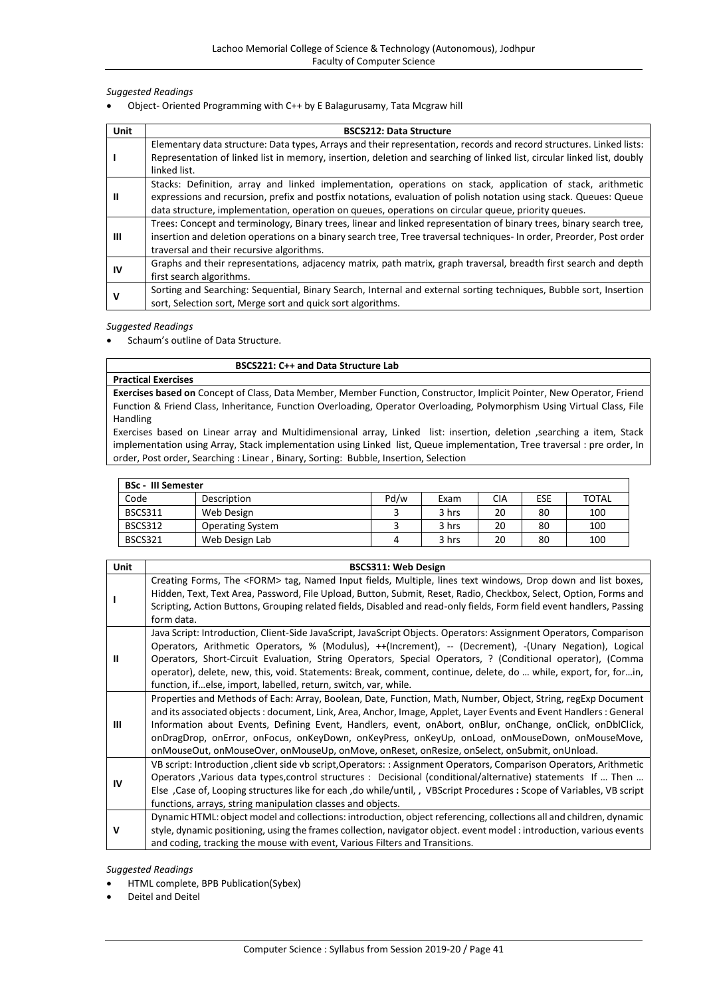Object- Oriented Programming with C++ by E Balagurusamy, Tata Mcgraw hill

| Unit | <b>BSCS212: Data Structure</b>                                                                                          |
|------|-------------------------------------------------------------------------------------------------------------------------|
|      | Elementary data structure: Data types, Arrays and their representation, records and record structures. Linked lists:    |
|      | Representation of linked list in memory, insertion, deletion and searching of linked list, circular linked list, doubly |
|      | linked list.                                                                                                            |
|      | Stacks: Definition, array and linked implementation, operations on stack, application of stack, arithmetic              |
| Ш    | expressions and recursion, prefix and postfix notations, evaluation of polish notation using stack. Queues: Queue       |
|      | data structure, implementation, operation on queues, operations on circular queue, priority queues.                     |
|      | Trees: Concept and terminology, Binary trees, linear and linked representation of binary trees, binary search tree,     |
| Ш    | insertion and deletion operations on a binary search tree, Tree traversal techniques- In order, Preorder, Post order    |
|      | traversal and their recursive algorithms.                                                                               |
|      | Graphs and their representations, adjacency matrix, path matrix, graph traversal, breadth first search and depth        |
| IV   | first search algorithms.                                                                                                |
| ν    | Sorting and Searching: Sequential, Binary Search, Internal and external sorting techniques, Bubble sort, Insertion      |
|      | sort, Selection sort, Merge sort and quick sort algorithms.                                                             |

## *Suggested Readings*

Schaum's outline of Data Structure.

#### **BSCS221: C++ and Data Structure Lab**

#### **Practical Exercises**

**Exercises based on** Concept of Class, Data Member, Member Function, Constructor, Implicit Pointer, New Operator, Friend Function & Friend Class, Inheritance, Function Overloading, Operator Overloading, Polymorphism Using Virtual Class, File Handling

Exercises based on Linear array and Multidimensional array, Linked list: insertion, deletion ,searching a item, Stack implementation using Array, Stack implementation using Linked list, Queue implementation, Tree traversal : pre order, In order, Post order, Searching : Linear , Binary, Sorting: Bubble, Insertion, Selection

| <b>BSc - III Semester</b> |                         |      |       |     |     |              |
|---------------------------|-------------------------|------|-------|-----|-----|--------------|
| Code                      | Description             | Pd/w | Exam  | CIA | ESE | <b>TOTAL</b> |
| <b>BSCS311</b>            | Web Design              |      | 3 hrs | 20  | 80  | 100          |
| <b>BSCS312</b>            | <b>Operating System</b> |      | 3 hrs | 20  | 80  | 100          |
| <b>BSCS321</b>            | Web Design Lab          |      | 3 hrs | 20  | 80  | 100          |

| Unit | <b>BSCS311: Web Design</b>                                                                                                                                                                                                                                                                                                                                                                                                                                                                                                                            |
|------|-------------------------------------------------------------------------------------------------------------------------------------------------------------------------------------------------------------------------------------------------------------------------------------------------------------------------------------------------------------------------------------------------------------------------------------------------------------------------------------------------------------------------------------------------------|
|      | Creating Forms, The <form> tag, Named Input fields, Multiple, lines text windows, Drop down and list boxes,<br/>Hidden, Text, Text Area, Password, File Upload, Button, Submit, Reset, Radio, Checkbox, Select, Option, Forms and<br/>Scripting, Action Buttons, Grouping related fields, Disabled and read-only fields, Form field event handlers, Passing<br/>form data.</form>                                                                                                                                                                     |
| Ш    | Java Script: Introduction, Client-Side JavaScript, JavaScript Objects. Operators: Assignment Operators, Comparison<br>Operators, Arithmetic Operators, % (Modulus), ++(Increment), -- (Decrement), -(Unary Negation), Logical<br>Operators, Short-Circuit Evaluation, String Operators, Special Operators, ? (Conditional operator), (Comma<br>operator), delete, new, this, void. Statements: Break, comment, continue, delete, do  while, export, for, forin,<br>function, ifelse, import, labelled, return, switch, var, while.                    |
| Ш    | Properties and Methods of Each: Array, Boolean, Date, Function, Math, Number, Object, String, regExp Document<br>and its associated objects : document, Link, Area, Anchor, Image, Applet, Layer Events and Event Handlers : General<br>Information about Events, Defining Event, Handlers, event, onAbort, onBlur, onChange, onClick, onDblClick,<br>onDragDrop, onError, onFocus, onKeyDown, onKeyPress, onKeyUp, onLoad, onMouseDown, onMouseMove,<br>onMouseOut, onMouseOver, onMouseUp, onMove, onReset, onResize, onSelect, onSubmit, onUnload. |
| IV   | VB script: Introduction , client side vb script, Operators: : Assignment Operators, Comparison Operators, Arithmetic<br>Operators , Various data types, control structures : Decisional (conditional/alternative) statements If  Then<br>Else , Case of, Looping structures like for each, do while/until, , VBScript Procedures : Scope of Variables, VB script<br>functions, arrays, string manipulation classes and objects.                                                                                                                       |
| v    | Dynamic HTML: object model and collections: introduction, object referencing, collections all and children, dynamic<br>style, dynamic positioning, using the frames collection, navigator object. event model: introduction, various events<br>and coding, tracking the mouse with event, Various Filters and Transitions.                                                                                                                                                                                                                            |

#### *Suggested Readings*

HTML complete, BPB Publication(Sybex)

Deitel and Deitel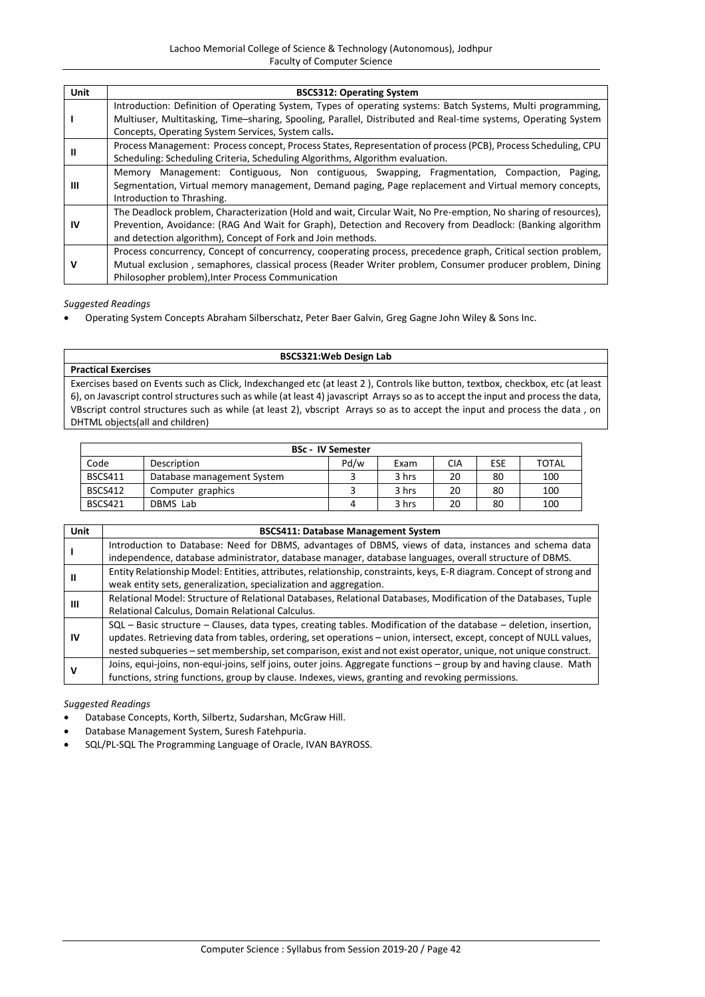| Unit                                                                                                           | <b>BSCS312: Operating System</b>                                                                                |  |
|----------------------------------------------------------------------------------------------------------------|-----------------------------------------------------------------------------------------------------------------|--|
|                                                                                                                | Introduction: Definition of Operating System, Types of operating systems: Batch Systems, Multi programming,     |  |
| Multiuser, Multitasking, Time-sharing, Spooling, Parallel, Distributed and Real-time systems, Operating System |                                                                                                                 |  |
|                                                                                                                | Concepts, Operating System Services, System calls.                                                              |  |
|                                                                                                                | Process Management: Process concept, Process States, Representation of process (PCB), Process Scheduling, CPU   |  |
| Ш                                                                                                              | Scheduling: Scheduling Criteria, Scheduling Algorithms, Algorithm evaluation.                                   |  |
|                                                                                                                | Memory Management: Contiguous, Non contiguous, Swapping, Fragmentation, Compaction,<br>Paging,                  |  |
| Ш                                                                                                              | Segmentation, Virtual memory management, Demand paging, Page replacement and Virtual memory concepts,           |  |
|                                                                                                                | Introduction to Thrashing.                                                                                      |  |
|                                                                                                                | The Deadlock problem, Characterization (Hold and wait, Circular Wait, No Pre-emption, No sharing of resources), |  |
| IV                                                                                                             | Prevention, Avoidance: (RAG And Wait for Graph), Detection and Recovery from Deadlock: (Banking algorithm       |  |
|                                                                                                                | and detection algorithm), Concept of Fork and Join methods.                                                     |  |
|                                                                                                                | Process concurrency, Concept of concurrency, cooperating process, precedence graph, Critical section problem,   |  |
| v                                                                                                              | Mutual exclusion, semaphores, classical process (Reader Writer problem, Consumer producer problem, Dining       |  |
|                                                                                                                | Philosopher problem), Inter Process Communication                                                               |  |

Operating System Concepts Abraham Silberschatz, Peter Baer Galvin, Greg Gagne John Wiley & Sons Inc.

# **BSCS321:Web Design Lab**

**Practical Exercises** Exercises based on Events such as Click, Indexchanged etc (at least 2 ), Controls like button, textbox, checkbox, etc (at least 6), on Javascript control structures such as while (at least 4) javascript Arrays so as to accept the input and process the data, VBscript control structures such as while (at least 2), vbscript Arrays so as to accept the input and process the data , on DHTML objects(all and children)

|                | <b>BSc - IV Semester</b>   |      |       |     |     |              |
|----------------|----------------------------|------|-------|-----|-----|--------------|
| Code           | Description                | Pd/w | Exam  | CIA | ESE | <b>TOTAL</b> |
| <b>BSCS411</b> | Database management System |      | 3 hrs | 20  | 80  | 100          |
| <b>BSCS412</b> | Computer graphics          |      | 3 hrs | 20  | 80  | 100          |
| BSCS421        | DBMS Lab                   |      | 3 hrs | 20  | 80  | 100          |

| Unit | <b>BSCS411: Database Management System</b>                                                                           |
|------|----------------------------------------------------------------------------------------------------------------------|
|      | Introduction to Database: Need for DBMS, advantages of DBMS, views of data, instances and schema data                |
|      | independence, database administrator, database manager, database languages, overall structure of DBMS.               |
|      | Entity Relationship Model: Entities, attributes, relationship, constraints, keys, E-R diagram. Concept of strong and |
| н    | weak entity sets, generalization, specialization and aggregation.                                                    |
| Ш    | Relational Model: Structure of Relational Databases, Relational Databases, Modification of the Databases, Tuple      |
|      | Relational Calculus, Domain Relational Calculus.                                                                     |
|      | $SQL$ – Basic structure – Clauses, data types, creating tables. Modification of the database – deletion, insertion,  |
| ΙV   | updates. Retrieving data from tables, ordering, set operations - union, intersect, except, concept of NULL values,   |
|      | nested subqueries – set membership, set comparison, exist and not exist operator, unique, not unique construct.      |
|      | Joins, equi-joins, non-equi-joins, self joins, outer joins. Aggregate functions - group by and having clause. Math   |
|      | functions, string functions, group by clause. Indexes, views, granting and revoking permissions.                     |

- Database Concepts, Korth, Silbertz, Sudarshan, McGraw Hill.
- Database Management System, Suresh Fatehpuria.
- SQL/PL-SQL The Programming Language of Oracle, IVAN BAYROSS.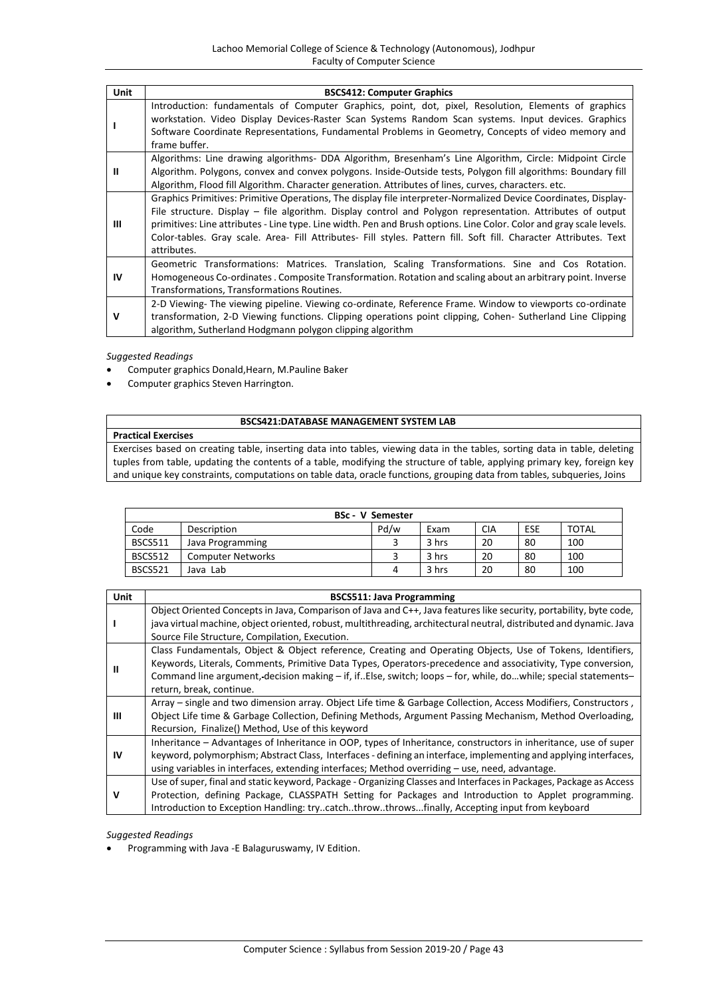| Unit | <b>BSCS412: Computer Graphics</b>                                                                                                                                                                                                                                                                                                                                                                                                                                                         |
|------|-------------------------------------------------------------------------------------------------------------------------------------------------------------------------------------------------------------------------------------------------------------------------------------------------------------------------------------------------------------------------------------------------------------------------------------------------------------------------------------------|
|      | Introduction: fundamentals of Computer Graphics, point, dot, pixel, Resolution, Elements of graphics<br>workstation. Video Display Devices-Raster Scan Systems Random Scan systems. Input devices. Graphics<br>Software Coordinate Representations, Fundamental Problems in Geometry, Concepts of video memory and<br>frame buffer.                                                                                                                                                       |
| Ш    | Algorithms: Line drawing algorithms- DDA Algorithm, Bresenham's Line Algorithm, Circle: Midpoint Circle<br>Algorithm. Polygons, convex and convex polygons. Inside-Outside tests, Polygon fill algorithms: Boundary fill<br>Algorithm, Flood fill Algorithm. Character generation. Attributes of lines, curves, characters. etc.                                                                                                                                                          |
| Ш    | Graphics Primitives: Primitive Operations, The display file interpreter-Normalized Device Coordinates, Display-<br>File structure. Display – file algorithm. Display control and Polygon representation. Attributes of output<br>primitives: Line attributes - Line type. Line width. Pen and Brush options. Line Color. Color and gray scale levels.<br>Color-tables. Gray scale. Area- Fill Attributes- Fill styles. Pattern fill. Soft fill. Character Attributes. Text<br>attributes. |
| IV   | Geometric Transformations: Matrices. Translation, Scaling Transformations. Sine and Cos Rotation.<br>Homogeneous Co-ordinates. Composite Transformation. Rotation and scaling about an arbitrary point. Inverse<br>Transformations, Transformations Routines.                                                                                                                                                                                                                             |
| v    | 2-D Viewing- The viewing pipeline. Viewing co-ordinate, Reference Frame. Window to viewports co-ordinate<br>transformation, 2-D Viewing functions. Clipping operations point clipping, Cohen- Sutherland Line Clipping<br>algorithm, Sutherland Hodgmann polygon clipping algorithm                                                                                                                                                                                                       |

- Computer graphics Donald,Hearn, M.Pauline Baker
- Computer graphics Steven Harrington.

## **BSCS421:DATABASE MANAGEMENT SYSTEM LAB**

**Practical Exercises** Exercises based on creating table, inserting data into tables, viewing data in the tables, sorting data in table, deleting tuples from table, updating the contents of a table, modifying the structure of table, applying primary key, foreign key and unique key constraints, computations on table data, oracle functions, grouping data from tables, subqueries, Joins

| <b>BSc - V Semester</b> |                          |      |       |            |     |              |
|-------------------------|--------------------------|------|-------|------------|-----|--------------|
| Code                    | Description              | Pd/w | Exam  | <b>CIA</b> | ESE | <b>TOTAL</b> |
| <b>BSCS511</b>          | Java Programming         |      | 3 hrs | 20         | 80  | 100          |
| BSCS512                 | <b>Computer Networks</b> |      | 3 hrs | 20         | 80  | 100          |
| <b>BSCS521</b>          | Java Lab                 | 4    | 3 hrs | 20         | 80  | 100          |

| Unit      | <b>BSCS511: Java Programming</b>                                                                                                                                                                                                                                                                                                                                          |
|-----------|---------------------------------------------------------------------------------------------------------------------------------------------------------------------------------------------------------------------------------------------------------------------------------------------------------------------------------------------------------------------------|
|           | Object Oriented Concepts in Java, Comparison of Java and C++, Java features like security, portability, byte code,<br>java virtual machine, object oriented, robust, multithreading, architectural neutral, distributed and dynamic. Java<br>Source File Structure, Compilation, Execution.                                                                               |
| Ш         | Class Fundamentals, Object & Object reference, Creating and Operating Objects, Use of Tokens, Identifiers,<br>Keywords, Literals, Comments, Primitive Data Types, Operators-precedence and associativity, Type conversion,<br>Command line argument, decision making – if, if. Else, switch; loops – for, while, dowhile; special statements–<br>return, break, continue. |
| Ш         | Array – single and two dimension array. Object Life time & Garbage Collection, Access Modifiers, Constructors,<br>Object Life time & Garbage Collection, Defining Methods, Argument Passing Mechanism, Method Overloading,<br>Recursion, Finalize() Method, Use of this keyword                                                                                           |
| <b>IV</b> | Inheritance - Advantages of Inheritance in OOP, types of Inheritance, constructors in inheritance, use of super<br>keyword, polymorphism; Abstract Class, Interfaces - defining an interface, implementing and applying interfaces,<br>using variables in interfaces, extending interfaces; Method overriding - use, need, advantage.                                     |
| v         | Use of super, final and static keyword, Package - Organizing Classes and Interfaces in Packages, Package as Access<br>Protection, defining Package, CLASSPATH Setting for Packages and Introduction to Applet programming.<br>Introduction to Exception Handling: trycatchthrowthrowsfinally, Accepting input from keyboard                                               |

*Suggested Readings*

Programming with Java -E Balaguruswamy, IV Edition.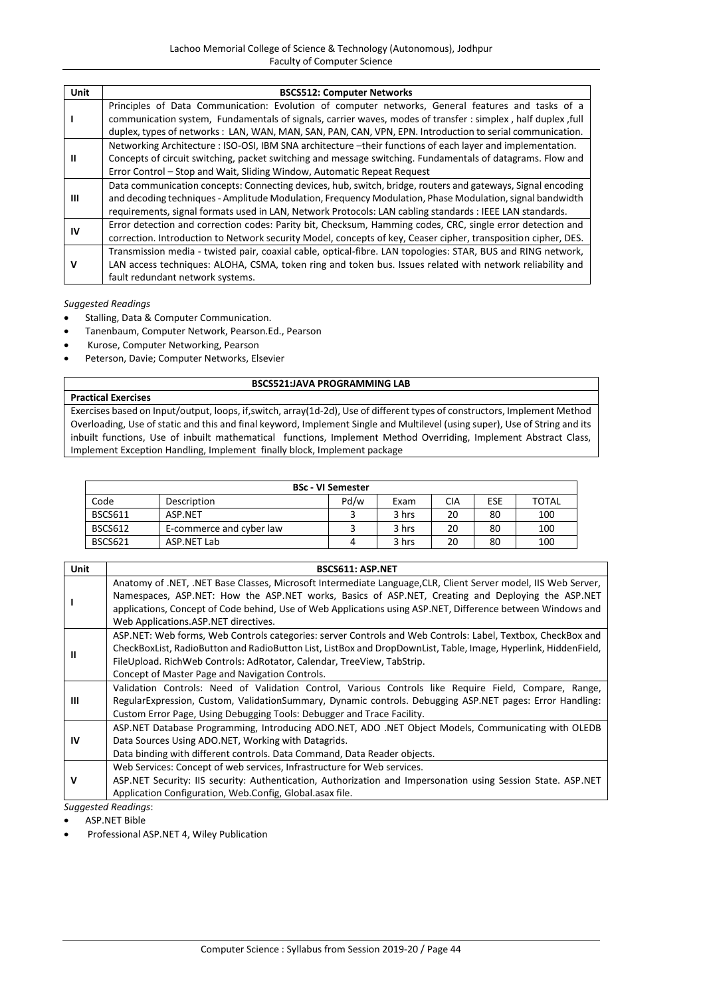| Unit | <b>BSCS512: Computer Networks</b>                                                                                                                                                                                                                                                                  |
|------|----------------------------------------------------------------------------------------------------------------------------------------------------------------------------------------------------------------------------------------------------------------------------------------------------|
|      | Principles of Data Communication: Evolution of computer networks, General features and tasks of a<br>communication system, Fundamentals of signals, carrier waves, modes of transfer : simplex, half duplex, full                                                                                  |
|      | duplex, types of networks: LAN, WAN, MAN, SAN, PAN, CAN, VPN, EPN. Introduction to serial communication.                                                                                                                                                                                           |
| Ш    | Networking Architecture: ISO-OSI, IBM SNA architecture -their functions of each layer and implementation.<br>Concepts of circuit switching, packet switching and message switching. Fundamentals of datagrams. Flow and<br>Error Control – Stop and Wait, Sliding Window, Automatic Repeat Request |
| ш    | Data communication concepts: Connecting devices, hub, switch, bridge, routers and gateways, Signal encoding                                                                                                                                                                                        |
|      | and decoding techniques - Amplitude Modulation, Frequency Modulation, Phase Modulation, signal bandwidth<br>requirements, signal formats used in LAN, Network Protocols: LAN cabling standards : IEEE LAN standards.                                                                               |
| IV   | Error detection and correction codes: Parity bit, Checksum, Hamming codes, CRC, single error detection and<br>correction. Introduction to Network security Model, concepts of key, Ceaser cipher, transposition cipher, DES.                                                                       |
| v    | Transmission media - twisted pair, coaxial cable, optical-fibre. LAN topologies: STAR, BUS and RING network,<br>LAN access techniques: ALOHA, CSMA, token ring and token bus. Issues related with network reliability and<br>fault redundant network systems.                                      |

- Stalling, Data & Computer Communication.
- Tanenbaum, Computer Network, Pearson.Ed., Pearson
- Kurose, Computer Networking, Pearson
- Peterson, Davie; Computer Networks, Elsevier

## **BSCS521:JAVA PROGRAMMING LAB**

## **Practical Exercises**

Exercises based on Input/output, loops, if,switch, array(1d-2d), Use of different types of constructors, Implement Method Overloading, Use of static and this and final keyword, Implement Single and Multilevel (using super), Use of String and its inbuilt functions, Use of inbuilt mathematical functions, Implement Method Overriding, Implement Abstract Class, Implement Exception Handling, Implement finally block, Implement package

| <b>BSc - VI Semester</b> |                          |      |       |     |            |              |
|--------------------------|--------------------------|------|-------|-----|------------|--------------|
| Code                     | Description              | Pd/w | Exam  | CIA | <b>ESE</b> | <b>TOTAL</b> |
| <b>BSCS611</b>           | ASP.NET                  |      | 3 hrs | 20  | 80         | 100          |
| <b>BSCS612</b>           | E-commerce and cyber law |      | 3 hrs | 20  | 80         | 100          |
| BSCS621                  | ASP.NET Lab              |      | 3 hrs | 20  | 80         | 100          |

| Unit | <b>BSCS611: ASP.NET</b>                                                                                                                                                                                                                                                                                                                                                    |
|------|----------------------------------------------------------------------------------------------------------------------------------------------------------------------------------------------------------------------------------------------------------------------------------------------------------------------------------------------------------------------------|
|      | Anatomy of .NET, .NET Base Classes, Microsoft Intermediate Language, CLR, Client Server model, IIS Web Server,<br>Namespaces, ASP.NET: How the ASP.NET works, Basics of ASP.NET, Creating and Deploying the ASP.NET<br>applications, Concept of Code behind, Use of Web Applications using ASP.NET, Difference between Windows and<br>Web Applications.ASP.NET directives. |
| Ш    | ASP.NET: Web forms, Web Controls categories: server Controls and Web Controls: Label, Textbox, CheckBox and<br>CheckBoxList, RadioButton and RadioButton List, ListBox and DropDownList, Table, Image, Hyperlink, HiddenField,<br>FileUpload. RichWeb Controls: AdRotator, Calendar, TreeView, TabStrip.<br>Concept of Master Page and Navigation Controls.                |
| Ш    | Validation Controls: Need of Validation Control, Various Controls like Require Field, Compare, Range,<br>RegularExpression, Custom, ValidationSummary, Dynamic controls. Debugging ASP.NET pages: Error Handling:<br>Custom Error Page, Using Debugging Tools: Debugger and Trace Facility.                                                                                |
| IV   | ASP.NET Database Programming, Introducing ADO.NET, ADO .NET Object Models, Communicating with OLEDB<br>Data Sources Using ADO.NET, Working with Datagrids.<br>Data binding with different controls. Data Command, Data Reader objects.                                                                                                                                     |
| v    | Web Services: Concept of web services, Infrastructure for Web services.<br>ASP.NET Security: IIS security: Authentication, Authorization and Impersonation using Session State. ASP.NET<br>Application Configuration, Web.Config, Global.asax file.                                                                                                                        |

*Suggested Readings*:

ASP.NET Bible

Professional ASP.NET 4, Wiley Publication